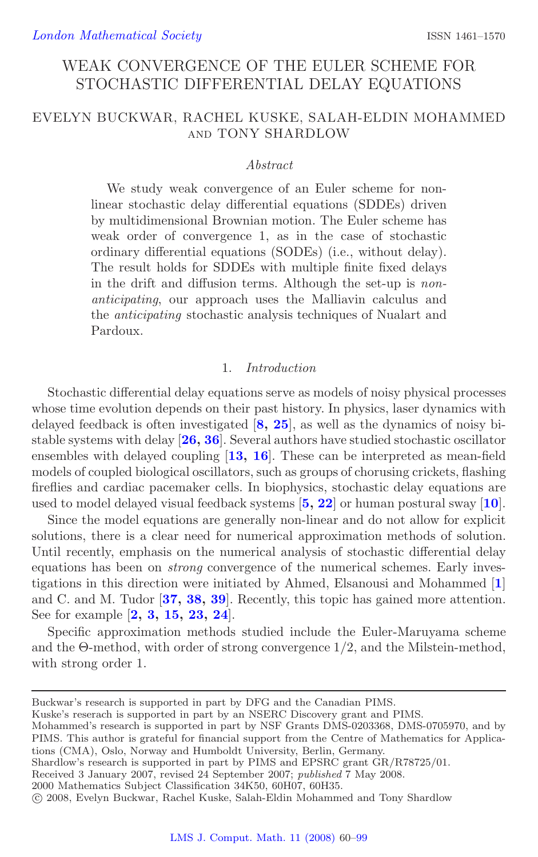# WEAK CONVERGENCE OF THE EULER SCHEME FOR STOCHASTIC DIFFERENTIAL DELAY EQUATIONS

# <span id="page-0-0"></span>EVELYN BUCKWAR, RACHEL KUSKE, SALAH-ELDIN MOHAMMED and TONY SHARDLOW

#### *Abstract*

We study weak convergence of an Euler scheme for nonlinear stochastic delay differential equations (SDDEs) driven by multidimensional Brownian motion. The Euler scheme has weak order of convergence 1, as in the case of stochastic ordinary differential equations (SODEs) (i.e., without delay). The result holds for SDDEs with multiple finite fixed delays in the drift and diffusion terms. Although the set-up is *nonanticipating*, our approach uses the Malliavin calculus and the *anticipating* stochastic analysis techniques of Nualart and Pardoux.

## 1. *Introduction*

Stochastic differential delay equations serve as models of noisy physical processes whose time evolution depends on their past history. In physics, laser dynamics with delayed feedback is often investigated [**[8,](#page-37-0) [25](#page-38-0)**], as well as the dynamics of noisy bistable systems with delay [**[26,](#page-38-1) [36](#page-38-2)**]. Several authors have studied stochastic oscillator ensembles with delayed coupling [**[13,](#page-37-1) [16](#page-37-2)**]. These can be interpreted as mean-field models of coupled biological oscillators, such as groups of chorusing crickets, flashing fireflies and cardiac pacemaker cells. In biophysics, stochastic delay equations are used to model delayed visual feedback systems [**[5,](#page-36-0) [22](#page-37-3)**] or human postural sway [**[10](#page-37-4)**].

Since the model equations are generally non-linear and do not allow for explicit solutions, there is a clear need for numerical approximation methods of solution. Until recently, emphasis on the numerical analysis of stochastic differential delay equations has been on *strong* convergence of the numerical schemes. Early investigations in this direction were initiated by Ahmed, Elsanousi and Mohammed [**[1](#page-36-1)**] and C. and M. Tudor [**[37,](#page-38-3) [38,](#page-38-4) [39](#page-38-5)**]. Recently, this topic has gained more attention. See for example [**[2,](#page-36-2) [3,](#page-36-3) [15,](#page-37-5) [23,](#page-38-6) [24](#page-38-7)**].

Specific approximation methods studied include the Euler-Maruyama scheme and the Θ-method, with order of strong convergence 1/2, and the Milstein-method, with strong order 1.

Kuske's reserach is supported in part by an NSERC Discovery grant and PIMS.

Mohammed's research is supported in part by NSF Grants DMS-0203368, DMS-0705970, and by PIMS. This author is grateful for financial support from the Centre of Mathematics for Applications (CMA), Oslo, Norway and Humboldt University, Berlin, Germany.

Shardlow's research is supported in part by PIMS and EPSRC grant GR/R78725/01.

Received 3 January 2007, revised 24 September 2007; *published* 7 May 2008.

2000 Mathematics Subject Classification 34K50, 60H07, 60H35.

Buckwar's research is supported in part by DFG and the Canadian PIMS.

<sup>-</sup>c 2008, Evelyn Buckwar, Rachel Kuske, Salah-Eldin Mohammed and Tony Shardlow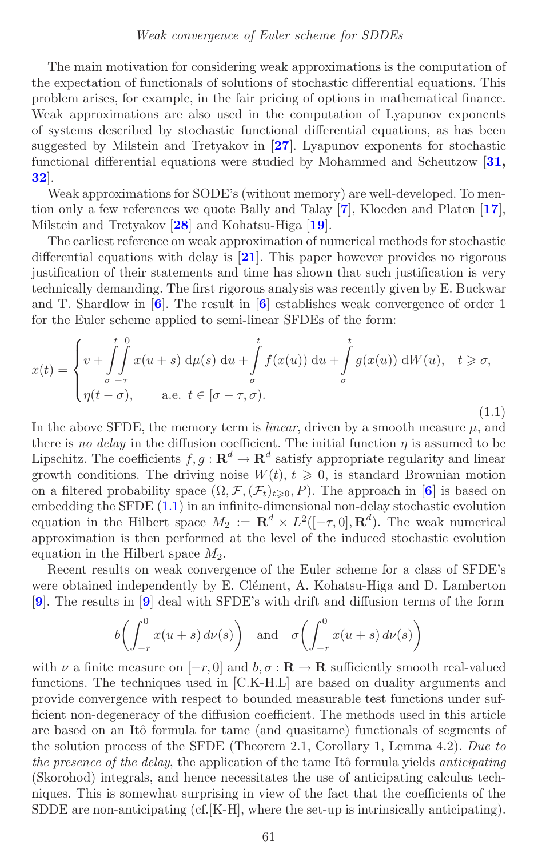<span id="page-1-1"></span>The main motivation for considering weak approximations is the computation of the expectation of functionals of solutions of stochastic differential equations. This problem arises, for example, in the fair pricing of options in mathematical finance. Weak approximations are also used in the computation of Lyapunov exponents of systems described by stochastic functional differential equations, as has been suggested by Milstein and Tretyakov in [**[27](#page-38-8)**]. Lyapunov exponents for stochastic functional differential equations were studied by Mohammed and Scheutzow [**[31,](#page-38-9) [32](#page-38-10)**].

Weak approximations for SODE's (without memory) are well-developed. To mention only a few references we quote Bally and Talay [**[7](#page-37-6)**], Kloeden and Platen [**[17](#page-37-7)**], Milstein and Tretyakov [**[28](#page-38-11)**] and Kohatsu-Higa [**[19](#page-37-8)**].

The earliest reference on weak approximation of numerical methods for stochastic differential equations with delay is [**[21](#page-37-9)**]. This paper however provides no rigorous justification of their statements and time has shown that such justification is very technically demanding. The first rigorous analysis was recently given by E. Buckwar and T. Shardlow in [**[6](#page-36-4)**]. The result in [**[6](#page-36-4)**] establishes weak convergence of order 1 for the Euler scheme applied to semi-linear SFDEs of the form:

<span id="page-1-0"></span>
$$
x(t) = \begin{cases} v + \int_{\sigma}^{t} \int_{-\tau}^{0} x(u+s) \, d\mu(s) \, du + \int_{\sigma}^{t} f(x(u)) \, du + \int_{\sigma}^{t} g(x(u)) \, dW(u), \quad t \ge \sigma, \\ \eta(t-\sigma), \qquad \text{a.e. } t \in [\sigma-\tau,\sigma). \end{cases}
$$
\n(1.1)

In the above SFDE, the memory term is *linear*, driven by a smooth measure  $\mu$ , and there is *no delay* in the diffusion coefficient. The initial function  $\eta$  is assumed to be Lipschitz. The coefficients  $f, g : \mathbf{R}^d \to \mathbf{R}^d$  satisfy appropriate regularity and linear growth conditions. The driving noise  $W(t)$ ,  $t \geqslant 0$ , is standard Brownian motion on a filtered probability space  $(\Omega, \mathcal{F}, (\mathcal{F}_t)_{t \geq 0}, P)$ . The approach in [[6](#page-36-4)] is based on embedding the SFDE [\(1.1\)](#page-1-0) in an infinite-dimensional non-delay stochastic evolution equation in the Hilbert space  $M_2 := \mathbb{R}^d \times L^2([-\tau,0],\mathbb{R}^d)$ . The weak numerical approximation is then performed at the level of the induced stochastic evolution equation in the Hilbert space  $M_2$ .

Recent results on weak convergence of the Euler scheme for a class of SFDE's were obtained independently by E. Clément, A. Kohatsu-Higa and D. Lamberton [**[9](#page-37-10)**]. The results in [**[9](#page-37-10)**] deal with SFDE's with drift and diffusion terms of the form

$$
b\left(\int_{-r}^{0} x(u+s) d\nu(s)\right)
$$
 and  $\sigma\left(\int_{-r}^{0} x(u+s) d\nu(s)\right)$ 

with  $\nu$  a finite measure on  $[-r, 0]$  and  $b, \sigma : \mathbf{R} \to \mathbf{R}$  sufficiently smooth real-valued functions. The techniques used in [C.K-H.L] are based on duality arguments and provide convergence with respect to bounded measurable test functions under sufficient non-degeneracy of the diffusion coefficient. The methods used in this article are based on an Itô formula for tame (and quasitame) functionals of segments of the solution process of the SFDE (Theorem 2.1, Corollary 1, Lemma 4.2). *Due to the presence of the delay*, the application of the tame Itô formula yields *anticipating* (Skorohod) integrals, and hence necessitates the use of anticipating calculus techniques. This is somewhat surprising in view of the fact that the coefficients of the SDDE are non-anticipating  $(cf. [K-H]$ , where the set-up is intrinsically anticipating).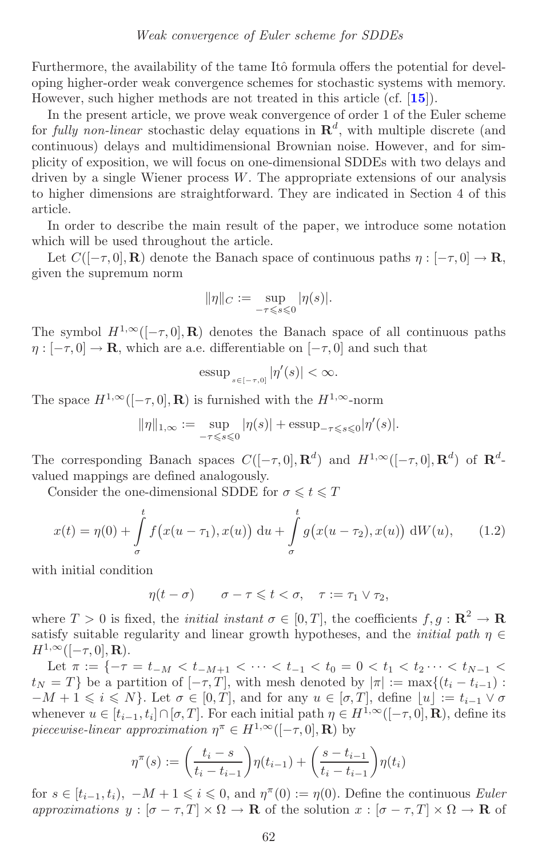<span id="page-2-1"></span>Furthermore, the availability of the tame Itô formula offers the potential for developing higher-order weak convergence schemes for stochastic systems with memory. However, such higher methods are not treated in this article (cf. [**[15](#page-37-5)**]).

In the present article, we prove weak convergence of order 1 of the Euler scheme for *fully non-linear* stochastic delay equations in  $\mathbb{R}^d$ , with multiple discrete (and continuous) delays and multidimensional Brownian noise. However, and for simplicity of exposition, we will focus on one-dimensional SDDEs with two delays and driven by a single Wiener process  $W$ . The appropriate extensions of our analysis to higher dimensions are straightforward. They are indicated in Section 4 of this article.

In order to describe the main result of the paper, we introduce some notation which will be used throughout the article.

Let  $C([-τ, 0], **R**)$  denote the Banach space of continuous paths  $\eta : [-τ, 0] \to \mathbf{R}$ , given the supremum norm

$$
\|\eta\|_C := \sup_{-\tau \leq s \leq 0} |\eta(s)|.
$$

The symbol  $H^{1,\infty}([- \tau, 0], \mathbf{R})$  denotes the Banach space of all continuous paths  $\eta : [-\tau, 0] \to \mathbf{R}$ , which are a.e. differentiable on  $[-\tau, 0]$  and such that

<span id="page-2-0"></span>essup<sub>$$
s \in [-\tau, 0]
$$</sub>  $|\eta'(s)| < \infty$ .

The space  $H^{1,\infty}([- \tau, 0], \mathbf{R})$  is furnished with the  $H^{1,\infty}$ -norm

$$
\|\eta\|_{1,\infty} := \sup_{-\tau \leq s \leq 0} |\eta(s)| + \operatorname{essup}_{-\tau \leq s \leq 0} |\eta'(s)|.
$$

The corresponding Banach spaces  $C([-\tau, 0], \mathbb{R}^d)$  and  $H^{1,\infty}([-\tau, 0], \mathbb{R}^d)$  of  $\mathbb{R}^d$ valued mappings are defined analogously.

Consider the one-dimensional SDDE for  $\sigma \leq t \leq T$ 

$$
x(t) = \eta(0) + \int_{\sigma}^{t} f(x(u - \tau_1), x(u)) \, du + \int_{\sigma}^{t} g(x(u - \tau_2), x(u)) \, dW(u), \qquad (1.2)
$$

with initial condition

 $\eta(t-\sigma)$   $\sigma-\tau \leqslant t < \sigma$ ,  $\tau := \tau_1 \vee \tau_2$ ,

where  $T > 0$  is fixed, the *initial instant*  $\sigma \in [0, T]$ , the coefficients  $f, g : \mathbb{R}^2 \to \mathbb{R}$ satisfy suitable regularity and linear growth hypotheses, and the *initial path*  $\eta \in$  $H^{1,\infty}([-\tau,0],\mathbf{R}).$ 

Let  $\pi := \{-\tau = t_{-M} < t_{-M+1} < \cdots < t_{-1} < t_0 = 0 < t_1 < t_2 \cdots < t_{N-1} < t_1$  $t_N = T$ } be a partition of  $[-\tau, T]$ , with mesh denoted by  $|\pi| := \max\{(t_i - t_{i-1})\}$ :  $-M+1 \leqslant i \leqslant N$ . Let  $\sigma \in [0, T]$ , and for any  $u \in [\sigma, T]$ , define  $[u] := t_{i-1} \vee \sigma$ whenever  $u \in [t_{i-1}, t_i] \cap [\sigma, T]$ . For each initial path  $\eta \in H^{1,\infty}([-\tau,0], \mathbf{R})$ , define its *piecewise-linear approximation*  $\eta^{\pi} \in H^{1,\infty}([-\tau,0],\mathbf{R})$  by

$$
\eta^{\pi}(s) := \left(\frac{t_i - s}{t_i - t_{i-1}}\right) \eta(t_{i-1}) + \left(\frac{s - t_{i-1}}{t_i - t_{i-1}}\right) \eta(t_i)
$$

for  $s \in [t_{i-1}, t_i)$ ,  $-M + 1 \leq i \leq 0$ , and  $\eta^{\pi}(0) := \eta(0)$ . Define the continuous *Euler approximations*  $y : [\sigma - \tau, T] \times \Omega \to \mathbf{R}$  of the solution  $x : [\sigma - \tau, T] \times \Omega \to \mathbf{R}$  of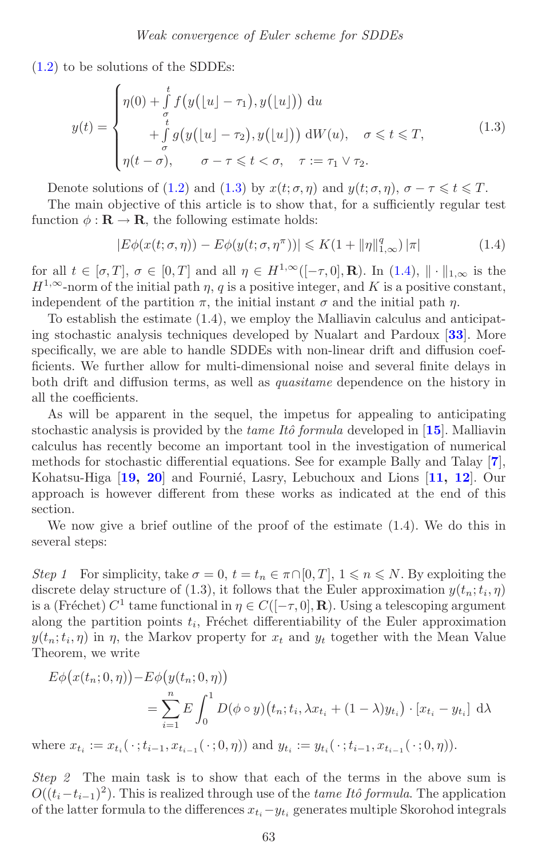<span id="page-3-2"></span>[\(1.2\)](#page-2-0) to be solutions of the SDDEs:

<span id="page-3-0"></span>
$$
y(t) = \begin{cases} \eta(0) + \int_{\sigma}^{t} f\big(y\big(\lfloor u \rfloor - \tau_1\big), y\big(\lfloor u \rfloor\big)\big) \, \mathrm{d}u \\ + \int_{\sigma}^{t} g\big(y\big(\lfloor u \rfloor - \tau_2\big), y\big(\lfloor u \rfloor\big)\big) \, \mathrm{d}W(u), \quad \sigma \leq t \leq T, \\ \eta(t - \sigma), \qquad \sigma - \tau \leq t < \sigma, \quad \tau := \tau_1 \vee \tau_2. \end{cases} \tag{1.3}
$$

Denote solutions of [\(1.2\)](#page-2-0) and [\(1.3\)](#page-3-0) by  $x(t; \sigma, \eta)$  and  $y(t; \sigma, \eta)$ ,  $\sigma - \tau \leq t \leq T$ .

The main objective of this article is to show that, for a sufficiently regular test function  $\phi : \mathbf{R} \to \mathbf{R}$ , the following estimate holds:

<span id="page-3-1"></span>
$$
|E\phi(x(t;\sigma,\eta)) - E\phi(y(t;\sigma,\eta^{\pi}))| \le K(1 + \|\eta\|_{1,\infty}^q) |\pi|
$$
\n(1.4)

for all  $t \in [\sigma, T]$ ,  $\sigma \in [0, T]$  and all  $\eta \in H^{1,\infty}([-\tau, 0], \mathbf{R})$ . In  $(1.4), ||\cdot||_{1,\infty}$  $(1.4), ||\cdot||_{1,\infty}$  is the  $H^{1,\infty}$ -norm of the initial path  $\eta$ , q is a positive integer, and K is a positive constant, independent of the partition  $\pi$ , the initial instant  $\sigma$  and the initial path  $\eta$ .

To establish the estimate (1.4), we employ the Malliavin calculus and anticipating stochastic analysis techniques developed by Nualart and Pardoux [**[33](#page-38-12)**]. More specifically, we are able to handle SDDEs with non-linear drift and diffusion coefficients. We further allow for multi-dimensional noise and several finite delays in both drift and diffusion terms, as well as *quasitame* dependence on the history in all the coefficients.

As will be apparent in the sequel, the impetus for appealing to anticipating stochastic analysis is provided by the *tame Itˆo formula* developed in [**[15](#page-37-5)**]. Malliavin calculus has recently become an important tool in the investigation of numerical methods for stochastic differential equations. See for example Bally and Talay [**[7](#page-37-6)**], Kohatsu-Higa [[19,](#page-37-8) [20](#page-37-11)] and Fournié, Lasry, Lebuchoux and Lions [[11,](#page-37-12) [12](#page-37-13)]. Our approach is however different from these works as indicated at the end of this section.

We now give a brief outline of the proof of the estimate (1.4). We do this in several steps:

*Step 1* For simplicity, take  $\sigma = 0$ ,  $t = t_n \in \pi \cap [0, T]$ ,  $1 \leq n \leq N$ . By exploiting the discrete delay structure of (1.3), it follows that the Euler approximation  $y(t_n; t_i, \eta)$ is a (Fréchet)  $C^1$  tame functional in  $\eta \in C([-\tau, 0], \mathbf{R})$ . Using a telescoping argument along the partition points  $t_i$ , Fréchet differentiability of the Euler approximation  $y(t_n;t_i,\eta)$  in  $\eta$ , the Markov property for  $x_t$  and  $y_t$  together with the Mean Value Theorem, we write

$$
E\phi\big(x(t_n; 0, \eta)\big) - E\phi\big(y(t_n; 0, \eta)\big)
$$
  
= 
$$
\sum_{i=1}^n E\int_0^1 D(\phi \circ y)(t_n; t_i, \lambda x_{t_i} + (1 - \lambda)y_{t_i}) \cdot [x_{t_i} - y_{t_i}] d\lambda
$$

where  $x_{t_i} := x_{t_i}(\cdot; t_{i-1}, x_{t_{i-1}}(\cdot; 0, \eta))$  and  $y_{t_i} := y_{t_i}(\cdot; t_{i-1}, x_{t_{i-1}}(\cdot; 0, \eta)).$ 

*Step 2* The main task is to show that each of the terms in the above sum is  $O((t_i-t_{i-1})^2)$ . This is realized through use of the *tame Itô formula*. The application of the latter formula to the differences  $x_t_i-y_t$ <sub>i</sub> generates multiple Skorohod integrals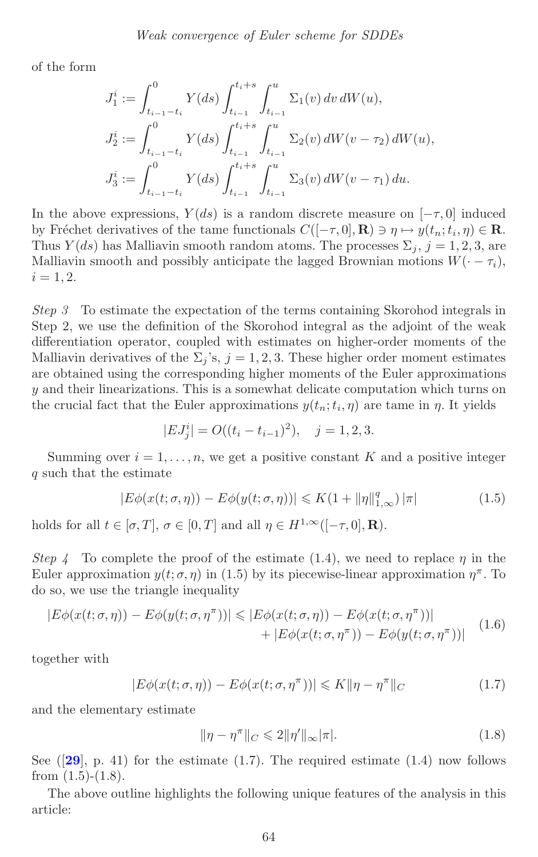<span id="page-4-0"></span>of the form

$$
J_1^i := \int_{t_{i-1}-t_i}^0 Y(ds) \int_{t_{i-1}}^{t_i+s} \int_{t_{i-1}}^u \Sigma_1(v) dv dW(u),
$$
  
\n
$$
J_2^i := \int_{t_{i-1}-t_i}^0 Y(ds) \int_{t_{i-1}}^{t_i+s} \int_{t_{i-1}}^u \Sigma_2(v) dW(v-\tau_2) dW(u),
$$
  
\n
$$
J_3^i := \int_{t_{i-1}-t_i}^0 Y(ds) \int_{t_{i-1}}^{t_i+s} \int_{t_{i-1}}^u \Sigma_3(v) dW(v-\tau_1) du.
$$

In the above expressions,  $Y(ds)$  is a random discrete measure on  $[-\tau,0]$  induced by Fréchet derivatives of the tame functionals  $C([-\tau, 0], \mathbf{R}) \ni \eta \mapsto y(t_n; t_i, \eta) \in \mathbf{R}$ . Thus  $Y(ds)$  has Malliavin smooth random atoms. The processes  $\Sigma_i$ ,  $j = 1, 2, 3$ , are Malliavin smooth and possibly anticipate the lagged Brownian motions  $W(-\tau_i)$ ,  $i = 1, 2.$ 

*Step 3* To estimate the expectation of the terms containing Skorohod integrals in Step 2, we use the definition of the Skorohod integral as the adjoint of the weak differentiation operator, coupled with estimates on higher-order moments of the Malliavin derivatives of the  $\Sigma_i$ 's,  $j = 1, 2, 3$ . These higher order moment estimates are obtained using the corresponding higher moments of the Euler approximations y and their linearizations. This is a somewhat delicate computation which turns on the crucial fact that the Euler approximations  $y(t_n; t_i, \eta)$  are tame in  $\eta$ . It yields

$$
|EJ_j^i| = O((t_i - t_{i-1})^2), \quad j = 1, 2, 3.
$$

Summing over  $i = 1, \ldots, n$ , we get a positive constant K and a positive integer q such that the estimate

$$
|E\phi(x(t;\sigma,\eta)) - E\phi(y(t;\sigma,\eta))| \le K(1 + \|\eta\|_{1,\infty}^q) |\pi|
$$
\n(1.5)

holds for all  $t \in [\sigma, T]$ ,  $\sigma \in [0, T]$  and all  $\eta \in H^{1,\infty}([-\tau, 0], \mathbf{R})$ .

*Step 4* To complete the proof of the estimate (1.4), we need to replace  $\eta$  in the Euler approximation  $y(t; \sigma, \eta)$  in (1.5) by its piecewise-linear approximation  $\eta^{\pi}$ . To do so, we use the triangle inequality

$$
|E\phi(x(t;\sigma,\eta)) - E\phi(y(t;\sigma,\eta^{\pi}))| \le |E\phi(x(t;\sigma,\eta)) - E\phi(x(t;\sigma,\eta^{\pi}))| + |E\phi(x(t;\sigma,\eta^{\pi})) - E\phi(y(t;\sigma,\eta^{\pi}))|
$$
(1.6)

together with

$$
|E\phi(x(t;\sigma,\eta)) - E\phi(x(t;\sigma,\eta^{\pi}))| \leq K \|\eta - \eta^{\pi}\|_{C}
$$
\n(1.7)

and the elementary estimate

$$
\|\eta - \eta^{\pi}\|_{C} \leqslant 2\|\eta'\|_{\infty}|\pi|.\tag{1.8}
$$

See  $([29], p. 41)$  $([29], p. 41)$  $([29], p. 41)$  for the estimate  $(1.7)$ . The required estimate  $(1.4)$  now follows from  $(1.5)-(1.8)$ .

The above outline highlights the following unique features of the analysis in this article: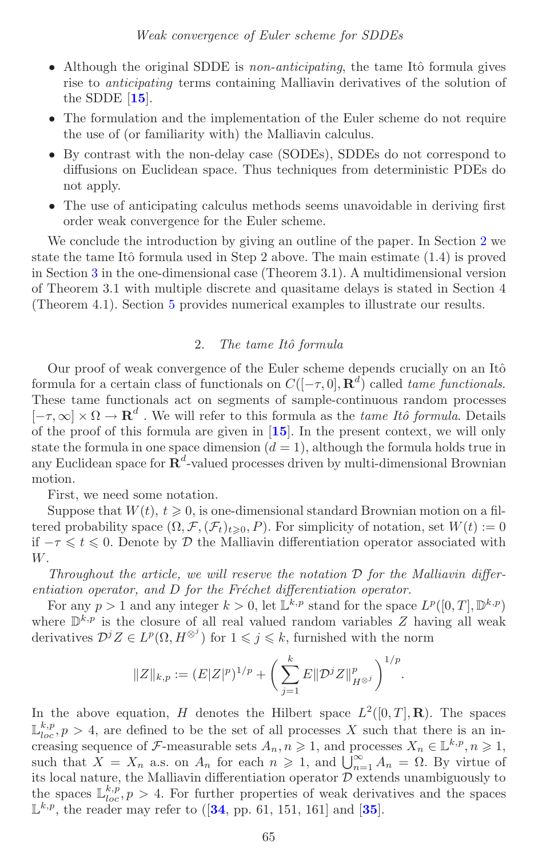- <span id="page-5-1"></span>• Although the original SDDE is *non-anticipating*, the tame Itô formula gives rise to *anticipating* terms containing Malliavin derivatives of the solution of the SDDE [**[15](#page-37-5)**].
- The formulation and the implementation of the Euler scheme do not require the use of (or familiarity with) the Malliavin calculus.
- By contrast with the non-delay case (SODEs), SDDEs do not correspond to diffusions on Euclidean space. Thus techniques from deterministic PDEs do not apply.
- The use of anticipating calculus methods seems unavoidable in deriving first order weak convergence for the Euler scheme.

We conclude the introduction by giving an outline of the paper. In Section [2](#page-5-0) we state the tame Itô formula used in Step 2 above. The main estimate  $(1.4)$  is proved in Section [3](#page-9-0) in the one-dimensional case (Theorem 3.1). A multidimensional version of Theorem 3.1 with multiple discrete and quasitame delays is stated in Section 4 (Theorem 4.1). Section [5](#page-34-0) provides numerical examples to illustrate our results.

### 2. *The tame Itˆo formula*

<span id="page-5-0"></span>Our proof of weak convergence of the Euler scheme depends crucially on an Itô formula for a certain class of functionals on  $C([-\tau, 0], \mathbb{R}^d)$  called *tame functionals*. These tame functionals act on segments of sample-continuous random processes  $[-\tau, \infty] \times \Omega \to \mathbf{R}^d$ . We will refer to this formula as the *tame Itô formula*. Details of the proof of this formula are given in [**[15](#page-37-5)**]. In the present context, we will only state the formula in one space dimension  $(d = 1)$ , although the formula holds true in any Euclidean space for  $\mathbb{R}^d$ -valued processes driven by multi-dimensional Brownian motion.

First, we need some notation.

Suppose that  $W(t)$ ,  $t \geq 0$ , is one-dimensional standard Brownian motion on a filtered probability space  $(\Omega, \mathcal{F}, (\mathcal{F}_t)_{t\geqslant0}, P)$ . For simplicity of notation, set  $W(t) := 0$ if  $-\tau \leq t \leq 0$ . Denote by  $\mathcal D$  the Malliavin differentiation operator associated with W.

*Throughout the article, we will reserve the notation* D *for the Malliavin differentiation operator, and* D *for the Fréchet differentiation operator.* 

For any  $p > 1$  and any integer  $k > 0$ , let  $\mathbb{L}^{k,p}$  stand for the space  $L^p([0, T], \mathbb{D}^{k,p})$ where  $\mathbb{D}^{k,p}$  is the closure of all real valued random variables Z having all weak derivatives  $\mathcal{D}^j Z \in L^p(\Omega, H^{\otimes j})$  for  $1 \leqslant j \leqslant k$ , furnished with the norm

$$
||Z||_{k,p}:=(E|Z|^p)^{1/p}+\bigg(\sum_{j=1}^k E\|{\mathcal D}^jZ\|_{H^{\otimes j}}^p\bigg)^{1/p}.
$$

In the above equation, H denotes the Hilbert space  $L^2([0,T],\mathbf{R})$ . The spaces  $\mathbb{L}_{loc}^{k,p}$ ,  $p > 4$ , are defined to be the set of all processes X such that there is an increasing sequence of F-measurable sets  $A_n, n \geq 1$ , and processes  $X_n \in \mathbb{L}^{k,p}, n \geq 1$ , such that  $X = X_n$  a.s. on  $A_n$  for each  $n \geq 1$ , and  $\bigcup_{n=1}^{\infty} A_n = \Omega$ . By virtue of its local nature, the Malliavin differentiation operator  $D$  extends unambiguously to the spaces  $\mathbb{L}_{loc}^{k,p}$ ,  $p > 4$ . For further properties of weak derivatives and the spaces  $\mathbb{L}^{k,p}$ , the reader may refer to ([**[34](#page-38-14)**, pp. 61, 151, 161] and [**[35](#page-38-15)**].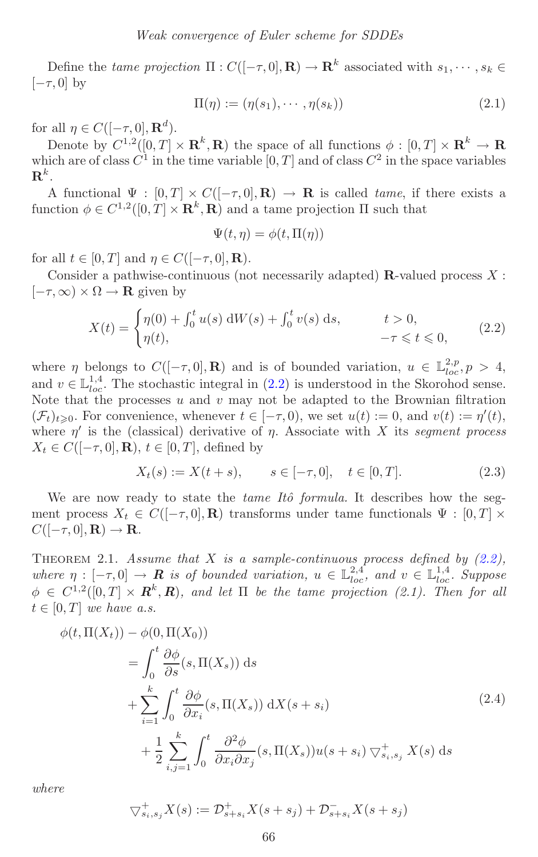Define the *tame projection*  $\Pi: C([-\tau,0], \mathbf{R}) \to \mathbf{R}^k$  associated with  $s_1, \dots, s_k \in$  $[-\tau, 0]$  by

$$
\Pi(\eta) := (\eta(s_1), \cdots, \eta(s_k)) \tag{2.1}
$$

for all  $\eta \in C([-\tau,0],\mathbf{R}^d)$ .

Denote by  $C^{1,2}([0,T] \times \mathbf{R}^k, \mathbf{R})$  the space of all functions  $\phi : [0,T] \times \mathbf{R}^k \to \mathbf{R}$ which are of class  $C^1$  in the time variable  $[0, T]$  and of class  $C^2$  in the space variables  $\mathbf{R}^k$ .

A functional  $\Psi : [0, T] \times C([-T, 0], \mathbf{R}) \to \mathbf{R}$  is called *tame*, if there exists a function  $\phi \in C^{1,2}([0,T] \times \mathbb{R}^k, \mathbb{R})$  and a tame projection  $\Pi$  such that

$$
\Psi(t,\eta) = \phi(t,\Pi(\eta))
$$

for all  $t \in [0, T]$  and  $\eta \in C([-\tau, 0], \mathbf{R})$ .

Consider a pathwise-continuous (not necessarily adapted) **R**-valued process X :  $[-\tau, \infty) \times \Omega \to \mathbf{R}$  given by

<span id="page-6-0"></span>
$$
X(t) = \begin{cases} \eta(0) + \int_0^t u(s) \, dW(s) + \int_0^t v(s) \, ds, & t > 0, \\ \eta(t), & -\tau \leq t \leq 0, \end{cases}
$$
 (2.2)

where  $\eta$  belongs to  $C([-\tau, 0], \mathbf{R})$  and is of bounded variation,  $u \in \mathbb{L}^{2,p}_{loc}, p > 4$ , and  $v \in \mathbb{L}_{loc}^{1,4}$ . The stochastic integral in [\(2.2\)](#page-6-0) is understood in the Skorohod sense. Note that the processes  $u$  and  $v$  may not be adapted to the Brownian filtration  $(\mathcal{F}_t)_{t\geqslant 0}$ . For convenience, whenever  $t \in [-\tau, 0)$ , we set  $u(t) := 0$ , and  $v(t) := \eta'(t)$ , where  $\eta'$  is the (classical) derivative of  $\eta$ . Associate with X its *segment process*  $X_t \in C([-\tau,0],\mathbf{R}), t \in [0,T],$  defined by

$$
X_t(s) := X(t+s), \qquad s \in [-\tau, 0], \quad t \in [0, T]. \tag{2.3}
$$

We are now ready to state the *tame Itô formula*. It describes how the segment process  $X_t \in C([- \tau, 0], \mathbf{R})$  transforms under tame functionals  $\Psi : [0, T] \times$  $C([-\tau,0],\mathbf{R}) \to \mathbf{R}$ .

<span id="page-6-1"></span>THEOREM 2.1. *Assume that* X *is a sample-continuous process defined by*  $(2.2)$ , where  $\eta : [-\tau, 0] \to \mathbf{R}$  is of bounded variation,  $u \in \mathbb{L}^{2,4}_{loc}$ , and  $v \in \mathbb{L}^{1,4}_{loc}$ . Suppose  $\phi \in C^{1,2}([0,T] \times \mathbb{R}^k, \mathbb{R})$ , and let  $\Pi$  be the tame projection (2.1). Then for all  $t \in [0, T]$  *we have a.s.* 

$$
\phi(t, \Pi(X_t)) - \phi(0, \Pi(X_0))
$$
\n
$$
= \int_0^t \frac{\partial \phi}{\partial s}(s, \Pi(X_s)) ds
$$
\n
$$
+ \sum_{i=1}^k \int_0^t \frac{\partial \phi}{\partial x_i}(s, \Pi(X_s)) dX(s + s_i)
$$
\n
$$
+ \frac{1}{2} \sum_{i,j=1}^k \int_0^t \frac{\partial^2 \phi}{\partial x_i \partial x_j}(s, \Pi(X_s)) u(s + s_i) \nabla_{s_i, s_j}^+ X(s) ds
$$
\n(2.4)

*where*

$$
\nabla_{s_i,s_j}^+ X(s) := \mathcal{D}_{s+s_i}^+ X(s+s_j) + \mathcal{D}_{s+s_i}^- X(s+s_j)
$$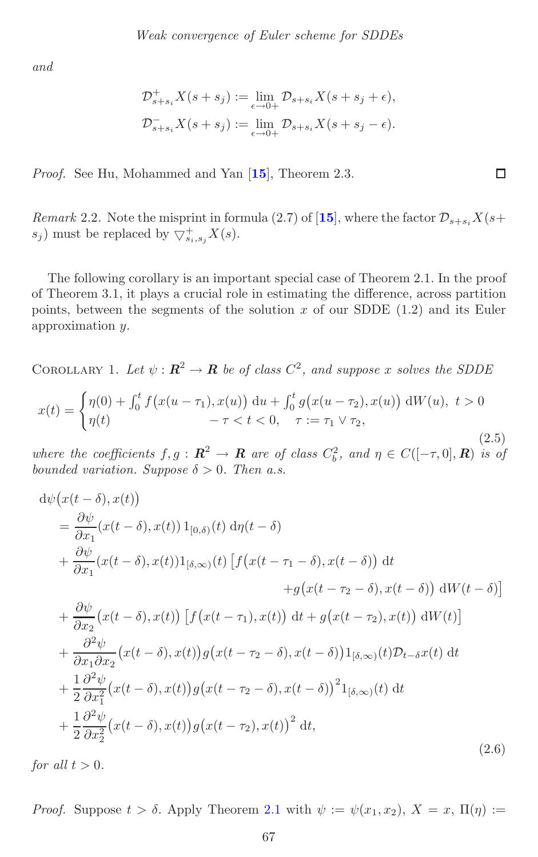<span id="page-7-2"></span>*and*

$$
\mathcal{D}_{s+s_i}^+ X(s+s_j) := \lim_{\epsilon \to 0+} \mathcal{D}_{s+s_i} X(s+s_j + \epsilon),
$$
  

$$
\mathcal{D}_{s+s_i}^- X(s+s_j) := \lim_{\epsilon \to 0+} \mathcal{D}_{s+s_i} X(s+s_j - \epsilon).
$$

*Proof.* See Hu, Mohammed and Yan [**[15](#page-37-5)**], Theorem 2.3.

*Remark* 2.2. Note the misprint in formula (2.7) of [[15](#page-37-5)], where the factor  $\mathcal{D}_{s+s_i}X(s+)$  $(s_j)$  must be replaced by  $\bigtriangledown^+_{s_i,s_j}X(s)$ .

<span id="page-7-0"></span> $\Box$ 

The following corollary is an important special case of Theorem 2.1. In the proof of Theorem 3.1, it plays a crucial role in estimating the difference, across partition points, between the segments of the solution  $x$  of our SDDE (1.2) and its Euler approximation y.

COROLLARY 1. Let  $\psi : \mathbb{R}^2 \to \mathbb{R}$  be of class  $C^2$ , and suppose x solves the SDDE

$$
x(t) = \begin{cases} \eta(0) + \int_0^t f(x(u - \tau_1), x(u)) \, du + \int_0^t g(x(u - \tau_2), x(u)) \, dW(u), \ t > 0 \\ \eta(t) & -\tau < t < 0, \quad \tau := \tau_1 \vee \tau_2, \end{cases} \tag{2.5}
$$

*where the coefficients*  $f, g : \mathbb{R}^2 \to \mathbb{R}$  *are of class*  $C_b^2$ *, and*  $\eta \in C([-\tau, 0], \mathbb{R})$  *is of bounded variation. Suppose*  $\delta > 0$ *. Then a.s.* 

<span id="page-7-1"></span>
$$
d\psi\big(x(t-\delta),x(t)\big)
$$
\n
$$
= \frac{\partial\psi}{\partial x_1}(x(t-\delta),x(t))1_{[0,\delta)}(t) d\eta(t-\delta)
$$
\n
$$
+ \frac{\partial\psi}{\partial x_1}(x(t-\delta),x(t))1_{[\delta,\infty)}(t) \left[ f\big(x(t-\tau_1-\delta),x(t-\delta)\big) dt + g\big(x(t-\tau_2-\delta),x(t-\delta)\big) dW(t-\delta) \right]
$$
\n
$$
+ \frac{\partial\psi}{\partial x_2}(x(t-\delta),x(t)) \left[ f\big(x(t-\tau_1),x(t)\big) dt + g\big(x(t-\tau_2),x(t)\big) dW(t) \right]
$$
\n
$$
+ \frac{\partial^2\psi}{\partial x_1 \partial x_2}(x(t-\delta),x(t))g\big(x(t-\tau_2-\delta),x(t-\delta)\big)1_{[\delta,\infty)}(t)\mathcal{D}_{t-\delta}x(t) dt + \frac{1}{2}\frac{\partial^2\psi}{\partial x_1^2}(x(t-\delta),x(t))g\big(x(t-\tau_2-\delta),x(t-\delta)\big)^2 1_{[\delta,\infty)}(t) dt + \frac{1}{2}\frac{\partial^2\psi}{\partial x_2^2}(x(t-\delta),x(t))g\big(x(t-\tau_2),x(t)\big)^2 dt,
$$
\n(2.6)

*for all*  $t > 0$ *.* 

*Proof.* Suppose  $t > \delta$ . Apply Theorem [2.1](#page-6-1) with  $\psi := \psi(x_1, x_2), X = x, \Pi(\eta) :=$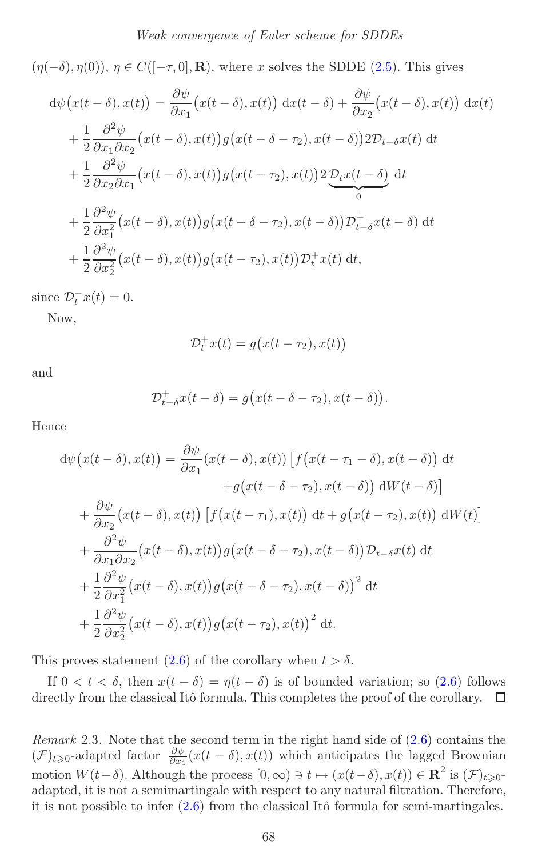$(\eta(-\delta), \eta(0)), \eta \in C([-\tau, 0], \mathbf{R})$ , where x solves the SDDE [\(2.5\)](#page-7-0). This gives

$$
d\psi(x(t-\delta), x(t)) = \frac{\partial \psi}{\partial x_1} (x(t-\delta), x(t)) dx(t-\delta) + \frac{\partial \psi}{\partial x_2} (x(t-\delta), x(t)) dx(t)
$$
  
+ 
$$
\frac{1}{2} \frac{\partial^2 \psi}{\partial x_1 \partial x_2} (x(t-\delta), x(t)) g(x(t-\delta-\tau_2), x(t-\delta)) 2\mathcal{D}_{t-\delta} x(t) dt
$$
  
+ 
$$
\frac{1}{2} \frac{\partial^2 \psi}{\partial x_2 \partial x_1} (x(t-\delta), x(t)) g(x(t-\tau_2), x(t)) 2 \underbrace{\mathcal{D}_t x(t-\delta)}_{0} dt
$$
  
+ 
$$
\frac{1}{2} \frac{\partial^2 \psi}{\partial x_1^2} (x(t-\delta), x(t)) g(x(t-\delta-\tau_2), x(t-\delta)) \mathcal{D}_{t-\delta}^+ x(t-\delta) dt
$$
  
+ 
$$
\frac{1}{2} \frac{\partial^2 \psi}{\partial x_2^2} (x(t-\delta), x(t)) g(x(t-\tau_2), x(t)) \mathcal{D}_{t}^+ x(t) dt,
$$

since  $\mathcal{D}_t^- x(t) = 0$ .

Now,

$$
\mathcal{D}_t^+ x(t) = g\big(x(t - \tau_2), x(t)\big)
$$

and

$$
\mathcal{D}_{t-\delta}^+ x(t-\delta) = g\big(x(t-\delta - \tau_2), x(t-\delta)\big).
$$

Hence

$$
d\psi(x(t-\delta),x(t)) = \frac{\partial\psi}{\partial x_1}(x(t-\delta),x(t)) \left[ f(x(t-\tau_1-\delta),x(t-\delta)) \, dt \right. \n+ g(x(t-\delta-\tau_2),x(t-\delta)) \, dW(t-\delta) \right] \n+ \frac{\partial\psi}{\partial x_2}(x(t-\delta),x(t)) \left[ f(x(t-\tau_1),x(t)) \, dt + g(x(t-\tau_2),x(t)) \, dW(t) \right] \n+ \frac{\partial^2\psi}{\partial x_1 \partial x_2}(x(t-\delta),x(t)) g(x(t-\delta-\tau_2),x(t-\delta)) \mathcal{D}_{t-\delta}x(t) dt \n+ \frac{1}{2} \frac{\partial^2\psi}{\partial x_1^2}(x(t-\delta),x(t)) g(x(t-\delta-\tau_2),x(t-\delta))^2 dt \n+ \frac{1}{2} \frac{\partial^2\psi}{\partial x_2^2}(x(t-\delta),x(t)) g(x(t-\tau_2),x(t))^2 dt.
$$

This proves statement [\(2.6\)](#page-7-1) of the corollary when  $t > \delta$ .

If  $0 < t < \delta$ , then  $x(t - \delta) = \eta(t - \delta)$  is of bounded variation; so [\(2.6\)](#page-7-1) follows directly from the classical Itô formula. This completes the proof of the corollary.  $\Box$ 

*Remark* 2.3*.* Note that the second term in the right hand side of [\(2.6\)](#page-7-1) contains the  $(F)_{t\geqslant0}$ -adapted factor  $\frac{\partial \psi}{\partial x_1}(x(t-\delta),x(t))$  which anticipates the lagged Brownian motion  $W(t-\delta)$ . Although the process  $[0,\infty) \ni t \mapsto (x(t-\delta),x(t)) \in \mathbb{R}^2$  is  $(\mathcal{F})_{t \geq 0}$ adapted, it is not a semimartingale with respect to any natural filtration. Therefore, it is not possible to infer  $(2.6)$  from the classical Itô formula for semi-martingales.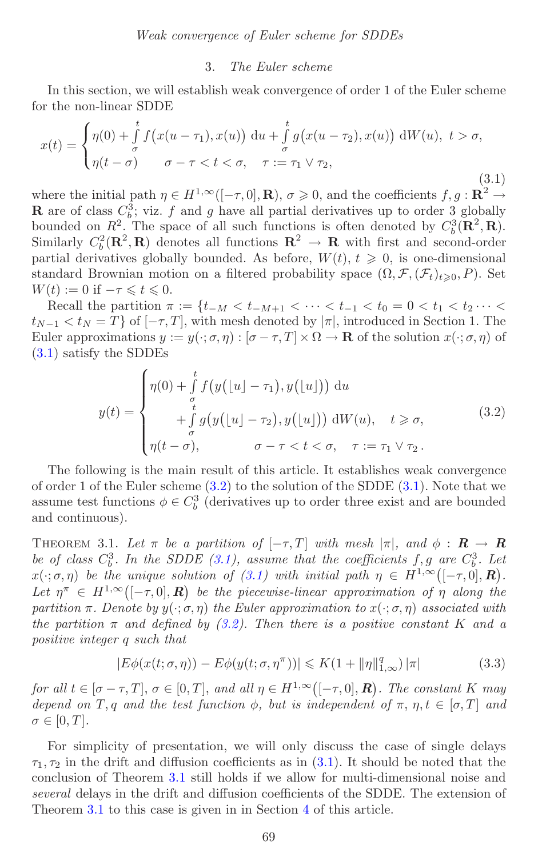#### 3. *The Euler scheme*

<span id="page-9-1"></span><span id="page-9-0"></span>In this section, we will establish weak convergence of order 1 of the Euler scheme for the non-linear SDDE

$$
x(t) = \begin{cases} \eta(0) + \int_{\sigma}^{t} f(x(u-\tau_1), x(u)) \, \mathrm{d}u + \int_{\sigma}^{t} g(x(u-\tau_2), x(u)) \, \mathrm{d}W(u), \ t > \sigma, \\ \eta(t-\sigma) \qquad \sigma - \tau < t < \sigma, \quad \tau := \tau_1 \vee \tau_2, \end{cases}
$$
\n
$$
(3.1)
$$

where the initial path  $\eta \in H^{1,\infty}([-\tau,0], \mathbf{R})$ ,  $\sigma \geqslant 0$ , and the coefficients  $f, g: \mathbf{R}^2 \to$ **R** are of class  $C_b^3$ ; viz. f and g have all partial derivatives up to order 3 globally bounded on  $R^2$ . The space of all such functions is often denoted by  $C_b^3(\mathbf{R}^2, \mathbf{R})$ . Similarly  $C_b^2(\mathbf{R}^2, \mathbf{R})$  denotes all functions  $\mathbf{R}^2 \to \mathbf{R}$  with first and second-order partial derivatives globally bounded. As before,  $W(t)$ ,  $t \geq 0$ , is one-dimensional standard Brownian motion on a filtered probability space  $(\Omega, \mathcal{F}, (\mathcal{F}_t)_{t\geqslant0}, P)$ . Set  $W(t) := 0$  if  $-\tau \leqslant t \leqslant 0$ .

Recall the partition  $\pi := \{t_{-M} < t_{-M+1} < \cdots < t_{-1} < t_0 = 0 < t_1 < t_2 \cdots <$  $t_{N-1} < t_N = T$  of  $[-\tau, T]$ , with mesh denoted by  $|\pi|$ , introduced in Section 1. The Euler approximations  $y := y(\cdot; \sigma, \eta) : [\sigma - \tau, T] \times \Omega \to \mathbf{R}$  of the solution  $x(\cdot; \sigma, \eta)$  of [\(3.1\)](#page-9-1) satisfy the SDDEs

<span id="page-9-2"></span>
$$
y(t) = \begin{cases} \eta(0) + \int_{\sigma}^{t} f\big(y\big(\lfloor u \rfloor - \tau_1\big), y\big(\lfloor u \rfloor\big)\big) \, \mathrm{d}u \\ + \int_{\sigma}^{t} g\big(y\big(\lfloor u \rfloor - \tau_2\big), y\big(\lfloor u \rfloor\big)\big) \, \mathrm{d}W(u), \quad t \geqslant \sigma, \\ \eta(t - \sigma), \qquad \sigma - \tau < t < \sigma, \quad \tau := \tau_1 \vee \tau_2. \end{cases} \tag{3.2}
$$

The following is the main result of this article. It establishes weak convergence of order 1 of the Euler scheme  $(3.2)$  to the solution of the SDDE  $(3.1)$ . Note that we assume test functions  $\phi \in C_b^3$  (derivatives up to order three exist and are bounded and continuous).

<span id="page-9-3"></span>THEOREM 3.1. Let  $\pi$  be a partition of  $[-\tau, T]$  with mesh  $|\pi|$ , and  $\phi : \mathbf{R} \to \mathbf{R}$ be of class  $C_b^3$ . In the SDDE  $(3.1)$ , assume that the coefficients f, g are  $C_b^3$ . Let  $x(\cdot;\sigma,\eta)$  be the unique solution of [\(3.1\)](#page-9-1) with initial path  $\eta \in H^{1,\infty}([-\tau,0],\mathbb{R})$ . Let  $\eta^{\pi} \in H^{1,\infty}([-\tau,0],\mathbb{R})$  be the piecewise-linear approximation of  $\eta$  along the *partition*  $\pi$ *. Denote by*  $y(\cdot;\sigma,\eta)$  *the Euler approximation to*  $x(\cdot;\sigma,\eta)$  *associated with the partition*  $\pi$  *and defined by [\(3.2\)](#page-9-2). Then there is a positive constant* K *and a positive integer* q *such that*

$$
|E\phi(x(t;\sigma,\eta)) - E\phi(y(t;\sigma,\eta^{\pi}))| \le K(1 + \|\eta\|_{1,\infty}^q) |\pi|
$$
\n(3.3)

*for all*  $t \in [\sigma - \tau, T], \sigma \in [0, T],$  *and all*  $\eta \in H^{1,\infty}([-\tau, 0], \mathbb{R})$ . The constant K may *depend on* T, q and the test function  $\phi$ , but is independent of  $\pi$ ,  $\eta$ ,  $t \in [\sigma, T]$  and  $\sigma \in [0, T]$ .

For simplicity of presentation, we will only discuss the case of single delays  $\tau_1$ ,  $\tau_2$  in the drift and diffusion coefficients as in [\(3.1\)](#page-9-1). It should be noted that the conclusion of Theorem [3.1](#page-9-3) still holds if we allow for multi-dimensional noise and *several* delays in the drift and diffusion coefficients of the SDDE. The extension of Theorem [3.1](#page-9-3) to this case is given in in Section [4](#page-32-0) of this article.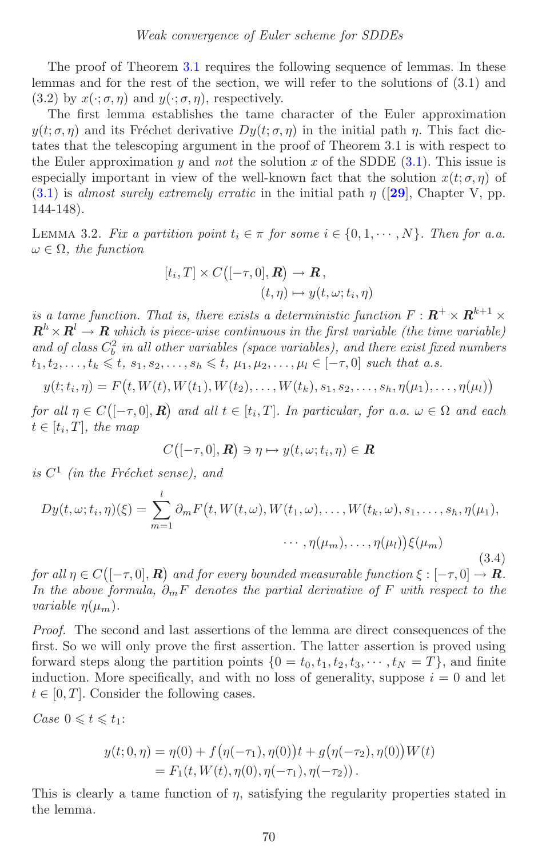<span id="page-10-0"></span>The proof of Theorem [3.1](#page-9-3) requires the following sequence of lemmas. In these lemmas and for the rest of the section, we will refer to the solutions of (3.1) and  $(3.2)$  by  $x(\cdot; \sigma, \eta)$  and  $y(\cdot; \sigma, \eta)$ , respectively.

The first lemma establishes the tame character of the Euler approximation  $y(t; \sigma, \eta)$  and its Fréchet derivative  $Dy(t; \sigma, \eta)$  in the initial path  $\eta$ . This fact dictates that the telescoping argument in the proof of Theorem 3.1 is with respect to the Euler approximation  $y$  and *not* the solution x of the SDDE  $(3.1)$ . This issue is especially important in view of the well-known fact that the solution  $x(t; \sigma, \eta)$  of  $(3.1)$  is *almost surely extremely erratic* in the initial path  $\eta$  ([**[29](#page-38-13)**], Chapter V, pp. 144-148).

LEMMA 3.2. *Fix a partition point*  $t_i \in \pi$  *for some*  $i \in \{0, 1, \dots, N\}$ *. Then for a.a.*  $\omega \in \Omega$ , the function

$$
[t_i, T] \times C\big([-\tau, 0], \mathbf{R}\big) \to \mathbf{R}, (t, \eta) \mapsto y(t, \omega; t_i, \eta)
$$

*is a tame function. That is, there exists a deterministic function*  $F: \mathbb{R}^+ \times \mathbb{R}^{k+1} \times$  $\mathbf{R}^h \times \mathbf{R}^l \to \mathbf{R}$  *which is piece-wise continuous in the first variable (the time variable)* and of class  $C_b^2$  in all other variables (space variables), and there exist fixed numbers  $t_1, t_2,..., t_k \leq t, s_1, s_2,..., s_h \leq t, \mu_1, \mu_2,..., \mu_l \in [-\tau, 0]$  such that a.s.

$$
y(t; t_i, \eta) = F(t, W(t), W(t_1), W(t_2), \dots, W(t_k), s_1, s_2, \dots, s_h, \eta(\mu_1), \dots, \eta(\mu_l))
$$

*for all*  $\eta \in C\left( [-\tau,0], \mathbf{R} \right)$  and all  $t \in [t_i,T]$ . In particular, for a.a.  $\omega \in \Omega$  and each  $t \in [t_i, T]$ , the map

$$
C\big([-\tau,0],\boldsymbol{R}\big)\ni\eta\mapsto y(t,\omega;t_i,\eta)\in\boldsymbol{R}
$$

*is*  $C^1$  *(in the Fréchet sense), and* 

$$
Dy(t,\omega;t_i,\eta)(\xi) = \sum_{m=1}^{l} \partial_m F(t,W(t,\omega),W(t_1,\omega),\ldots,W(t_k,\omega),s_1,\ldots,s_h,\eta(\mu_1),
$$

$$
\cdots,\eta(\mu_m),\ldots,\eta(\mu_l))\xi(\mu_m) \tag{3.4}
$$

*for all*  $\eta \in C([-\tau, 0], \mathbf{R})$  *and for every bounded measurable function*  $\xi : [-\tau, 0] \to \mathbf{R}$ *. In the above formula,* ∂mF *denotes the partial derivative of* F *with respect to the variable*  $\eta(\mu_m)$ .

*Proof.* The second and last assertions of the lemma are direct consequences of the first. So we will only prove the first assertion. The latter assertion is proved using forward steps along the partition points  $\{0 = t_0, t_1, t_2, t_3, \cdots, t_N = T\}$ , and finite induction. More specifically, and with no loss of generality, suppose  $i = 0$  and let  $t \in [0, T]$ . Consider the following cases.

*Case*  $0 \leq t \leq t_1$ :

$$
y(t; 0, \eta) = \eta(0) + f(\eta(-\tau_1), \eta(0))t + g(\eta(-\tau_2), \eta(0))W(t)
$$
  
=  $F_1(t, W(t), \eta(0), \eta(-\tau_1), \eta(-\tau_2))$ .

This is clearly a tame function of  $\eta$ , satisfying the regularity properties stated in the lemma.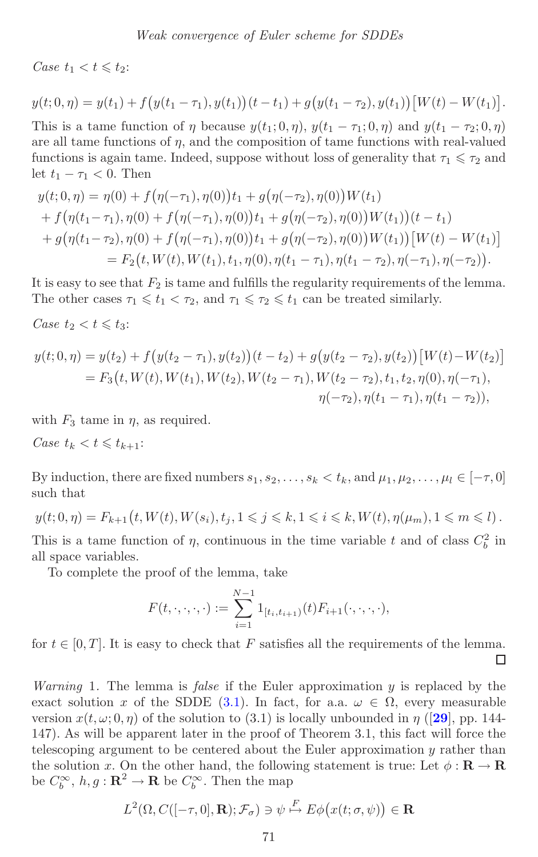<span id="page-11-0"></span>*Case*  $t_1 < t \leq t_2$ :

$$
y(t; 0, \eta) = y(t_1) + f(y(t_1 - \tau_1), y(t_1))(t - t_1) + g(y(t_1 - \tau_2), y(t_1)) [W(t) - W(t_1)].
$$

This is a tame function of  $\eta$  because  $y(t_1; 0, \eta)$ ,  $y(t_1 - \tau_1; 0, \eta)$  and  $y(t_1 - \tau_2; 0, \eta)$ are all tame functions of  $\eta$ , and the composition of tame functions with real-valued functions is again tame. Indeed, suppose without loss of generality that  $\tau_1 \leq \tau_2$  and let  $t_1 - \tau_1 < 0$ . Then

$$
y(t; 0, \eta) = \eta(0) + f(\eta(-\tau_1), \eta(0))t_1 + g(\eta(-\tau_2), \eta(0))W(t_1)
$$
  
+ 
$$
f(\eta(t_1 - \tau_1), \eta(0) + f(\eta(-\tau_1), \eta(0))t_1 + g(\eta(-\tau_2), \eta(0))W(t_1))(t - t_1)
$$
  
+ 
$$
g(\eta(t_1 - \tau_2), \eta(0) + f(\eta(-\tau_1), \eta(0))t_1 + g(\eta(-\tau_2), \eta(0))W(t_1))[W(t) - W(t_1)]
$$
  
= 
$$
F_2(t, W(t), W(t_1), t_1, \eta(0), \eta(t_1 - \tau_1), \eta(t_1 - \tau_2), \eta(-\tau_1), \eta(-\tau_2)).
$$

It is easy to see that  $F_2$  is tame and fulfills the regularity requirements of the lemma. The other cases  $\tau_1 \leq t_1 < \tau_2$ , and  $\tau_1 \leq \tau_2 \leq t_1$  can be treated similarly.

*Case*  $t_2 < t \leq t_3$ :

$$
y(t;0,\eta) = y(t_2) + f(y(t_2 - \tau_1), y(t_2))(t - t_2) + g(y(t_2 - \tau_2), y(t_2)) [W(t) - W(t_2)]
$$
  
=  $F_3(t, W(t), W(t_1), W(t_2), W(t_2 - \tau_1), W(t_2 - \tau_2), t_1, t_2, \eta(0), \eta(-\tau_1),$   

$$
\eta(-\tau_2), \eta(t_1 - \tau_1), \eta(t_1 - \tau_2)),
$$

with  $F_3$  tame in  $\eta$ , as required.

*Case*  $t_k < t \leq t_{k+1}$ :

By induction, there are fixed numbers  $s_1, s_2, \ldots, s_k < t_k$ , and  $\mu_1, \mu_2, \ldots, \mu_l \in [-\tau, 0]$ such that

$$
y(t;0,\eta)=F_{k+1}\big(t,W(t),W(s_i),t_j,1\leqslant j\leqslant k,1\leqslant i\leqslant k,W(t),\eta(\mu_m),1\leqslant m\leqslant l\big)\,.
$$

This is a tame function of  $\eta$ , continuous in the time variable t and of class  $C_b^2$  in all space variables.

To complete the proof of the lemma, take

$$
F(t,\cdot,\cdot,\cdot,\cdot):=\sum_{i=1}^{N-1}1_{[t_i,t_{i+1})}(t)F_{i+1}(\cdot,\cdot,\cdot,\cdot),
$$

for  $t \in [0, T]$ . It is easy to check that F satisfies all the requirements of the lemma. □

*Warning* 1*.* The lemma is *false* if the Euler approximation y is replaced by the exact solution x of the SDDE [\(3.1\)](#page-9-1). In fact, for a.a.  $\omega \in \Omega$ , every measurable version  $x(t, \omega; 0, \eta)$  of the solution to (3.1) is locally unbounded in  $\eta$  ([[29](#page-38-13)], pp. 144-147). As will be apparent later in the proof of Theorem 3.1, this fact will force the telescoping argument to be centered about the Euler approximation  $y$  rather than the solution x. On the other hand, the following statement is true: Let  $\phi : \mathbf{R} \to \mathbf{R}$ be  $C_b^{\infty}$ ,  $h, g : \mathbf{R}^2 \to \mathbf{R}$  be  $C_b^{\infty}$ . Then the map

$$
L^2(\Omega, C([-\tau, 0], \mathbf{R}); \mathcal{F}_\sigma) \ni \psi \stackrel{F}{\mapsto} E\phi(x(t; \sigma, \psi)) \in \mathbf{R}
$$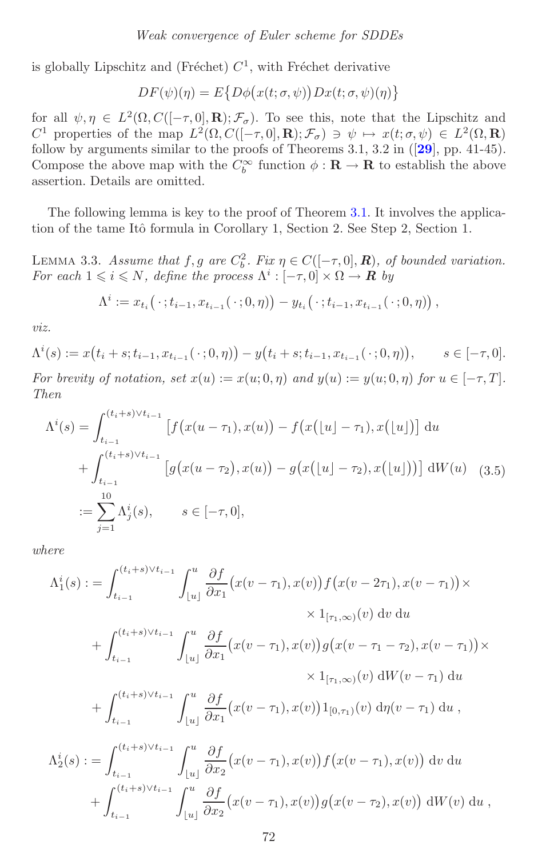<span id="page-12-2"></span>is globally Lipschitz and (Fréchet)  $C<sup>1</sup>$ , with Fréchet derivative

$$
DF(\psi)(\eta) = E\{D\phi(x(t;\sigma,\psi))Dx(t;\sigma,\psi)(\eta)\}\
$$

for all  $\psi, \eta \in L^2(\Omega, C([-\tau, 0], \mathbf{R}); \mathcal{F}_\sigma)$ . To see this, note that the Lipschitz and C<sup>1</sup> properties of the map  $L^2(\Omega, C([- \tau, 0], \mathbf{R}); \mathcal{F}_\sigma) \ni \psi \mapsto x(t; \sigma, \psi) \in L^2(\Omega, \mathbf{R})$ follow by arguments similar to the proofs of Theorems 3.1, 3.2 in ([**[29](#page-38-13)**], pp. 41-45). Compose the above map with the  $C_b^{\infty}$  function  $\phi : \mathbf{R} \to \mathbf{R}$  to establish the above assertion. Details are omitted.

<span id="page-12-1"></span>The following lemma is key to the proof of Theorem [3.1.](#page-9-3) It involves the application of the tame Itô formula in Corollary 1, Section 2. See Step 2, Section 1.

LEMMA 3.3. *Assume that*  $f, g$  *are*  $C_b^2$ *. Fix*  $\eta \in C([-\tau, 0], \mathbb{R})$ *, of bounded variation. For each*  $1 \leq i \leq N$ *, define the process*  $\Lambda^i : [-\tau, 0] \times \Omega \to \mathbb{R}$  *by* 

$$
\Lambda^{i} := x_{t_{i}}( \cdot ; t_{i-1}, x_{t_{i-1}}( \cdot ; 0, \eta)) - y_{t_{i}}( \cdot ; t_{i-1}, x_{t_{i-1}}( \cdot ; 0, \eta)) ,
$$

*viz.*

$$
\Lambda^{i}(s) := x(t_{i} + s; t_{i-1}, x_{t_{i-1}}(\cdot; 0, \eta)) - y(t_{i} + s; t_{i-1}, x_{t_{i-1}}(\cdot; 0, \eta)), \qquad s \in [-\tau, 0].
$$

<span id="page-12-0"></span>*For brevity of notation, set*  $x(u) := x(u; 0, \eta)$  *and*  $y(u) := y(u; 0, \eta)$  *for*  $u \in [-\tau, T]$ *. Then*

$$
\Lambda^{i}(s) = \int_{t_{i-1}}^{(t_{i}+s)\vee t_{i-1}} \left[ f(x(u-\tau_{1}), x(u)) - f(x([u]-\tau_{1}), x([u]) \right] du \n+ \int_{t_{i-1}}^{(t_{i}+s)\vee t_{i-1}} \left[ g(x(u-\tau_{2}), x(u)) - g(x([u]-\tau_{2}), x([u])) \right] dW(u) \quad (3.5) \n:= \sum_{j=1}^{10} \Lambda^{i}_{j}(s), \qquad s \in [-\tau, 0],
$$

*where*

<sup>t</sup>*i*−<sup>1</sup>

 $\lfloor u \rfloor$ 

 $\partial x_2$ 

$$
\Lambda_{1}^{i}(s) := \int_{t_{i-1}}^{(t_{i}+s)\vee t_{i-1}} \int_{[u]}^{u} \frac{\partial f}{\partial x_{1}}(x(v-\tau_{1}),x(v))f(x(v-2\tau_{1}),x(v-\tau_{1})) \times
$$
  
\n
$$
\times 1_{[\tau_{1},\infty)}(v) dv du
$$
  
\n
$$
+ \int_{t_{i-1}}^{(t_{i}+s)\vee t_{i-1}} \int_{[u]}^{u} \frac{\partial f}{\partial x_{1}}(x(v-\tau_{1}),x(v))g(x(v-\tau_{1}-\tau_{2}),x(v-\tau_{1})) \times
$$
  
\n
$$
\times 1_{[\tau_{1},\infty)}(v) dW(v-\tau_{1}) du
$$
  
\n
$$
+ \int_{t_{i-1}}^{(t_{i}+s)\vee t_{i-1}} \int_{[u]}^{u} \frac{\partial f}{\partial x_{1}}(x(v-\tau_{1}),x(v))1_{[0,\tau_{1})}(v) d\eta(v-\tau_{1}) du
$$
  
\n
$$
\Lambda_{2}^{i}(s) := \int_{t_{i-1}}^{(t_{i}+s)\vee t_{i-1}} \int_{[u]}^{u} \frac{\partial f}{\partial x_{2}}(x(v-\tau_{1}),x(v))f(x(v-\tau_{1}),x(v)) dv du
$$
  
\n
$$
+ \int_{t_{i-1}}^{(t_{i}+s)\vee t_{i-1}} \int_{u}^{u} \frac{\partial f}{\partial x_{2}}(x(v-\tau_{1}),x(v))g(x(v-\tau_{2}),x(v)) dW(v) du
$$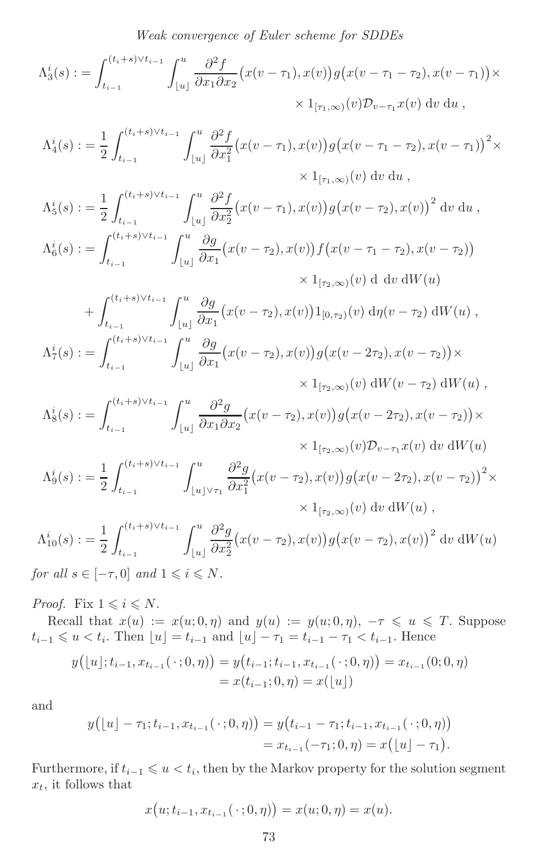*Weak convergence of Euler scheme for SDDEs*

$$
\Lambda_3^i(s) := \int_{t_{i-1}}^{(t_i+s)\vee t_{i-1}} \int_{[u]}^u \frac{\partial^2 f}{\partial x_1 \partial x_2} (x(v - \tau_1), x(v)) g(x(v - \tau_1 - \tau_2), x(v - \tau_1)) \times \times 1_{[\tau_1,\infty)}(v) \mathcal{D}_{v-\tau_1} x(v) dv du,
$$

$$
\Lambda_4^i(s) := \frac{1}{2} \int_{t_{i-1}}^{(t_i+s)\vee t_{i-1}} \int_{[u]}^u \frac{\partial^2 f}{\partial x_1^2} (x(v-\tau_1), x(v)) g(x(v-\tau_1-\tau_2), x(v-\tau_1))^2 \times \times 1_{[\tau_1,\infty)}(v) dv du,
$$

$$
\Lambda_5^i(s) := \frac{1}{2} \int_{t_{i-1}}^{(t_i+s)\vee t_{i-1}} \int_{\lfloor u \rfloor}^u \frac{\partial^2 f}{\partial x_2^2} (x(v - \tau_1), x(v)) g(x(v - \tau_2), x(v))^2 \, dv \, du,
$$
  

$$
\Lambda_6^i(s) := \int_{t_{i-1}}^{(t_i+s)\vee t_{i-1}} \int_{\lfloor u \rfloor}^u \frac{\partial g}{\partial x_1} (x(v - \tau_2), x(v)) f(x(v - \tau_1 - \tau_2), x(v - \tau_2)) \times 1_{\lfloor \tau_2, \infty \rfloor}(v) \, dv \, dW(u)
$$

+
$$
\int_{t_{i-1}}^{(t_i+s)\vee t_{i-1}} \int_{[u]}^{u} \frac{\partial g}{\partial x_1} (x(v-\tau_2), x(v)) 1_{[0,\tau_2)}(v) d\eta(v-\tau_2) dW(u) ,
$$
  

$$
\Lambda_7^i(s) := \int_{t_{i-1}}^{(t_i+s)\vee t_{i-1}} \int_{[u]}^{u} \frac{\partial g}{\partial x_1} (x(v-\tau_2), x(v)) g(x(v-2\tau_2), x(v-\tau_2)) \times
$$
  

$$
\times 1_{[\tau_2,\infty)}(v) dW(v-\tau_2) dW(u) ,
$$

$$
\Lambda_8^i(s) := \int_{t_{i-1}}^{(t_i+s)\vee t_{i-1}} \int_{\lfloor u \rfloor}^u \frac{\partial^2 g}{\partial x_1 \partial x_2} (x(v - \tau_2), x(v)) g(x(v - 2\tau_2), x(v - \tau_2)) \times \times 1_{[\tau_2, \infty)}(v) \mathcal{D}_{v-\tau_1} x(v) dv dW(u)
$$

$$
\Lambda_9^i(s) := \frac{1}{2} \int_{t_{i-1}}^{(t_i+s)\vee t_{i-1}} \int_{\lfloor u \rfloor \vee \tau_1}^u \frac{\partial^2 g}{\partial x_1^2} (x(v-\tau_2), x(v)) g(x(v-2\tau_2), x(v-\tau_2))^2 \times \times 1_{[\tau_2,\infty)}(v) dv dW(u),
$$

$$
\Lambda_{10}^{i}(s) := \frac{1}{2} \int_{t_{i-1}}^{(t_i+s)\vee t_{i-1}} \int_{\lfloor u \rfloor}^{u} \frac{\partial^2 g}{\partial x_2^2} (x(v - \tau_2), x(v)) g(x(v - \tau_2), x(v))^2 \, dv \, dW(u)
$$

*for all*  $s \in [-\tau, 0]$  *and*  $1 \leq i \leq N$ *.* 

*Proof.* Fix  $1 \leq i \leq N$ .

Recall that  $x(u) := x(u, 0, \eta)$  and  $y(u) := y(u, 0, \eta)$ ,  $-\tau \leq u \leq T$ . Suppose  $t_{i-1} \leq u \leq t_i$ . Then  $[u] = t_{i-1}$  and  $[u] - \tau_1 = t_{i-1} - \tau_1 \leq t_{i-1}$ . Hence

$$
y([u]; t_{i-1}, x_{t_{i-1}}(\cdot; 0, \eta)) = y(t_{i-1}; t_{i-1}, x_{t_{i-1}}(\cdot; 0, \eta)) = x_{t_{i-1}}(0; 0, \eta)
$$
  
=  $x(t_{i-1}; 0, \eta) = x([u])$ 

and

$$
y([u] - \tau_1; t_{i-1}, x_{t_{i-1}}(\cdot; 0, \eta)) = y(t_{i-1} - \tau_1; t_{i-1}, x_{t_{i-1}}(\cdot; 0, \eta))
$$
  
=  $x_{t_{i-1}}(-\tau_1; 0, \eta) = x([u] - \tau_1).$ 

Furthermore, if  $t_{i-1} \leqslant u < t_i$ , then by the Markov property for the solution segment  $x_t$ , it follows that

$$
x(u; t_{i-1}, x_{t_{i-1}}(\cdot; 0, \eta)) = x(u; 0, \eta) = x(u).
$$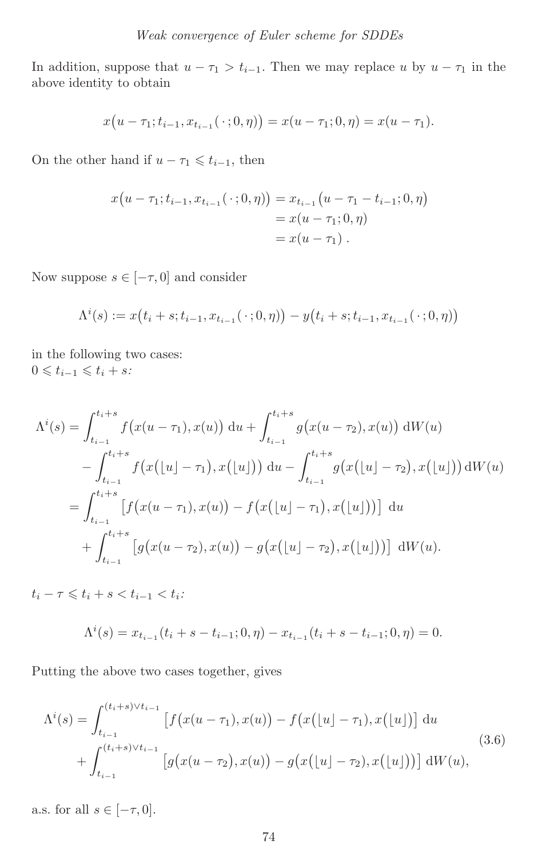In addition, suppose that  $u - \tau_1 > t_{i-1}$ . Then we may replace u by  $u - \tau_1$  in the above identity to obtain

$$
x(u - \tau_1; t_{i-1}, x_{t_{i-1}}(\cdot; 0, \eta)) = x(u - \tau_1; 0, \eta) = x(u - \tau_1).
$$

On the other hand if  $u - \tau_1 \leq t_{i-1}$ , then

$$
x(u - \tau_1; t_{i-1}, x_{t_{i-1}}(\cdot; 0, \eta)) = x_{t_{i-1}}(u - \tau_1 - t_{i-1}; 0, \eta)
$$
  
=  $x(u - \tau_1; 0, \eta)$   
=  $x(u - \tau_1).$ 

Now suppose  $s \in [-\tau, 0]$  and consider

$$
\Lambda^{i}(s) := x(t_{i} + s; t_{i-1}, x_{t_{i-1}}(\cdot; 0, \eta)) - y(t_{i} + s; t_{i-1}, x_{t_{i-1}}(\cdot; 0, \eta))
$$

in the following two cases:  $0 \leqslant t_{i-1} \leqslant t_i + s$ 

$$
\Lambda^{i}(s) = \int_{t_{i-1}}^{t_{i+1}} f(x(u-\tau_{1}), x(u)) \, du + \int_{t_{i-1}}^{t_{i+1}} g(x(u-\tau_{2}), x(u)) \, dW(u)
$$
  

$$
- \int_{t_{i-1}}^{t_{i+1}} f(x(\lfloor u \rfloor - \tau_{1}), x(\lfloor u \rfloor)) \, du - \int_{t_{i-1}}^{t_{i+1}} g(x(\lfloor u \rfloor - \tau_{2}), x(\lfloor u \rfloor)) \, dW(u)
$$
  

$$
= \int_{t_{i-1}}^{t_{i+1}} [f(x(u-\tau_{1}), x(u)) - f(x(\lfloor u \rfloor - \tau_{1}), x(\lfloor u \rfloor))] \, du
$$
  

$$
+ \int_{t_{i-1}}^{t_{i+1}} [g(x(u-\tau_{2}), x(u)) - g(x(\lfloor u \rfloor - \tau_{2}), x(\lfloor u \rfloor))] \, dW(u).
$$

 $t_i - \tau \leqslant t_i + s < t_{i-1} < t_i$ :

<span id="page-14-0"></span>
$$
\Lambda^{i}(s) = x_{t_{i-1}}(t_i + s - t_{i-1}; 0, \eta) - x_{t_{i-1}}(t_i + s - t_{i-1}; 0, \eta) = 0.
$$

Putting the above two cases together, gives

$$
\Lambda^{i}(s) = \int_{t_{i-1}}^{(t_{i}+s)\vee t_{i-1}} \left[ f(x(u-\tau_{1}),x(u)) - f(x(\lfloor u \rfloor - \tau_{1}),x(\lfloor u \rfloor)) \right] du
$$
\n
$$
+ \int_{t_{i-1}}^{(t_{i}+s)\vee t_{i-1}} \left[ g(x(u-\tau_{2}),x(u)) - g(x(\lfloor u \rfloor - \tau_{2}),x(\lfloor u \rfloor)) \right] dW(u), \tag{3.6}
$$

a.s. for all  $s \in [-\tau, 0]$ .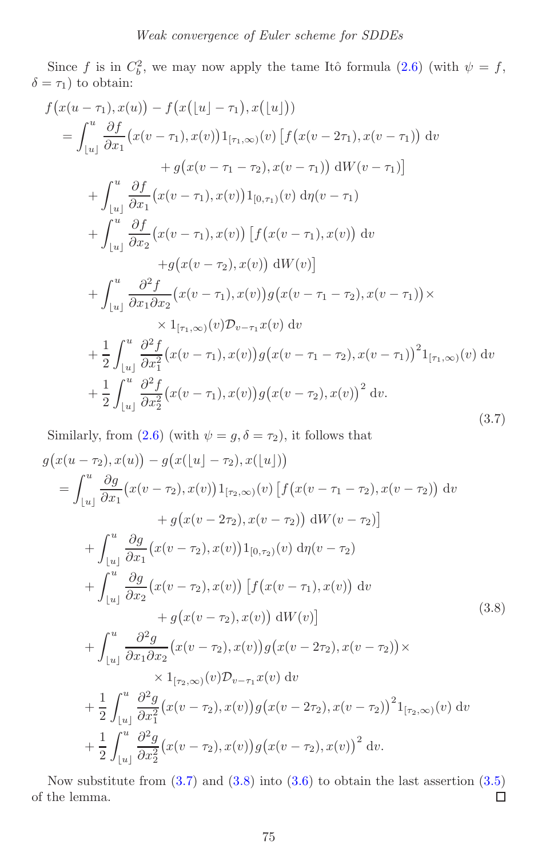<span id="page-15-0"></span>Since f is in  $C_b^2$ , we may now apply the tame Itô formula  $(2.6)$  (with  $\psi = f$ ,  $\delta = \tau_1$ ) to obtain:

$$
f(x(u - \tau_1), x(u)) - f(x([u] - \tau_1), x([u]))
$$
  
\n
$$
= \int_{[u]}^{u} \frac{\partial f}{\partial x_1} (x(v - \tau_1), x(v)) 1_{[\tau_1, \infty)}(v) [f(x(v - 2\tau_1), x(v - \tau_1)) dv
$$
  
\n
$$
+ g(x(v - \tau_1 - \tau_2), x(v - \tau_1)) dW(v - \tau_1)]
$$
  
\n
$$
+ \int_{[u]}^{u} \frac{\partial f}{\partial x_1} (x(v - \tau_1), x(v)) 1_{[0, \tau_1)}(v) d\eta (v - \tau_1)
$$
  
\n
$$
+ \int_{[u]}^{u} \frac{\partial f}{\partial x_2} (x(v - \tau_1), x(v)) [f(x(v - \tau_1), x(v)) dv
$$
  
\n
$$
+ g(x(v - \tau_2), x(v)) dW(v)]
$$
  
\n
$$
+ \int_{[u]}^{u} \frac{\partial^2 f}{\partial x_1 \partial x_2} (x(v - \tau_1), x(v)) g(x(v - \tau_1 - \tau_2), x(v - \tau_1)) \times
$$
  
\n
$$
\times 1_{[\tau_1, \infty)}(v) D_{v - \tau_1} x(v) dv
$$
  
\n
$$
+ \frac{1}{2} \int_{[u]}^{u} \frac{\partial^2 f}{\partial x_1^2} (x(v - \tau_1), x(v)) g(x(v - \tau_1 - \tau_2), x(v - \tau_1))^2 1_{[\tau_1, \infty)}(v) dv
$$
  
\n
$$
+ \frac{1}{2} \int_{[u]}^{u} \frac{\partial^2 f}{\partial x_2^2} (x(v - \tau_1), x(v)) g(x(v - \tau_2), x(v))^2 dv.
$$
  
\n(3.7)

<span id="page-15-1"></span>Similarly, from [\(2.6\)](#page-7-1) (with  $\psi = g, \delta = \tau_2$ ), it follows that

$$
g(x(u-\tau_2), x(u)) - g(x([u]-\tau_2), x([u]))
$$
  
\n
$$
= \int_{[u]}^{u} \frac{\partial g}{\partial x_1} (x(v-\tau_2), x(v)) 1_{[\tau_2, \infty)}(v) [f(x(v-\tau_1 - \tau_2), x(v-\tau_2))] dv
$$
  
\n
$$
+ g(x(v-2\tau_2), x(v-\tau_2)) dW(v-\tau_2)]
$$
  
\n
$$
+ \int_{[u]}^{u} \frac{\partial g}{\partial x_1} (x(v-\tau_2), x(v)) 1_{[0,\tau_2)}(v) d\eta (v-\tau_2)
$$
  
\n
$$
+ \int_{[u]}^{u} \frac{\partial g}{\partial x_2} (x(v-\tau_2), x(v)) [f(x(v-\tau_1), x(v))] dv
$$
  
\n
$$
+ g(x(v-\tau_2), x(v)) dW(v)]
$$
  
\n
$$
+ \int_{[u]}^{u} \frac{\partial^2 g}{\partial x_1 \partial x_2} (x(v-\tau_2), x(v)) g(x(v-2\tau_2), x(v-\tau_2)) \times
$$
  
\n
$$
\times 1_{[\tau_2, \infty)}(v) \mathcal{D}_{v-\tau_1} x(v) dv
$$
  
\n
$$
+ \frac{1}{2} \int_{[u]}^{u} \frac{\partial^2 g}{\partial x_1^2} (x(v-\tau_2), x(v)) g(x(v-2\tau_2), x(v-\tau_2))^2 1_{[\tau_2, \infty)}(v) dv
$$
  
\n
$$
+ \frac{1}{2} \int_{[u]}^{u} \frac{\partial^2 g}{\partial x_1^2} (x(v-\tau_2), x(v)) g(x(v-\tau_2), x(v))^2 dv.
$$
  
\n(3.8)

<span id="page-15-2"></span>Now substitute from  $(3.7)$  and  $(3.8)$  into  $(3.6)$  to obtain the last assertion  $(3.5)$  $\Box$ of the lemma.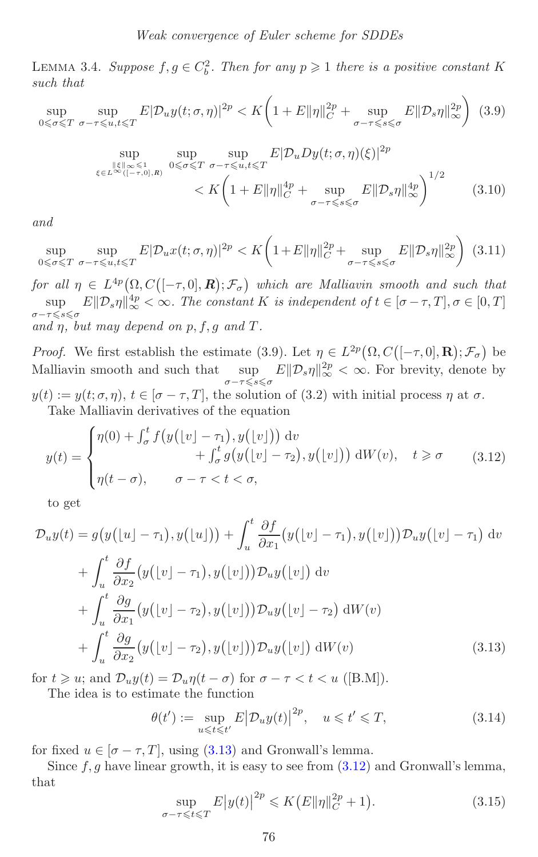<span id="page-16-2"></span>LEMMA 3.4. *Suppose*  $f, g \in C_b^2$ . *Then for any*  $p \geq 1$  *there is a positive constant* K *such that*

$$
\sup_{0 \leq \sigma \leq T} \sup_{\sigma - \tau \leq u, t \leq T} E|\mathcal{D}_u y(t; \sigma, \eta)|^{2p} < K \left( 1 + E\|\eta\|_{C}^{2p} + \sup_{\sigma - \tau \leq s \leq \sigma} E\|\mathcal{D}_s \eta\|_{\infty}^{2p} \right) \tag{3.9}
$$

$$
\sup_{\xi \in L^{\infty}([-{\tau},0],R)} \sup_{0 \leq \sigma \leq T} \sup_{\sigma - \tau \leq u,t \leq T} E|\mathcal{D}_u D y(t;\sigma,\eta)(\xi)|^{2p}
$$
  

$$
< K \left(1 + E\|\eta\|_{C}^{4p} + \sup_{\sigma - \tau \leq s \leq \sigma} E\|\mathcal{D}_s \eta\|_{\infty}^{4p}\right)^{1/2}
$$
(3.10)

*and*

$$
\sup_{0 \leq \sigma \leq T} \sup_{\sigma - \tau \leq u, t \leq T} E|\mathcal{D}_u x(t; \sigma, \eta)|^{2p} < K \left( 1 + E \|\eta\|_{C}^{2p} + \sup_{\sigma - \tau \leq s \leq \sigma} E \|\mathcal{D}_s \eta\|_{\infty}^{2p} \right) \tag{3.11}
$$

*for all*  $\eta \in L^{4p}(\Omega, C([-\tau, 0], \mathbf{R}); \mathcal{F}_{\sigma})$  which are Malliavin smooth and such that  $\sup_{\sigma-\tau\leq s\leqslant\sigma} E\|\mathcal{D}_s\eta\|_{\infty}^{4p} < \infty$ . The constant K is independent of  $t \in [\sigma-\tau, T], \sigma \in [0, T]$ and  $\eta$ , but may depend on  $p, f, g$  and  $T$ .

*Proof.* We first establish the estimate (3.9). Let  $\eta \in L^{2p}(\Omega, C([-\tau, 0], \mathbf{R}); \mathcal{F}_{\sigma})$  be Malliavin smooth and such that  $\sup_{\sigma-\tau\leq s\leq \sigma}$  $E\|\mathcal{D}_s\eta\|_{\infty}^{2p} < \infty$ . For brevity, denote by  $y(t) := y(t; \sigma, \eta), t \in [\sigma - \tau, T],$  the solution of (3.2) with initial process  $\eta$  at  $\sigma$ . Take Malliavin derivatives of the equation

<span id="page-16-1"></span>
$$
y(t) = \begin{cases} \eta(0) + \int_{\sigma}^{t} f\big(y\big(\lfloor v \rfloor - \tau_1\big), y\big(\lfloor v \rfloor\big)\big) \, \mathrm{d}v \\ \qquad + \int_{\sigma}^{t} g\big(y\big(\lfloor v \rfloor - \tau_2\big), y\big(\lfloor v \rfloor\big)\big) \, \mathrm{d}W(v), \quad t \geq \sigma \\ \eta(t - \sigma), \qquad \sigma - \tau < t < \sigma, \end{cases} \tag{3.12}
$$

to get

<span id="page-16-0"></span>
$$
\mathcal{D}_u y(t) = g(y(\lfloor u \rfloor - \tau_1), y(\lfloor u \rfloor)) + \int_u^t \frac{\partial f}{\partial x_1} (y(\lfloor v \rfloor - \tau_1), y(\lfloor v \rfloor)) \mathcal{D}_u y(\lfloor v \rfloor - \tau_1) dv \n+ \int_u^t \frac{\partial f}{\partial x_2} (y(\lfloor v \rfloor - \tau_1), y(\lfloor v \rfloor)) \mathcal{D}_u y(\lfloor v \rfloor) dv \n+ \int_u^t \frac{\partial g}{\partial x_1} (y(\lfloor v \rfloor - \tau_2), y(\lfloor v \rfloor)) \mathcal{D}_u y(\lfloor v \rfloor - \tau_2) dW(v) \n+ \int_u^t \frac{\partial g}{\partial x_2} (y(\lfloor v \rfloor - \tau_2), y(\lfloor v \rfloor)) \mathcal{D}_u y(\lfloor v \rfloor) dW(v)
$$
\n(3.13)

for  $t \geqslant u$ ; and  $\mathcal{D}_u y(t) = \mathcal{D}_u \eta(t - \sigma)$  for  $\sigma - \tau < t < u$  ([B.M]). The idea is to estimate the function

$$
\theta(t') := \sup_{u \leqslant t \leqslant t'} E \left| \mathcal{D}_u y(t) \right|^{2p}, \quad u \leqslant t' \leqslant T,
$$
\n(3.14)

for fixed  $u \in [\sigma - \tau, T]$ , using [\(3.13\)](#page-16-0) and Gronwall's lemma.

Since  $f, g$  have linear growth, it is easy to see from  $(3.12)$  and Gronwall's lemma, that

$$
\sup_{\sigma - \tau \leq t \leq T} E|y(t)|^{2p} \leq K(E|\eta||_{C}^{2p} + 1). \tag{3.15}
$$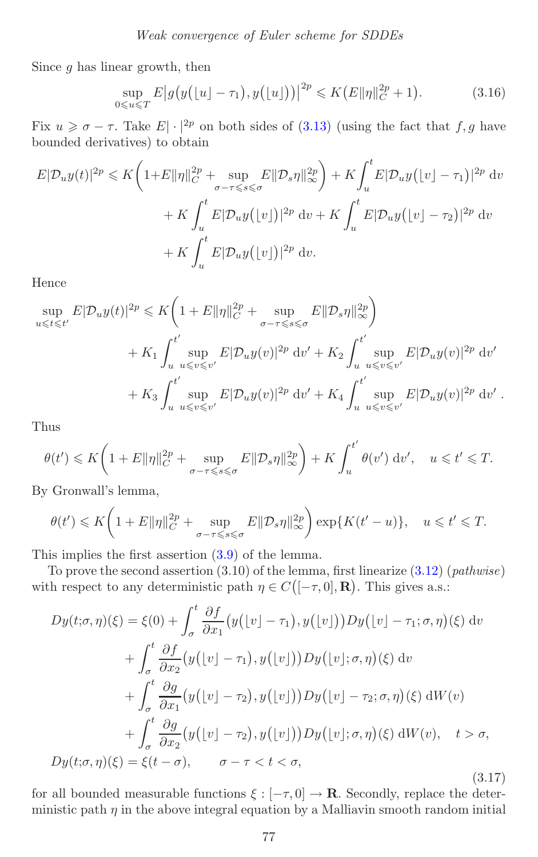Since  $g$  has linear growth, then

$$
\sup_{0 \le u \le T} E|g(y(\lfloor u \rfloor - \tau_1), y(\lfloor u \rfloor))|^{2p} \le K(E||\eta||_C^{2p} + 1). \tag{3.16}
$$

Fix  $u \geq \sigma - \tau$ . Take  $E|\cdot|^{2p}$  on both sides of [\(3.13\)](#page-16-0) (using the fact that  $f, g$  have bounded derivatives) to obtain

$$
E|\mathcal{D}_u y(t)|^{2p} \leq K\left(1+E\|\eta\|_{C}^{2p} + \sup_{\sigma-\tau\leq s\leq \sigma} E\|\mathcal{D}_s \eta\|_{\infty}^{2p}\right) + K\int_u^t E|\mathcal{D}_u y(\lfloor v \rfloor - \tau_1)|^{2p} dv
$$
  
+  $K\int_u^t E|\mathcal{D}_u y(\lfloor v \rfloor)|^{2p} dv + K\int_u^t E|\mathcal{D}_u y(\lfloor v \rfloor - \tau_2)|^{2p} dv$   
+  $K\int_u^t E|\mathcal{D}_u y(\lfloor v \rfloor)|^{2p} dv$ .

Hence

$$
\sup_{u \leqslant t \leqslant t'} E|D_u y(t)|^{2p} \leqslant K \bigg( 1 + E \| \eta \|_{C}^{2p} + \sup_{\sigma - \tau \leqslant s \leqslant \sigma} E \|D_s \eta \|_{\infty}^{2p} \bigg)
$$
  
+ K\_1 \int\_u^t \sup\_{u \leqslant v \leqslant v'} E|D\_u y(v)|^{2p} dv' + K\_2 \int\_u^t \sup\_{u \leqslant v \leqslant v'} E|D\_u y(v)|^{2p} dv'  
+ K\_3 \int\_u^t \sup\_{u \leqslant v \leqslant v'} E|D\_u y(v)|^{2p} dv' + K\_4 \int\_u^t' \sup\_{u \leqslant v \leqslant v'} E|D\_u y(v)|^{2p} dv' .

Thus

$$
\theta(t') \leqslant K\bigg(1+E\|\eta\|_{C}^{2p}+\sup_{\sigma-\tau\leqslant s\leqslant\sigma}E\|\mathcal{D}_s\eta\|_{\infty}^{2p}\bigg)+K\int_{u}^{t'}\theta(v')\;\mathrm{d}v',\quad u\leqslant t'\leqslant T.
$$

By Gronwall's lemma,

$$
\theta(t') \leqslant K\bigg(1+E\|\eta\|_{C}^{2p}+\sup_{\sigma-\tau\leqslant s\leqslant\sigma}E\|\mathcal{D}_s\eta\|_{\infty}^{2p}\bigg)\exp\{K(t'-u)\},\quad u\leqslant t'\leqslant T.
$$

This implies the first assertion [\(3.9\)](#page-16-2) of the lemma.

To prove the second assertion (3.10) of the lemma, first linearize [\(3.12\)](#page-16-1) (*pathwise*) with respect to any deterministic path  $\eta \in C([-\tau,0],\mathbf{R})$ . This gives a.s.:

<span id="page-17-0"></span>
$$
Dy(t; \sigma, \eta)(\xi) = \xi(0) + \int_{\sigma}^{t} \frac{\partial f}{\partial x_{1}} \big( y([v] - \tau_{1}), y([v]) \big) Dy([v] - \tau_{1}; \sigma, \eta)(\xi) dv
$$

$$
+ \int_{\sigma}^{t} \frac{\partial f}{\partial x_{2}} \big( y([v] - \tau_{1}), y([v]) \big) Dy([v]; \sigma, \eta)(\xi) dv
$$

$$
+ \int_{\sigma}^{t} \frac{\partial g}{\partial x_{1}} \big( y([v] - \tau_{2}), y([v]) \big) Dy([v] - \tau_{2}; \sigma, \eta)(\xi) dW(v)
$$

$$
+ \int_{\sigma}^{t} \frac{\partial g}{\partial x_{2}} \big( y([v] - \tau_{2}), y([v]) \big) Dy([v]; \sigma, \eta)(\xi) dW(v), \quad t > \sigma,
$$

$$
Dy(t; \sigma, \eta)(\xi) = \xi(t - \sigma), \qquad \sigma - \tau < t < \sigma,
$$
(3.17)

for all bounded measurable functions  $\xi : [-\tau, 0] \to \mathbf{R}$ . Secondly, replace the deterministic path  $\eta$  in the above integral equation by a Malliavin smooth random initial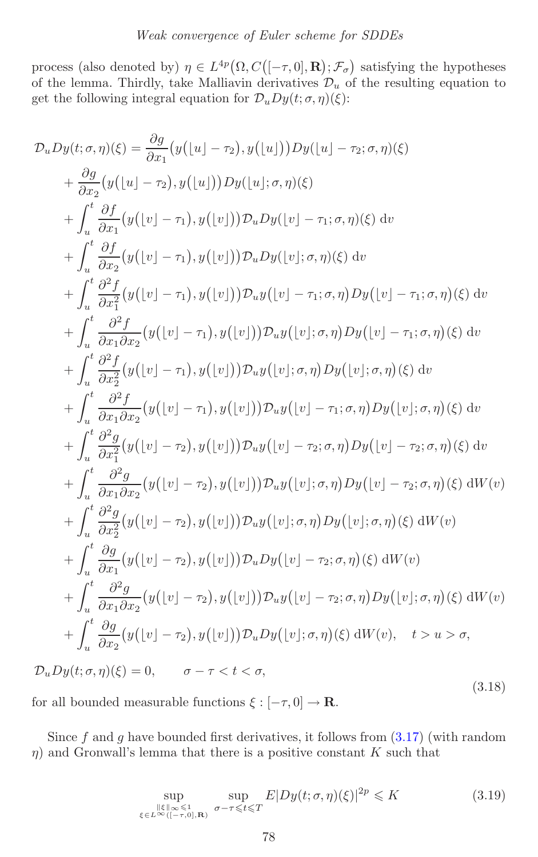<span id="page-18-0"></span>process (also denoted by)  $\eta \in L^{4p}(\Omega, C([-\tau, 0], \mathbf{R}); \mathcal{F}_{\sigma})$  satisfying the hypotheses of the lemma. Thirdly, take Malliavin derivatives  $\mathcal{D}_u$  of the resulting equation to get the following integral equation for  $\mathcal{D}_u D_y(t;\sigma,\eta)(\xi)$ :

$$
\mathcal{D}_{u}Dy(t;\sigma,\eta)(\xi) = \frac{\partial g}{\partial x_{1}}(y(\lfloor u \rfloor - \tau_{2}), y(\lfloor u \rfloor))Dy(\lfloor u \rfloor - \tau_{2}; \sigma, \eta)(\xi)
$$
\n
$$
+ \frac{\partial g}{\partial x_{2}}(y(\lfloor u \rfloor - \tau_{2}), y(\lfloor u \rfloor))Dy(\lfloor u \rfloor; \sigma, \eta)(\xi)
$$
\n
$$
+ \int_{u}^{t} \frac{\partial f}{\partial x_{1}}(y(\lfloor v \rfloor - \tau_{1}), y(\lfloor v \rfloor))D_{u}Dy(\lfloor v \rfloor - \tau_{1}; \sigma, \eta)(\xi) dv
$$
\n
$$
+ \int_{u}^{t} \frac{\partial f}{\partial x_{2}}(y(\lfloor v \rfloor - \tau_{1}), y(\lfloor v \rfloor))D_{u}Dy(\lfloor v \rfloor; \sigma, \eta)(\xi) dv
$$
\n
$$
+ \int_{u}^{t} \frac{\partial^{2} f}{\partial x_{1}^{2}}(y(\lfloor v \rfloor - \tau_{1}), y(\lfloor v \rfloor))D_{u}y(\lfloor v \rfloor - \tau_{1}; \sigma, \eta)Dy(\lfloor v \rfloor - \tau_{1}; \sigma, \eta)(\xi) dv
$$
\n
$$
+ \int_{u}^{t} \frac{\partial^{2} f}{\partial x_{1} \partial x_{2}}(y(\lfloor v \rfloor - \tau_{1}), y(\lfloor v \rfloor))D_{u}y(\lfloor v \rfloor; \sigma, \eta)Dy(\lfloor v \rfloor - \tau_{1}; \sigma, \eta)(\xi) dv
$$
\n
$$
+ \int_{u}^{t} \frac{\partial^{2} f}{\partial x_{2}^{2}}(y(\lfloor v \rfloor - \tau_{1}), y(\lfloor v \rfloor))D_{u}y(\lfloor v \rfloor; \sigma, \eta)Dy(\lfloor v \rfloor; \sigma, \eta)(\xi) dv
$$
\n
$$
+ \int_{u}^{t} \frac{\partial^{2} f}{\partial x_{1} \partial x_{2}}(y(\lfloor v \rfloor - \tau_{1}), y(\lfloor v \rfloor))D_{u}y(\lfloor v \rfloor - \tau_{1}; \sigma, \eta)Dy(\lfloor v \rfloor; \sigma, \eta)(\xi) dv
$$
\n
$$
+ \int_{u}^{t} \frac{\partial^{2} g
$$

for all bounded measurable functions  $\xi : [-\tau, 0] \to \mathbb{R}$ .

Since f and g have bounded first derivatives, it follows from  $(3.17)$  (with random  $\eta$ ) and Gronwall's lemma that there is a positive constant K such that

<span id="page-18-1"></span>
$$
\sup_{\substack{\|\xi\|_{\infty}\leqslant 1\\ \xi\in L^{\infty}([-{\tau},0],\mathbf{R})}} \sup_{\sigma-\tau\leqslant t\leqslant T} E|Dy(t;\sigma,\eta)(\xi)|^{2p} \leqslant K
$$
\n(3.19)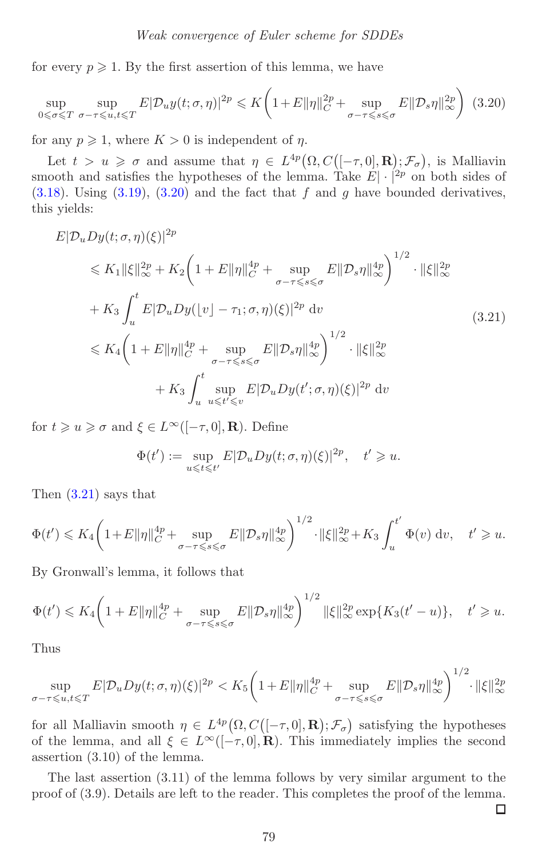for every  $p \geqslant 1$ . By the first assertion of this lemma, we have

<span id="page-19-0"></span>
$$
\sup_{0 \leq \sigma \leq T} \sup_{\sigma - \tau \leq u, t \leq T} E|D_u y(t; \sigma, \eta)|^{2p} \leq K \left(1 + E\|\eta\|_{C}^{2p} + \sup_{\sigma - \tau \leq s \leq \sigma} E\|\mathcal{D}_s \eta\|_{\infty}^{2p}\right) (3.20)
$$

for any  $p \geqslant 1$ , where  $K > 0$  is independent of  $\eta$ .

<span id="page-19-1"></span>Let  $t > u \geq \sigma$  and assume that  $\eta \in L^{4p}(\Omega, C([-\tau, 0], \mathbf{R}); \mathcal{F}_{\sigma})$ , is Malliavin smooth and satisfies the hypotheses of the lemma. Take  $E|\cdot|^{2p}$  on both sides of  $(3.18)$ . Using  $(3.19)$ ,  $(3.20)$  and the fact that f and g have bounded derivatives, this yields:

$$
E|\mathcal{D}_{u}Dy(t;\sigma,\eta)(\xi)|^{2p} \leq K_{1} \|\xi\|_{\infty}^{2p} + K_{2} \bigg(1 + E\|\eta\|_{C}^{4p} + \sup_{\sigma-\tau \leq s \leq \sigma} E\|\mathcal{D}_{s}\eta\|_{\infty}^{4p}\bigg)^{1/2} \cdot \|\xi\|_{\infty}^{2p} + K_{3} \int_{u}^{t} E|\mathcal{D}_{u}Dy(\lfloor v \rfloor - \tau_{1};\sigma,\eta)(\xi)|^{2p} dv \leq K_{4} \bigg(1 + E\|\eta\|_{C}^{4p} + \sup_{\sigma-\tau \leq s \leq \sigma} E\|\mathcal{D}_{s}\eta\|_{\infty}^{4p}\bigg)^{1/2} \cdot \|\xi\|_{\infty}^{2p} + K_{3} \int_{u}^{t} \sup_{u \leq t' \leq v} E|\mathcal{D}_{u}Dy(t';\sigma,\eta)(\xi)|^{2p} dv
$$
\n(3.21)

for  $t \geqslant u \geqslant \sigma$  and  $\xi \in L^{\infty}([-\tau,0],\mathbf{R})$ . Define

$$
\Phi(t') := \sup_{u \leq t \leq t'} E|\mathcal{D}_u D y(t; \sigma, \eta)(\xi)|^{2p}, \quad t' \geq u.
$$

Then [\(3.21\)](#page-19-1) says that

$$
\Phi(t') \leq K_4 \bigg( 1 + E \|\eta\|_{C}^{4p} + \sup_{\sigma - \tau \leq s \leq \sigma} E \|\mathcal{D}_s \eta\|_{\infty}^{4p} \bigg)^{1/2} \cdot \|\xi\|_{\infty}^{2p} + K_3 \int_u^{t'} \Phi(v) \, \mathrm{d}v, \quad t' \geq u.
$$

By Gronwall's lemma, it follows that

$$
\Phi(t') \leqslant K_4 \bigg( 1 + E \|\eta\|_{C}^{4p} + \sup_{\sigma-\tau \leqslant s \leqslant \sigma} E \|\mathcal{D}_s \eta\|_{\infty}^{4p} \bigg)^{1/2} \|\xi\|_{\infty}^{2p} \exp\{K_3(t'-u)\}, \quad t' \geqslant u.
$$

Thus

$$
\sup_{\sigma-\tau\leqslant u,t\leqslant T} E|\mathcal{D}_uDy(t;\sigma,\eta)(\xi)|^{2p} < K_5 \bigg(1+E\|\eta\|_{C}^{4p} + \sup_{\sigma-\tau\leqslant s\leqslant \sigma} E\|\mathcal{D}_s\eta\|_{\infty}^{4p}\bigg)^{1/2} \cdot \|\xi\|_{\infty}^{2p}
$$

for all Malliavin smooth  $\eta \in L^{4p}(\Omega, C([-\tau, 0], \mathbf{R}); \mathcal{F}_{\sigma})$  satisfying the hypotheses of the lemma, and all  $\xi \in L^{\infty}([-\tau,0],\mathbf{R})$ . This immediately implies the second assertion (3.10) of the lemma.

The last assertion (3.11) of the lemma follows by very similar argument to the proof of (3.9). Details are left to the reader. This completes the proof of the lemma.

 $\Box$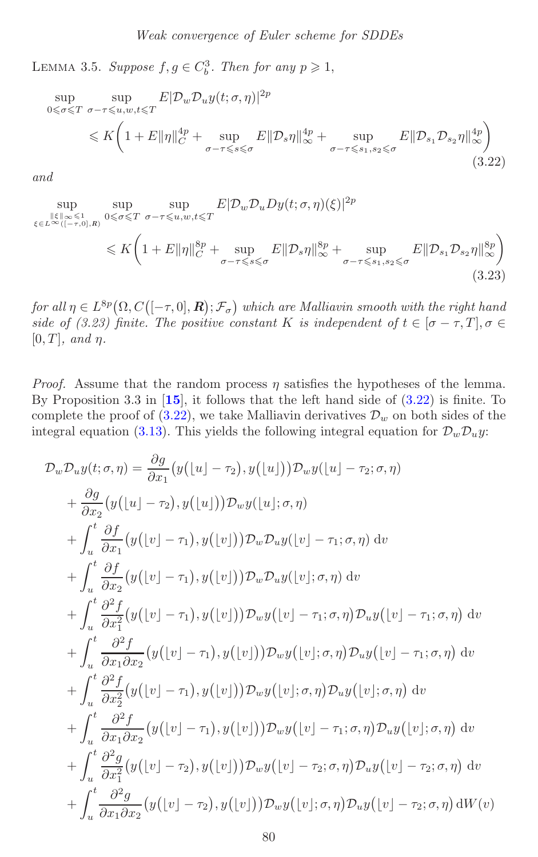<span id="page-20-2"></span>LEMMA 3.5. *Suppose*  $f, g \in C_b^3$ . *Then for any*  $p \geq 1$ ,

<span id="page-20-0"></span>
$$
\sup_{0 \leq \sigma \leq T} \sup_{\sigma-\tau \leq u,w,t \leq T} E|\mathcal{D}_{w}\mathcal{D}_{u}y(t;\sigma,\eta)|^{2p}
$$
\n
$$
\leq K \left(1 + E\|\eta\|_{C}^{4p} + \sup_{\sigma-\tau \leq s \leq \sigma} E\|\mathcal{D}_{s}\eta\|_{\infty}^{4p} + \sup_{\sigma-\tau \leq s_{1},s_{2} \leq \sigma} E\|\mathcal{D}_{s_{1}}\mathcal{D}_{s_{2}}\eta\|_{\infty}^{4p}\right)
$$
\n(3.22)

*and*

<span id="page-20-1"></span>
$$
\sup_{\xi \in L^{\infty}([-{\tau},0],R)} \sup_{0 \leq \sigma \leq T} \sup_{\sigma-\tau \leq u,w,t \leq T} E|\mathcal{D}_{w}\mathcal{D}_{u}D_{y}(t;\sigma,\eta)(\xi)|^{2p}
$$
\n
$$
\leq K \left(1 + E\|\eta\|_{C}^{8p} + \sup_{\sigma-\tau \leq s \leq \sigma} E\|\mathcal{D}_{s}\eta\|_{\infty}^{8p} + \sup_{\sigma-\tau \leq s_{1},s_{2} \leq \sigma} E\|\mathcal{D}_{s_{1}}\mathcal{D}_{s_{2}}\eta\|_{\infty}^{8p}\right) \tag{3.23}
$$

 $for all$   $\eta \in L^{8p}(\Omega, C([-\tau, 0], \mathbf{R}); \mathcal{F}_{\sigma})$  which are Malliavin smooth with the right hand *side of (3.23) finite. The positive constant* K *is independent of*  $t \in [\sigma - \tau, T], \sigma \in$  $[0, T]$ *, and*  $\eta$ *.* 

*Proof.* Assume that the random process  $\eta$  satisfies the hypotheses of the lemma. By Proposition 3.3 in [**[15](#page-37-5)**], it follows that the left hand side of [\(3.22\)](#page-20-0) is finite. To complete the proof of  $(3.22)$ , we take Malliavin derivatives  $\mathcal{D}_w$  on both sides of the integral equation [\(3.13\)](#page-16-0). This yields the following integral equation for  $\mathcal{D}_w \mathcal{D}_u y$ :

$$
\mathcal{D}_{w} \mathcal{D}_{u} y(t; \sigma, \eta) = \frac{\partial g}{\partial x_{1}} \left( y(\lfloor u \rfloor - \tau_{2}), y(\lfloor u \rfloor) \right) \mathcal{D}_{w} y(\lfloor u \rfloor - \tau_{2}; \sigma, \eta)
$$
\n
$$
+ \frac{\partial g}{\partial x_{2}} \left( y(\lfloor u \rfloor - \tau_{2}), y(\lfloor u \rfloor) \right) \mathcal{D}_{w} y(\lfloor u \rfloor; \sigma, \eta)
$$
\n
$$
+ \int_{u}^{t} \frac{\partial f}{\partial x_{1}} \left( y(\lfloor v \rfloor - \tau_{1}), y(\lfloor v \rfloor) \right) \mathcal{D}_{w} \mathcal{D}_{u} y(\lfloor v \rfloor - \tau_{1}; \sigma, \eta) dv
$$
\n
$$
+ \int_{u}^{t} \frac{\partial f}{\partial x_{2}} \left( y(\lfloor v \rfloor - \tau_{1}), y(\lfloor v \rfloor) \right) \mathcal{D}_{w} \mathcal{D}_{u} y(\lfloor v \rfloor; \sigma, \eta) dv
$$
\n
$$
+ \int_{u}^{t} \frac{\partial^{2} f}{\partial x_{1}^{2}} \left( y(\lfloor v \rfloor - \tau_{1}), y(\lfloor v \rfloor) \right) \mathcal{D}_{w} y(\lfloor v \rfloor - \tau_{1}; \sigma, \eta) \mathcal{D}_{u} y(\lfloor v \rfloor - \tau_{1}; \sigma, \eta) dv
$$
\n
$$
+ \int_{u}^{t} \frac{\partial^{2} f}{\partial x_{1} \partial x_{2}} \left( y(\lfloor v \rfloor - \tau_{1}), y(\lfloor v \rfloor) \right) \mathcal{D}_{w} y(\lfloor v \rfloor; \sigma, \eta) \mathcal{D}_{u} y(\lfloor v \rfloor - \tau_{1}; \sigma, \eta) dv
$$
\n
$$
+ \int_{u}^{t} \frac{\partial^{2} f}{\partial x_{2}^{2}} \left( y(\lfloor v \rfloor - \tau_{1}), y(\lfloor v \rfloor) \right) \mathcal{D}_{w} y(\lfloor v \rfloor; \sigma, \eta) \mathcal{D}_{u} y(\lfloor v \rfloor; \sigma, \eta) dv
$$
\n
$$
+ \int_{u}^{t} \frac{\partial^{2} f}{\partial x_{1} \partial x_{2}} \left( y(\lf
$$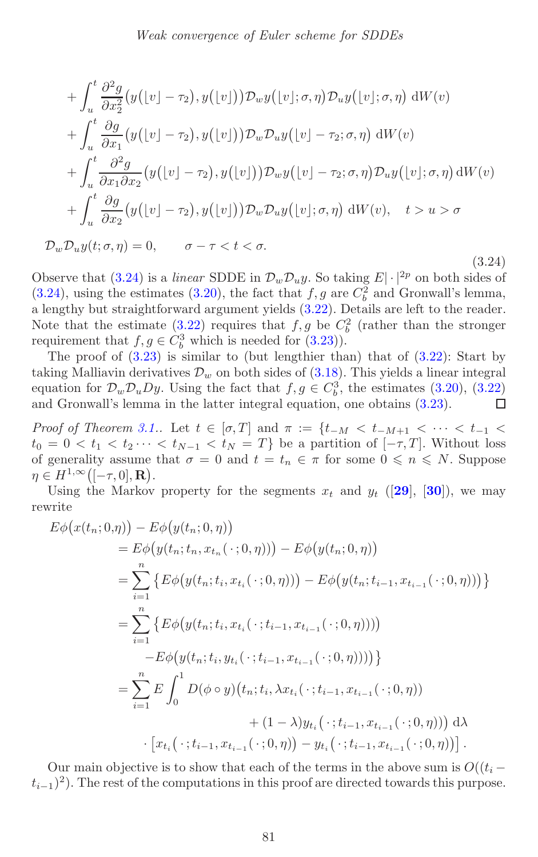<span id="page-21-1"></span><span id="page-21-0"></span>+ 
$$
\int_{u}^{t} \frac{\partial^{2} g}{\partial x_{2}^{2}} (y([v] - \tau_{2}), y([v])) \mathcal{D}_{w} y([v]; \sigma, \eta) \mathcal{D}_{u} y([v]; \sigma, \eta) dW(v)
$$
  
+  $\int_{u}^{t} \frac{\partial g}{\partial x_{1}} (y([v] - \tau_{2}), y([v])) \mathcal{D}_{w} \mathcal{D}_{u} y([v] - \tau_{2}; \sigma, \eta) dW(v)$   
+  $\int_{u}^{t} \frac{\partial^{2} g}{\partial x_{1} \partial x_{2}} (y([v] - \tau_{2}), y([v])) \mathcal{D}_{w} y([v] - \tau_{2}; \sigma, \eta) \mathcal{D}_{u} y([v]; \sigma, \eta) dW(v)$   
+  $\int_{u}^{t} \frac{\partial g}{\partial x_{2}} (y([v] - \tau_{2}), y([v])) \mathcal{D}_{w} \mathcal{D}_{u} y([v]; \sigma, \eta) dW(v), t > u > \sigma$   
 $\mathcal{D}_{w} \mathcal{D}_{u} y(t; \sigma, \eta) = 0, \sigma - \tau < t < \sigma.$ 

(3.24)

Observe that [\(3.24\)](#page-21-0) is a *linear* SDDE in  $\mathcal{D}_w \mathcal{D}_u y$ . So taking  $E \cdot |^{2p}$  on both sides of  $(3.24)$ , using the estimates  $(3.20)$ , the fact that  $f,g$  are  $C_b^2$  and Gronwall's lemma, a lengthy but straightforward argument yields [\(3.22\)](#page-20-0). Details are left to the reader. Note that the estimate [\(3.22\)](#page-20-0) requires that  $f, g$  be  $C_b^2$  (rather than the stronger requirement that  $f,g \in C_b^3$  which is needed for  $(3.23)$ .

The proof of  $(3.23)$  is similar to (but lengthier than) that of  $(3.22)$ : Start by taking Malliavin derivatives  $\mathcal{D}_w$  on both sides of [\(3.18\)](#page-18-0). This yields a linear integral equation for  $\mathcal{D}_w \mathcal{D}_u D_y$ . Using the fact that  $f, g \in C_b^3$ , the estimates [\(3.20\)](#page-19-0), [\(3.22\)](#page-20-0) and Gronwall's lemma in the latter integral equation, one obtains [\(3.23\)](#page-20-1).  $\Box$ 

*Proof of Theorem [3.1.](#page-9-3)*. Let  $t \in [\sigma, T]$  and  $\pi := \{t_{-M} < t_{-M+1} < \cdots < t_{-1} <$  $t_0 = 0 < t_1 < t_2 \cdots < t_{N-1} < t_N = T$  be a partition of  $[-\tau, T]$ . Without loss of generality assume that  $\sigma = 0$  and  $t = t_n \in \pi$  for some  $0 \leq n \leq N$ . Suppose  $\eta \in H^{1,\infty}\left( [-\tau,0],\mathbf{R}\right).$ 

Using the Markov property for the segments  $x_t$  and  $y_t$  ([[29](#page-38-13)], [[30](#page-38-16)]), we may rewrite

$$
E\phi(x(t_n; 0, \eta)) - E\phi(y(t_n; 0, \eta))
$$
  
\n
$$
= E\phi(y(t_n; t_n, x_{t_n}(\cdot; 0, \eta))) - E\phi(y(t_n; 0, \eta))
$$
  
\n
$$
= \sum_{i=1}^n \{ E\phi(y(t_n; t_i, x_{t_i}(\cdot; 0, \eta))) - E\phi(y(t_n; t_{i-1}, x_{t_{i-1}}(\cdot; 0, \eta))) \}
$$
  
\n
$$
= \sum_{i=1}^n \{ E\phi(y(t_n; t_i, x_{t_i}(\cdot; t_{i-1}, x_{t_{i-1}}(\cdot; 0, \eta))))
$$
  
\n
$$
-E\phi(y(t_n; t_i, y_{t_i}(\cdot; t_{i-1}, x_{t_{i-1}}(\cdot; 0, \eta)))) \}
$$
  
\n
$$
= \sum_{i=1}^n E \int_0^1 D(\phi \circ y)(t_n; t_i, \lambda x_{t_i}(\cdot; t_{i-1}, x_{t_{i-1}}(\cdot; 0, \eta)))
$$
  
\n
$$
+ (1 - \lambda) y_{t_i}(\cdot; t_{i-1}, x_{t_{i-1}}(\cdot; 0, \eta))) \, d\lambda
$$
  
\n
$$
\cdot [x_{t_i}(\cdot; t_{i-1}, x_{t_{i-1}}(\cdot; 0, \eta)) - y_{t_i}(\cdot; t_{i-1}, x_{t_{i-1}}(\cdot; 0, \eta))].
$$

Our main objective is to show that each of the terms in the above sum is  $O((t_i (t_{i-1})^2$ ). The rest of the computations in this proof are directed towards this purpose.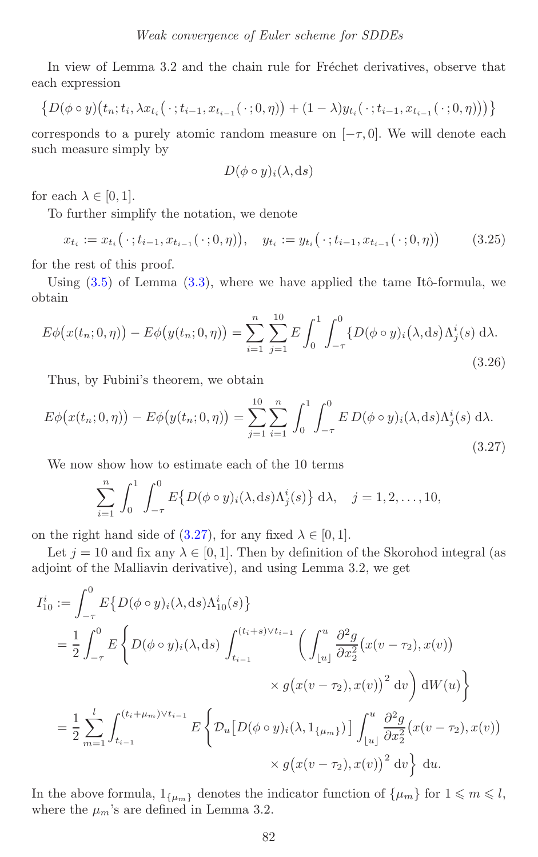In view of Lemma 3.2 and the chain rule for Fréchet derivatives, observe that each expression

$$
\{D(\phi \circ y)(t_n;t_i,\lambda x_{t_i}(\cdot;t_{i-1},x_{t_{i-1}}(\cdot;0,\eta)) + (1-\lambda)y_{t_i}(\cdot;t_{i-1},x_{t_{i-1}}(\cdot;0,\eta)))\}
$$

corresponds to a purely atomic random measure on  $[-\tau, 0]$ . We will denote each such measure simply by

$$
D(\phi \circ y)_i(\lambda, \mathrm{d} s)
$$

for each  $\lambda \in [0, 1]$ .

To further simplify the notation, we denote

$$
x_{t_i} := x_{t_i}(\cdot; t_{i-1}, x_{t_{i-1}}(\cdot; 0, \eta)), \quad y_{t_i} := y_{t_i}(\cdot; t_{i-1}, x_{t_{i-1}}(\cdot; 0, \eta)) \tag{3.25}
$$

for the rest of this proof.

Using  $(3.5)$  of Lemma  $(3.3)$ , where we have applied the tame Itô-formula, we obtain

$$
E\phi(x(t_n; 0, \eta)) - E\phi(y(t_n; 0, \eta)) = \sum_{i=1}^n \sum_{j=1}^{10} E \int_0^1 \int_{-\tau}^0 \{D(\phi \circ y)_i(\lambda, ds) \Lambda_j^i(s) d\lambda. \tag{3.26}
$$

<span id="page-22-0"></span>Thus, by Fubini's theorem, we obtain

$$
E\phi(x(t_n; 0, \eta)) - E\phi(y(t_n; 0, \eta)) = \sum_{j=1}^{10} \sum_{i=1}^{n} \int_0^1 \int_{-\tau}^0 E D(\phi \circ y)_i(\lambda, ds) \Lambda_j^i(s) d\lambda.
$$
\n(3.27)

We now show how to estimate each of the 10 terms

$$
\sum_{i=1}^{n} \int_{0}^{1} \int_{-\tau}^{0} E\{D(\phi \circ y)_{i}(\lambda, ds)\Lambda_{j}^{i}(s)\} d\lambda, \quad j = 1, 2, ..., 10,
$$

on the right hand side of [\(3.27\)](#page-22-0), for any fixed  $\lambda \in [0, 1]$ .

Let  $j = 10$  and fix any  $\lambda \in [0, 1]$ . Then by definition of the Skorohod integral (as adjoint of the Malliavin derivative), and using Lemma 3.2, we get

$$
I_{10}^{i} := \int_{-\tau}^{0} E\{D(\phi \circ y)_{i}(\lambda, ds)\Lambda_{10}^{i}(s)\}
$$
  
\n
$$
= \frac{1}{2} \int_{-\tau}^{0} E\left\{D(\phi \circ y)_{i}(\lambda, ds) \int_{t_{i-1}}^{(t_{i}+s)\vee t_{i-1}} \left(\int_{\lfloor u \rfloor}^{u} \frac{\partial^{2} g}{\partial x_{2}^{2}}(x(v - \tau_{2}), x(v))\right) \times g(x(v - \tau_{2}), x(v))^{2} dv\right\} dW(u)
$$
  
\n
$$
= \frac{1}{2} \sum_{m=1}^{l} \int_{t_{i-1}}^{(t_{i}+\mu_{m})\vee t_{i-1}} E\left\{D_{u}[D(\phi \circ y)_{i}(\lambda, 1_{\{\mu_{m}\}})] \int_{\lfloor u \rfloor}^{u} \frac{\partial^{2} g}{\partial x_{2}^{2}}(x(v - \tau_{2}), x(v)) \times g(x(v - \tau_{2}), x(v))^{2} dv\right\} du.
$$

In the above formula,  $1_{\{\mu_m\}}$  denotes the indicator function of  $\{\mu_m\}$  for  $1 \leq m \leq l$ , where the  $\mu_m$ 's are defined in Lemma 3.2.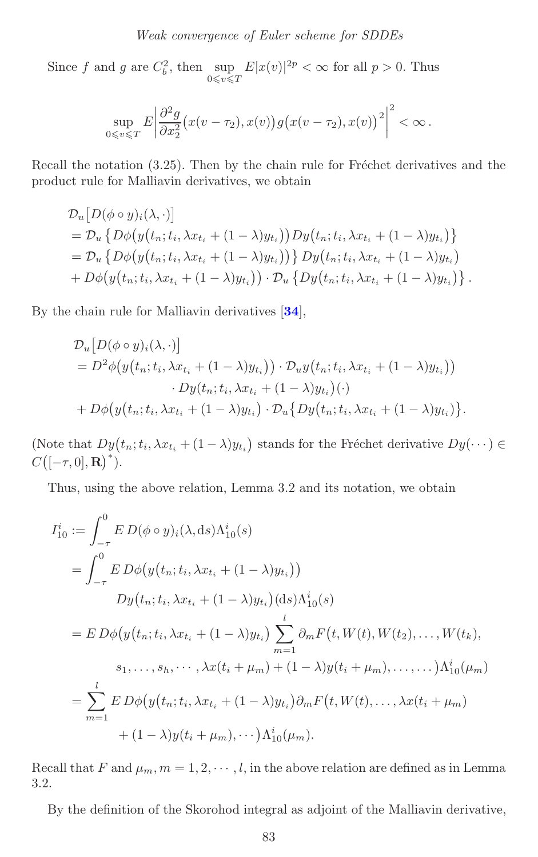<span id="page-23-0"></span>Since f and g are  $C_b^2$ , then  $\sup_{0 \le v \le T}$  $E|x(v)|^{2p} < \infty$  for all  $p > 0$ . Thus

$$
\sup_{0\leq v\leq T} E\left|\frac{\partial^2 g}{\partial x_2^2} (x(v-\tau_2), x(v)) g(x(v-\tau_2), x(v))^2\right|^2 < \infty.
$$

Recall the notation  $(3.25)$ . Then by the chain rule for Fréchet derivatives and the product rule for Malliavin derivatives, we obtain

$$
\mathcal{D}_{u}\big[D(\phi \circ y)_{i}(\lambda, \cdot)\big] \n= \mathcal{D}_{u}\big\{D\phi\big(y\big(t_{n}; t_{i}, \lambda x_{t_{i}} + (1 - \lambda)y_{t_{i}}\big)\big)Dy\big(t_{n}; t_{i}, \lambda x_{t_{i}} + (1 - \lambda)y_{t_{i}}\big)\big\} \n= \mathcal{D}_{u}\big\{D\phi\big(y\big(t_{n}; t_{i}, \lambda x_{t_{i}} + (1 - \lambda)y_{t_{i}}\big)\big)\big\}Dy\big(t_{n}; t_{i}, \lambda x_{t_{i}} + (1 - \lambda)y_{t_{i}}\big) \n+ D\phi\big(y\big(t_{n}; t_{i}, \lambda x_{t_{i}} + (1 - \lambda)y_{t_{i}}\big)\big) \cdot \mathcal{D}_{u}\big\{Dy\big(t_{n}; t_{i}, \lambda x_{t_{i}} + (1 - \lambda)y_{t_{i}}\big)\big\}.
$$

By the chain rule for Malliavin derivatives [**[34](#page-38-14)**],

$$
\mathcal{D}_{u}\big[D(\phi \circ y)_{i}(\lambda, \cdot)\big]
$$
\n
$$
= D^{2}\phi\big(y(t_{n}; t_{i}, \lambda x_{t_{i}} + (1 - \lambda)y_{t_{i}})\big) \cdot \mathcal{D}_{u}y(t_{n}; t_{i}, \lambda x_{t_{i}} + (1 - \lambda)y_{t_{i}})\big) \cdot D_{y}(t_{n}; t_{i}, \lambda x_{t_{i}} + (1 - \lambda)y_{t_{i}})\big(\cdot)
$$
\n
$$
+ D\phi\big(y(t_{n}; t_{i}, \lambda x_{t_{i}} + (1 - \lambda)y_{t_{i}})\cdot \mathcal{D}_{u}\big\{Dy(t_{n}; t_{i}, \lambda x_{t_{i}} + (1 - \lambda)y_{t_{i}})\big\}.
$$

(Note that  $Dy(t_n; t_i, \lambda x_{t_i} + (1 - \lambda)y_{t_i})$  stands for the Fréchet derivative  $Dy(\cdots) \in$  $C([-\tau,0],{\bf R})^*).$ 

Thus, using the above relation, Lemma 3.2 and its notation, we obtain

$$
I_{10}^{i} := \int_{-\tau}^{0} E D(\phi \circ y)_{i}(\lambda, ds) \Lambda_{10}^{i}(s)
$$
  
\n
$$
= \int_{-\tau}^{0} E D\phi(y(t_{n}; t_{i}, \lambda x_{t_{i}} + (1 - \lambda)y_{t_{i}}))
$$
  
\n
$$
Dy(t_{n}; t_{i}, \lambda x_{t_{i}} + (1 - \lambda)y_{t_{i}})(ds) \Lambda_{10}^{i}(s)
$$
  
\n
$$
= E D\phi(y(t_{n}; t_{i}, \lambda x_{t_{i}} + (1 - \lambda)y_{t_{i}}) \sum_{m=1}^{l} \partial_{m} F(t, W(t), W(t_{2}), \dots, W(t_{k}),
$$
  
\n
$$
s_{1}, \dots, s_{h}, \dots, \lambda x(t_{i} + \mu_{m}) + (1 - \lambda)y(t_{i} + \mu_{m}), \dots, \dots) \Lambda_{10}^{i}(\mu_{m})
$$
  
\n
$$
= \sum_{m=1}^{l} E D\phi(y(t_{n}; t_{i}, \lambda x_{t_{i}} + (1 - \lambda)y_{t_{i}}) \partial_{m} F(t, W(t), \dots, \lambda x(t_{i} + \mu_{m}) + (1 - \lambda)y(t_{i} + \mu_{m}), \dots) \Lambda_{10}^{i}(\mu_{m}).
$$

Recall that F and  $\mu_m$ ,  $m = 1, 2, \dots, l$ , in the above relation are defined as in Lemma 3.2.

By the definition of the Skorohod integral as adjoint of the Malliavin derivative,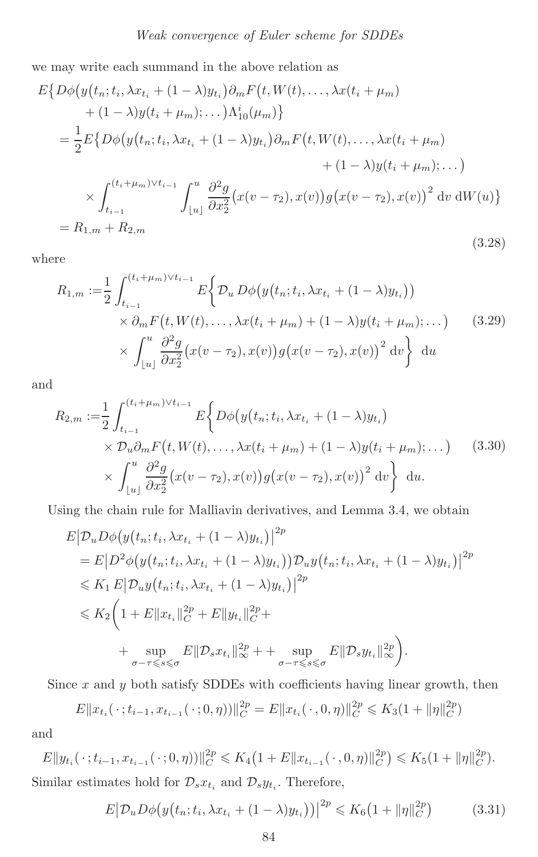we may write each summand in the above relation as

<span id="page-24-1"></span>
$$
E\{D\phi(y(t_n; t_i, \lambda x_{t_i} + (1 - \lambda)y_{t_i})\partial_m F(t, W(t), ..., \lambda x(t_i + \mu_m)) + (1 - \lambda)y(t_i + \mu_m); ...)\Lambda_{10}^i(\mu_m)\}
$$
  
=  $\frac{1}{2}E\{D\phi(y(t_n; t_i, \lambda x_{t_i} + (1 - \lambda)y_{t_i})\partial_m F(t, W(t), ..., \lambda x(t_i + \mu_m)) + (1 - \lambda)y(t_i + \mu_m); ...)\}$   
 $\times \int_{t_{i-1}}^{(t_i + \mu_m)\vee t_{i-1}} \int_{[u]}^{u} \frac{\partial^2 g}{\partial x_2^2}(x(v - \tau_2), x(v))g(x(v - \tau_2), x(v))^2 dv dW(u)\}$   
=  $R_{1,m} + R_{2,m}$  (3.28)

where

$$
R_{1,m} := \frac{1}{2} \int_{t_{i-1}}^{(t_i + \mu_m) \vee t_{i-1}} E\left\{ \mathcal{D}_u \, D\phi\big(y(t_n; t_i, \lambda x_{t_i} + (1 - \lambda)y_{t_i}\big)\big) \times \partial_m F\big(t, W(t), \dots, \lambda x(t_i + \mu_m) + (1 - \lambda)y(t_i + \mu_m); \dots\big) \times \int_{\lfloor u \rfloor}^{u} \frac{\partial^2 g}{\partial x_2^2} \big(x(v - \tau_2), x(v)\big) g\big(x(v - \tau_2), x(v)\big)^2 \, dv \right\} du
$$
\n(3.29)

<span id="page-24-0"></span>and

$$
R_{2,m} := \frac{1}{2} \int_{t_{i-1}}^{(t_i + \mu_m) \vee t_{i-1}} E\left\{ D\phi(y(t_n; t_i, \lambda x_{t_i} + (1 - \lambda)y_{t_i}) \times \mathcal{D}_u \partial_m F(t, W(t), \dots, \lambda x(t_i + \mu_m) + (1 - \lambda)y(t_i + \mu_m); \dots) \right\} \times \int_{\lfloor u \rfloor}^{u} \frac{\partial^2 g}{\partial x_2^2} (x(v - \tau_2), x(v)) g(x(v - \tau_2), x(v))^2 dv \right\} du.
$$
\n(3.30)

Using the chain rule for Malliavin derivatives, and Lemma 3.4, we obtain

$$
E|D_u D\phi(y(t_n; t_i, \lambda x_{t_i} + (1 - \lambda)y_{t_i})|^{2p}
$$
  
=  $E|D^2\phi(y(t_n; t_i, \lambda x_{t_i} + (1 - \lambda)y_{t_i}))D_uy(t_n; t_i, \lambda x_{t_i} + (1 - \lambda)y_{t_i})|^{2p}$   
 $\leq K_1 E|D_uy(t_n; t_i, \lambda x_{t_i} + (1 - \lambda)y_{t_i})|^{2p}$   
 $\leq K_2 \left(1 + E\|x_{t_i}\|_{C}^{2p} + E\|y_{t_i}\|_{C}^{2p} + \sum_{\sigma-\tau \leq s \leq \sigma} E\|\mathcal{D}_s y_{t_i}\|_{\infty}^{2p}\right).$ 

Since  $x$  and  $y$  both satisfy SDDEs with coefficients having linear growth, then

$$
E||x_{t_i}(\cdot; t_{i-1}, x_{t_{i-1}}(\cdot; 0, \eta))||_C^{2p} = E||x_{t_i}(\cdot, 0, \eta)||_C^{2p} \le K_3(1 + ||\eta||_C^{2p})
$$

and

 $E\|y_{t_i}(\cdot; t_{i-1}, x_{t_{i-1}}(\cdot; 0, \eta))\|_{C}^{2p} \leqslant K_4\left(1 + E\|x_{t_{i-1}}(\cdot, 0, \eta)\|_{C}^{2p}\right) \leqslant K_5(1 + \|\eta\|_{C}^{2p}).$ Similar estimates hold for  $\mathcal{D}_s x_{t_i}$  and  $\mathcal{D}_s y_{t_i}$ . Therefore,

$$
E|D_u D\phi(y(t_n; t_i, \lambda x_{t_i} + (1 - \lambda)y_{t_i}))|^{2p} \leq K_6(1 + ||\eta||_C^{2p})
$$
 (3.31)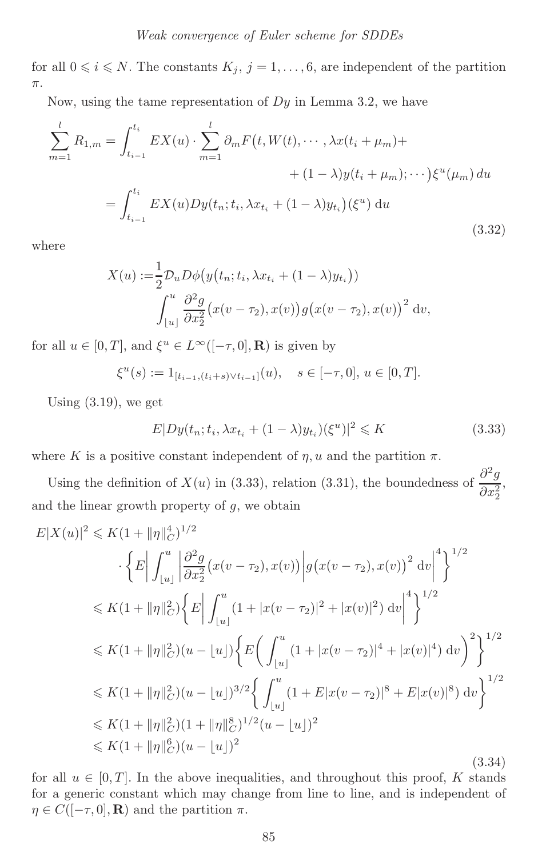for all  $0 \le i \le N$ . The constants  $K_j$ ,  $j = 1, \ldots, 6$ , are independent of the partition π.

Now, using the tame representation of  $Dy$  in Lemma 3.2, we have

$$
\sum_{m=1}^{l} R_{1,m} = \int_{t_{i-1}}^{t_i} EX(u) \cdot \sum_{m=1}^{l} \partial_m F(t, W(t), \cdots, \lambda x(t_i + \mu_m) + (1 - \lambda)y(t_i + \mu_m); \cdots) \xi^u(\mu_m) du
$$

$$
= \int_{t_{i-1}}^{t_i} EX(u) Dy(t_n; t_i, \lambda x_{t_i} + (1 - \lambda)y_{t_i}) (\xi^u) du
$$
(3.32)

where

$$
X(u) := \frac{1}{2} \mathcal{D}_u D\phi\big(y\big(t_n; t_i, \lambda x_{t_i} + (1 - \lambda)y_{t_i}\big)\big)
$$

$$
\int_{\lfloor u \rfloor}^u \frac{\partial^2 g}{\partial x_2^2} \big(x(v - \tau_2), x(v)\big)g\big(x(v - \tau_2), x(v)\big)^2 dv,
$$

for all  $u \in [0, T]$ , and  $\xi^u \in L^{\infty}([-\tau, 0], \mathbf{R})$  is given by

$$
\xi^u(s) := 1_{[t_{i-1}, (t_i+s)\vee t_{i-1}]}(u), \quad s \in [-\tau, 0], u \in [0, T].
$$

Using  $(3.19)$ , we get

<span id="page-25-0"></span>
$$
E|Dy(t_n; t_i, \lambda x_{t_i} + (1 - \lambda)y_{t_i})(\xi^u)|^2 \le K
$$
\n(3.33)

where K is a positive constant independent of  $\eta$ , u and the partition  $\pi$ .

Using the definition of  $X(u)$  in (3.33), relation (3.31), the boundedness of  $\frac{\partial^2 g}{\partial x_2^2}$ , and the linear growth property of  $g$ , we obtain

$$
E|X(u)|^2 \le K(1+||\eta||_C^4)^{1/2}
$$
  
\n
$$
\left\{ E \left| \int_{|u|}^{u} \left| \frac{\partial^2 g}{\partial x_2^2} (x(v-\tau_2), x(v)) \right| g(x(v-\tau_2), x(v))^2 dv \right|^4 \right\}^{1/2}
$$
  
\n
$$
\le K(1+||\eta||_C^2) \left\{ E \left| \int_{|u|}^{u} (1+|x(v-\tau_2)|^2 + |x(v)|^2) dv \right|^4 \right\}^{1/2}
$$
  
\n
$$
\le K(1+||\eta||_C^2) (u - |u|) \left\{ E \left( \int_{|u|}^{u} (1+|x(v-\tau_2)|^4 + |x(v)|^4) dv \right)^2 \right\}^{1/2}
$$
  
\n
$$
\le K(1+||\eta||_C^2) (u - |u|)^{3/2} \left\{ \int_{|u|}^{u} (1 + E|x(v-\tau_2)|^8 + E|x(v)|^8) dv \right\}^{1/2}
$$
  
\n
$$
\le K(1+||\eta||_C^2) (1+||\eta||_C^8)^{1/2} (u - |u|)^2
$$
  
\n
$$
\le K(1+||\eta||_C^6) (u - |u|)^2
$$
  
\n(3.34)

for all  $u \in [0, T]$ . In the above inequalities, and throughout this proof, K stands for a generic constant which may change from line to line, and is independent of  $\eta \in C([-\tau,0],{\bf R})$  and the partition  $\pi$ .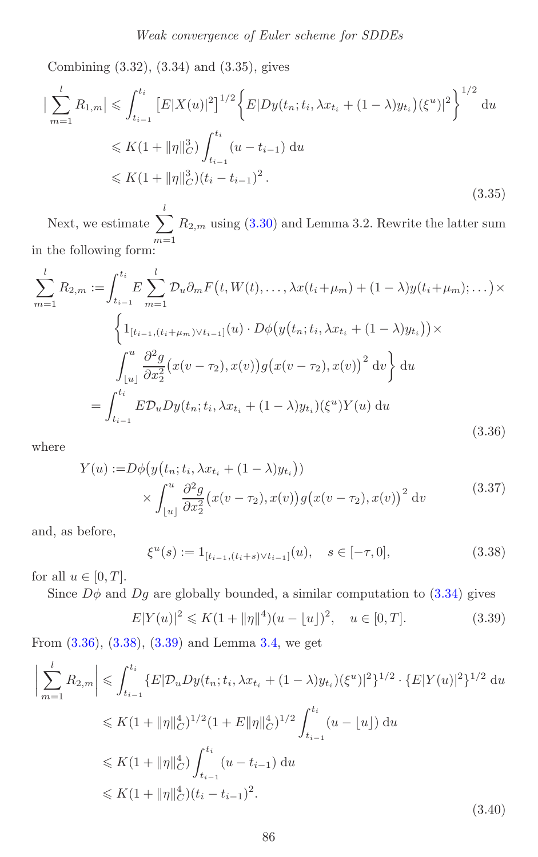<span id="page-26-3"></span>Combining (3.32), (3.34) and (3.35), gives

$$
\left| \sum_{m=1}^{l} R_{1,m} \right| \leqslant \int_{t_{i-1}}^{t_i} \left[ E|X(u)|^2 \right]^{1/2} \left\{ E|Dy(t_n; t_i, \lambda x_{t_i} + (1 - \lambda)y_{t_i})(\xi^u)|^2 \right\}^{1/2} du
$$
  
\n
$$
\leqslant K(1 + \|\eta\|_C^3) \int_{t_{i-1}}^{t_i} (u - t_{i-1}) du
$$
  
\n
$$
\leqslant K(1 + \|\eta\|_C^3)(t_i - t_{i-1})^2.
$$
\n(3.35)

<span id="page-26-0"></span>Next, we estimate  $\sum$ l  $m=1$  $R_{2,m}$  using  $(3.30)$  and Lemma 3.2. Rewrite the latter sum in the following form:

$$
\sum_{m=1}^{l} R_{2,m} := \int_{t_{i-1}}^{t_i} E \sum_{m=1}^{l} \mathcal{D}_u \partial_m F(t, W(t), \dots, \lambda x (t_i + \mu_m) + (1 - \lambda) y (t_i + \mu_m); \dots) \times
$$

$$
\left\{ 1_{[t_{i-1}, (t_i + \mu_m) \vee t_{i-1}]}(u) \cdot D\phi(y(t_n; t_i, \lambda x_{t_i} + (1 - \lambda) y_{t_i})) \times \int_{|u|}^{u} \frac{\partial^2 g}{\partial x_2^2} (x(v - \tau_2), x(v)) g(x(v - \tau_2), x(v))^2 dv \right\} du
$$

$$
= \int_{t_{i-1}}^{t_i} E \mathcal{D}_u Dy(t_n; t_i, \lambda x_{t_i} + (1 - \lambda) y_{t_i}) (\xi^u) Y(u) du \tag{3.36}
$$

where

$$
Y(u) := D\phi\big(y\big(t_n; t_i, \lambda x_{t_i} + (1 - \lambda)y_{t_i}\big)\big) \times \int_{\lfloor u \rfloor}^u \frac{\partial^2 g}{\partial x_2^2} \big(x(v - \tau_2), x(v)\big)g\big(x(v - \tau_2), x(v)\big)^2 dv
$$
\n(3.37)

<span id="page-26-1"></span>and, as before,

<span id="page-26-2"></span>
$$
\xi^u(s) := 1_{[t_{i-1}, (t_i+s)\vee t_{i-1}]}(u), \quad s \in [-\tau, 0], \tag{3.38}
$$

for all  $u \in [0, T]$ .

Since  $D\phi$  and  $Dg$  are globally bounded, a similar computation to [\(3.34\)](#page-25-0) gives

<span id="page-26-4"></span>
$$
E|Y(u)|^2 \le K(1 + \|\eta\|^4)(u - \lfloor u \rfloor)^2, \quad u \in [0, T].
$$
\n(3.39)

From [\(3.36\)](#page-26-0), [\(3.38\)](#page-26-1), [\(3.39\)](#page-26-2) and Lemma [3.4,](#page-15-2) we get

$$
\left| \sum_{m=1}^{l} R_{2,m} \right| \leqslant \int_{t_{i-1}}^{t_i} \{ E | \mathcal{D}_u D y(t_n; t_i, \lambda x_{t_i} + (1 - \lambda) y_{t_i}) (\xi^u) |^2 \}^{1/2} \cdot \{ E |Y(u)|^2 \}^{1/2} du
$$
  
\n
$$
\leqslant K (1 + ||\eta||_C^4)^{1/2} (1 + E ||\eta||_C^4)^{1/2} \int_{t_{i-1}}^{t_i} (u - \lfloor u \rfloor) du
$$
  
\n
$$
\leqslant K (1 + ||\eta||_C^4) \int_{t_{i-1}}^{t_i} (u - t_{i-1}) du
$$
  
\n
$$
\leqslant K (1 + ||\eta||_C^4) (t_i - t_{i-1})^2.
$$
\n(3.40)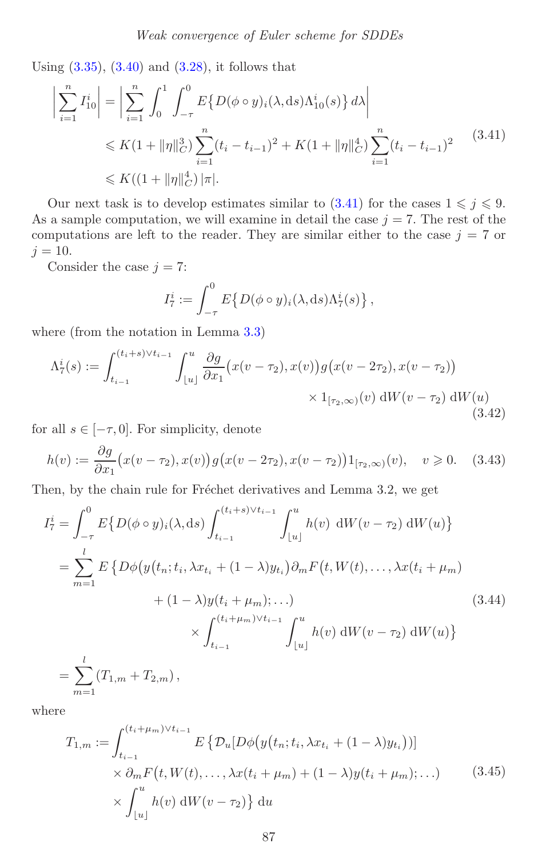Using  $(3.35)$ ,  $(3.40)$  and  $(3.28)$ , it follows that

<span id="page-27-0"></span>
$$
\left| \sum_{i=1}^{n} I_{10}^{i} \right| = \left| \sum_{i=1}^{n} \int_{0}^{1} \int_{-\tau}^{0} E\{D(\phi \circ y)_{i}(\lambda, ds) \Lambda_{10}^{i}(s)\} d\lambda \right|
$$
  
\$\leq K(1 + ||\eta||\_{C}^{3}) \sum\_{i=1}^{n} (t\_{i} - t\_{i-1})^{2} + K(1 + ||\eta||\_{C}^{4}) \sum\_{i=1}^{n} (t\_{i} - t\_{i-1})^{2}\$ (3.41)  
\$\leq K((1 + ||\eta||\_{C}^{4}) |\pi|.

Our next task is to develop estimates similar to  $(3.41)$  for the cases  $1 \leq j \leq 9$ . As a sample computation, we will examine in detail the case  $j = 7$ . The rest of the computations are left to the reader. They are similar either to the case  $j = 7$  or  $j = 10$ .

Consider the case  $j = 7$ :

<span id="page-27-3"></span><span id="page-27-2"></span>
$$
I_7^i := \int_{-\tau}^0 E\{D(\phi \circ y)_i(\lambda, \mathrm{d}s)\Lambda_7^i(s)\},\,
$$

where (from the notation in Lemma [3.3\)](#page-12-1)

$$
\Lambda_7^i(s) := \int_{t_{i-1}}^{(t_i+s)\vee t_{i-1}} \int_{\lfloor u \rfloor}^u \frac{\partial g}{\partial x_1} (x(v-\tau_2), x(v)) g(x(v-2\tau_2), x(v-\tau_2)) \times 1_{[\tau_2,\infty)}(v) dW(v-\tau_2) dW(u)
$$
\n(3.42)

for all  $s \in [-\tau, 0]$ . For simplicity, denote

$$
h(v) := \frac{\partial g}{\partial x_1} (x(v - \tau_2), x(v)) g(x(v - 2\tau_2), x(v - \tau_2)) 1_{[\tau_2, \infty)}(v), \quad v \ge 0. \quad (3.43)
$$

Then, by the chain rule for Fréchet derivatives and Lemma 3.2, we get

$$
I_7^i = \int_{-\tau}^0 E\{D(\phi \circ y)_i(\lambda, ds) \int_{t_{i-1}}^{(t_i+s)\vee t_{i-1}} \int_{\lfloor u \rfloor}^u h(v) \, dW(v - \tau_2) \, dW(u) \}
$$
  
\n
$$
= \sum_{m=1}^l E\{D\phi(y(t_n; t_i, \lambda x_{t_i} + (1 - \lambda)y_{t_i})\partial_m F(t, W(t), \dots, \lambda x(t_i + \mu_m) + (1 - \lambda)y(t_i + \mu_m); \dots) \times \int_{t_{i-1}}^{(t_i + \mu_m) \vee t_{i-1}} \int_{\lfloor u \rfloor}^u h(v) \, dW(v - \tau_2) \, dW(u) \}
$$
  
\n
$$
= \sum_{m=1}^l (T_{1,m} + T_{2,m}), \qquad (3.44)
$$

<span id="page-27-1"></span>where

 $m=1$ 

$$
T_{1,m} := \int_{t_{i-1}}^{(t_i + \mu_m) \vee t_{i-1}} E\left\{ \mathcal{D}_u[D\phi(y(t_n; t_i, \lambda x_{t_i} + (1 - \lambda)y_{t_i}))] \times \partial_m F(t, W(t), \dots, \lambda x(t_i + \mu_m) + (1 - \lambda)y(t_i + \mu_m); \dots) \right\}
$$
\n
$$
\times \int_{\lfloor u \rfloor}^{u} h(v) \, \mathrm{d}W(v - \tau_2) \right\} \, \mathrm{d}u \tag{3.45}
$$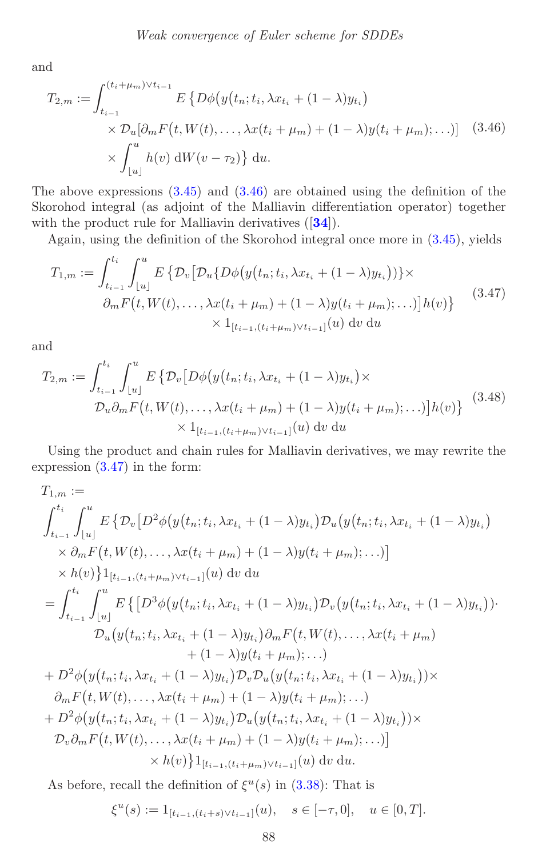<span id="page-28-3"></span><span id="page-28-0"></span>and

$$
T_{2,m} := \int_{t_{i-1}}^{(t_i + \mu_m) \vee t_{i-1}} E\left\{ D\phi(y(t_n; t_i, \lambda x_{t_i} + (1 - \lambda)y_{t_i}) \times D_u[\partial_m F(t, W(t), \dots, \lambda x(t_i + \mu_m) + (1 - \lambda)y(t_i + \mu_m); \dots)] \right\} (3.46)
$$
  
 
$$
\times \int_{\lfloor u \rfloor}^{u} h(v) \, dW(v - \tau_2) \, du.
$$

The above expressions  $(3.45)$  and  $(3.46)$  are obtained using the definition of the Skorohod integral (as adjoint of the Malliavin differentiation operator) together with the product rule for Malliavin derivatives ([**[34](#page-38-14)**]).

Again, using the definition of the Skorohod integral once more in [\(3.45\)](#page-27-1), yields

<span id="page-28-1"></span>
$$
T_{1,m} := \int_{t_{i-1}}^{t_i} \int_{\lfloor u \rfloor}^{u} E\left\{ \mathcal{D}_v \left[ \mathcal{D}_u \{ D\phi \big( y(t_n; t_i, \lambda x_{t_i} + (1 - \lambda) y_{t_i} \big) \} \right] \times \right. \\ \left. \partial_m F \big( t, W(t), \dots, \lambda x(t_i + \mu_m) + (1 - \lambda) y(t_i + \mu_m); \dots \big) \right] h(v) \right\} \tag{3.47}
$$

$$
\times 1_{[t_{i-1}, (t_i + \mu_m) \vee t_{i-1}]}(u) \, dv \, du
$$

<span id="page-28-2"></span>and

$$
T_{2,m} := \int_{t_{i-1}}^{t_i} \int_{\lfloor u \rfloor}^{u} E\left\{ \mathcal{D}_{v} \left[ D\phi(y(t_n; t_i, \lambda x_{t_i} + (1 - \lambda)y_{t_i}) \times D_u \partial_m F(t, W(t), \dots, \lambda x(t_i + \mu_m) + (1 - \lambda)y(t_i + \mu_m); \dots) \right] h(v) \right\} \tag{3.48}
$$
  
 
$$
\times 1_{[t_{i-1}, (t_i + \mu_m) \vee t_{i-1}]}(u) \, dv \, du
$$

Using the product and chain rules for Malliavin derivatives, we may rewrite the expression [\(3.47\)](#page-28-1) in the form:

$$
T_{1,m} :=
$$
\n
$$
\int_{t_{i-1}}^{t_i} \int_{\lfloor u \rfloor}^{u} E \{ \mathcal{D}_v \left[ D^2 \phi \big( y(t_n; t_i, \lambda x_{t_i} + (1 - \lambda) y_{t_i} \big) \mathcal{D}_u \big( y(t_n; t_i, \lambda x_{t_i} + (1 - \lambda) y_{t_i} \big) \right. \\
\times \partial_m F \big( t, W(t), \dots, \lambda x(t_i + \mu_m) + (1 - \lambda) y(t_i + \mu_m); \dots \big) \big] \\
\times h(v) \} 1_{[t_{i-1}, (t_i + \mu_m) \vee t_{i-1}]}(u) \, dv \, du
$$
\n
$$
= \int_{t_{i-1}}^{t_i} \int_{\lfloor u \rfloor}^{u} E \left\{ \left[ D^3 \phi \big( y(t_n; t_i, \lambda x_{t_i} + (1 - \lambda) y_{t_i}) \mathcal{D}_v \big( y(t_n; t_i, \lambda x_{t_i} + (1 - \lambda) y_{t_i}) \big) \right. \\
\left. \mathcal{D}_u \big( y(t_n; t_i, \lambda x_{t_i} + (1 - \lambda) y_{t_i}) \partial_m F \big( t, W(t), \dots, \lambda x(t_i + \mu_m) \right. \\
\left. + (1 - \lambda) y(t_i + \mu_m); \dots \big) \right\}
$$
\n
$$
+ D^2 \phi \big( y(t_n; t_i, \lambda x_{t_i} + (1 - \lambda) y_{t_i}) \mathcal{D}_v \mathcal{D}_u \big( y(t_n; t_i, \lambda x_{t_i} + (1 - \lambda) y_{t_i}) \big) \times \\
\partial_m F \big( t, W(t), \dots, \lambda x(t_i + \mu_m) + (1 - \lambda) y(t_i + \mu_m); \dots \big) \right. \\
\left. + D^2 \phi \big( y(t_n; t_i, \lambda x_{t_i} + (1 - \lambda) y_{t_i}) \mathcal{D}_u \big( y(t_n; t_i, \lambda x_{t_i} + (1 - \lambda) y_{t_i}) \big) \times \\
\mathcal{D}_v \partial_m F \big( t, W(t), \dots, \lambda x(t_i + \mu_m) + (1 - \lambda) y(t_i + \mu_m); \dots \big) \big] \times h(v) \big\} 1_{[t_{i-1}, (t_i + \mu_m) \vee t_{i-
$$

As before, recall the definition of  $\xi^u(s)$  in [\(3.38\)](#page-26-1): That is

$$
\xi^u(s) := 1_{[t_{i-1}, (t_i+s)\vee t_{i-1}]}(u), \quad s \in [-\tau, 0], \quad u \in [0, T].
$$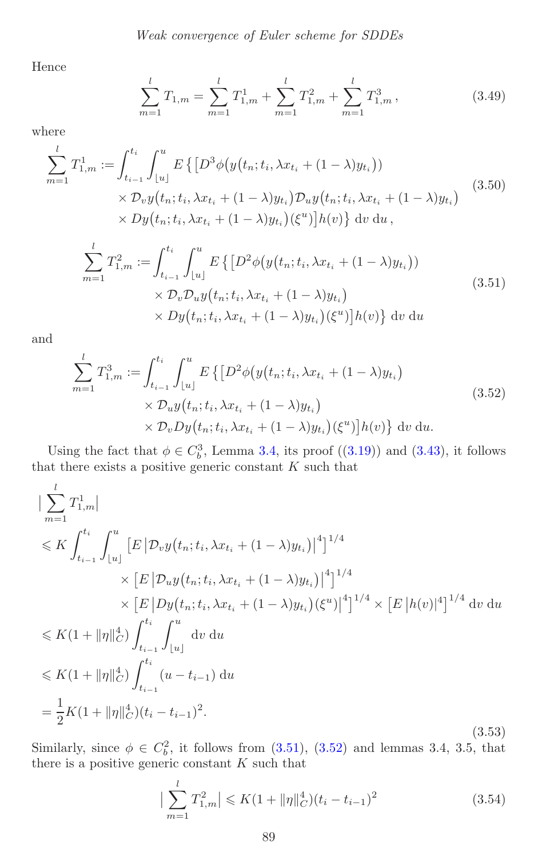<span id="page-29-2"></span>Hence

$$
\sum_{m=1}^{l} T_{1,m} = \sum_{m=1}^{l} T_{1,m}^{1} + \sum_{m=1}^{l} T_{1,m}^{2} + \sum_{m=1}^{l} T_{1,m}^{3},
$$
\n(3.49)

<span id="page-29-0"></span>where

$$
\sum_{m=1}^{l} T_{1,m}^{1} := \int_{t_{i-1}}^{t_i} \int_{\lfloor u \rfloor}^{u} E\left\{ \left[ D^3 \phi \big( y(t_n; t_i, \lambda x_{t_i} + (1 - \lambda) y_{t_i} \big) \right) \right. \\ \times \mathcal{D}_v y(t_n; t_i, \lambda x_{t_i} + (1 - \lambda) y_{t_i}) \mathcal{D}_u y(t_n; t_i, \lambda x_{t_i} + (1 - \lambda) y_{t_i}) \right. \\ \times \mathcal{D}_y(t_n; t_i, \lambda x_{t_i} + (1 - \lambda) y_{t_i}) (\xi^u) \big] h(v) \} dv du,
$$
\n(3.50)

$$
\sum_{m=1}^{l} T_{1,m}^{2} := \int_{t_{i-1}}^{t_i} \int_{\lfloor u \rfloor}^{u} E\left\{ \left[ D^2 \phi(y(t_n; t_i, \lambda x_{t_i} + (1 - \lambda) y_{t_i}) \right) \times \mathcal{D}_v \mathcal{D}_u y(t_n; t_i, \lambda x_{t_i} + (1 - \lambda) y_{t_i}) \right\} \times Dy(t_n; t_i, \lambda x_{t_i} + (1 - \lambda) y_{t_i}) (\xi^u) \right] h(v) \} dv du
$$
\n(3.51)

<span id="page-29-1"></span>and

<span id="page-29-3"></span>
$$
\sum_{m=1}^{l} T_{1,m}^{3} := \int_{t_{i-1}}^{t_i} \int_{\lfloor u \rfloor}^{u} E\left\{ \left[ D^2 \phi(y(t_n; t_i, \lambda x_{t_i} + (1 - \lambda) y_{t_i}) \times \mathcal{D}_u y(t_n; t_i, \lambda x_{t_i} + (1 - \lambda) y_{t_i}) \right] \times \mathcal{D}_v Dy(t_n; t_i, \lambda x_{t_i} + (1 - \lambda) y_{t_i}) (\xi^u) \right\} dv du.
$$
\n(3.52)

Using the fact that  $\phi \in C_b^3$ , Lemma [3.4,](#page-15-2) its proof ([\(3.19\)](#page-18-1)) and [\(3.43\)](#page-27-2), it follows that there exists a positive generic constant  $K$  such that

$$
\begin{split}\n&\left|\sum_{m=1}^{l} T_{1,m}^{1}\right| \\
&\leqslant K \int_{t_{i-1}}^{t_{i}} \int_{\lfloor u \rfloor}^{u} \left[E\left|\mathcal{D}_{v}y(t_{n};t_{i},\lambda x_{t_{i}}+(1-\lambda)y_{t_{i}})\right|^{4}\right]^{1/4} \\
&\times \left[E\left|\mathcal{D}_{u}y(t_{n};t_{i},\lambda x_{t_{i}}+(1-\lambda)y_{t_{i}})\right|^{4}\right]^{1/4} \\
&\times \left[E\left|\mathcal{D}y(t_{n};t_{i},\lambda x_{t_{i}}+(1-\lambda)y_{t_{i}})(\xi^{u})\right|^{4}\right]^{1/4} \times \left[E\left|h(v)\right|^{4}\right]^{1/4} dv du \\
&\leqslant K(1+\|\eta\|_{C}^{4}) \int_{t_{i-1}}^{t_{i}} \int_{\lfloor u \rfloor}^{u} dv du \\
&\leqslant K(1+\|\eta\|_{C}^{4}) \int_{t_{i-1}}^{t_{i}} (u-t_{i-1}) du \\
&= \frac{1}{2}K(1+\|\eta\|_{C}^{4})(t_{i}-t_{i-1})^{2}.\n\end{split} \tag{3.53}
$$

Similarly, since  $\phi \in C_b^2$ , it follows from  $(3.51)$ ,  $(3.52)$  and lemmas 3.4, 3.5, that there is a positive generic constant  $K$  such that

<span id="page-29-4"></span>
$$
\left| \sum_{m=1}^{l} T_{1,m}^{2} \right| \leqslant K \left( 1 + \|\eta\|_{C}^{4} \right) \left( t_{i} - t_{i-1} \right)^{2}
$$
\n(3.54)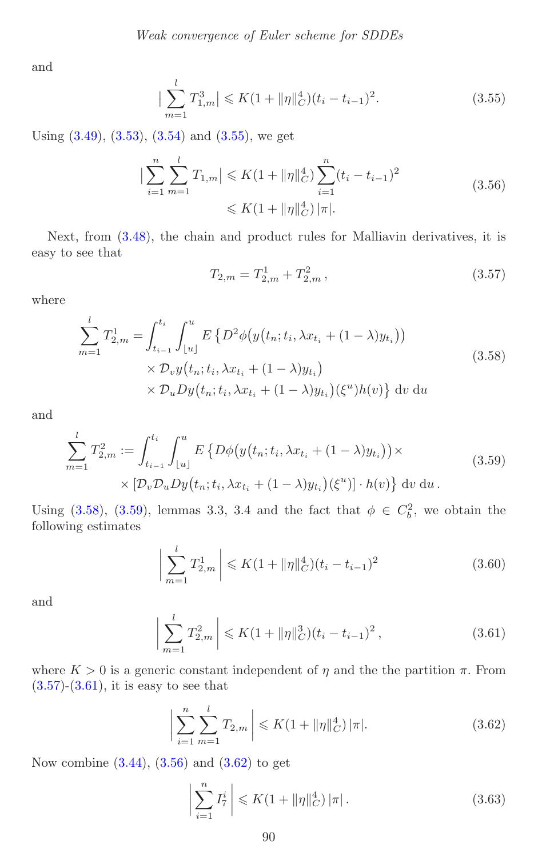<span id="page-30-0"></span>and

<span id="page-30-5"></span>
$$
\left|\sum_{m=1}^{l} T_{1,m}^{3}\right| \leqslant K\left(1 + \|\eta\|_{C}^{4}\right)(t_{i} - t_{i-1})^{2}.
$$
\n(3.55)

Using  $(3.49)$ ,  $(3.53)$ ,  $(3.54)$  and  $(3.55)$ , we get

$$
\left| \sum_{i=1}^{n} \sum_{m=1}^{l} T_{1,m} \right| \leqslant K \left( 1 + \|\eta\|_{C}^{4} \right) \sum_{i=1}^{n} (t_{i} - t_{i-1})^{2}
$$
\n
$$
\leqslant K \left( 1 + \|\eta\|_{C}^{4} \right) |\pi|.
$$
\n(3.56)

<span id="page-30-3"></span>Next, from [\(3.48\)](#page-28-2), the chain and product rules for Malliavin derivatives, it is easy to see that

$$
T_{2,m} = T_{2,m}^1 + T_{2,m}^2 \,, \tag{3.57}
$$

<span id="page-30-1"></span>where

$$
\sum_{m=1}^{l} T_{2,m}^{1} = \int_{t_{i-1}}^{t_i} \int_{\lfloor u \rfloor}^{u} E\left\{ D^2 \phi\big(y\big(t_n; t_i, \lambda x_{t_i} + (1 - \lambda)y_{t_i}\big)\big) \right. \\ \times \mathcal{D}_v y\big(t_n; t_i, \lambda x_{t_i} + (1 - \lambda)y_{t_i}\big) \\ \times \mathcal{D}_u Dy\big(t_n; t_i, \lambda x_{t_i} + (1 - \lambda)y_{t_i}\big) (\xi^u) h(v) \right\} dv du
$$
\n(3.58)

<span id="page-30-2"></span>and

$$
\sum_{m=1}^{l} T_{2,m}^{2} := \int_{t_{i-1}}^{t_i} \int_{\lfloor u \rfloor}^{u} E\left\{ D\phi\big(y\big(t_n; t_i, \lambda x_{t_i} + (1 - \lambda)y_{t_i}\big)\big) \times \right. \\
 \times \left[ \mathcal{D}_v \mathcal{D}_u Dy\big(t_n; t_i, \lambda x_{t_i} + (1 - \lambda)y_{t_i}\big) (\xi^u) \right] \cdot h(v) \right\} \, \mathrm{d}v \, \mathrm{d}u \,.
$$
\n(3.59)

Using [\(3.58\)](#page-30-1), [\(3.59\)](#page-30-2), lemmas 3.3, 3.4 and the fact that  $\phi \in C_b^2$ , we obtain the following estimates

$$
\left| \sum_{m=1}^{l} T_{2,m}^{1} \right| \leqslant K \left( 1 + ||\eta||_{C}^{4} \right) \left( t_{i} - t_{i-1} \right)^{2} \tag{3.60}
$$

<span id="page-30-4"></span>and

$$
\left| \sum_{m=1}^{l} T_{2,m}^{2} \right| \leqslant K \left( 1 + \|\eta\|_{C}^{3} \right) \left( t_{i} - t_{i-1} \right)^{2},\tag{3.61}
$$

where  $K > 0$  is a generic constant independent of  $\eta$  and the the partition  $\pi$ . From  $(3.57)-(3.61)$  $(3.57)-(3.61)$  $(3.57)-(3.61)$ , it is easy to see that

<span id="page-30-6"></span>
$$
\left| \sum_{i=1}^{n} \sum_{m=1}^{l} T_{2,m} \right| \leqslant K \left( 1 + ||\eta||_C^4 \right) |\pi|.
$$
 (3.62)

Now combine  $(3.44)$ ,  $(3.56)$  and  $(3.62)$  to get

<span id="page-30-7"></span>
$$
\left| \sum_{i=1}^{n} I_7^i \right| \leqslant K \left( 1 + \|\eta\|_{C}^4 \right) |\pi| \,. \tag{3.63}
$$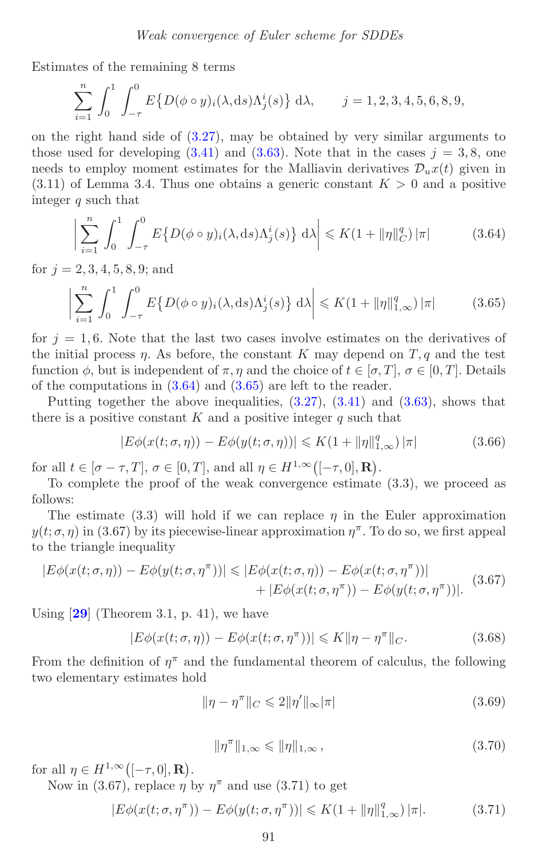<span id="page-31-2"></span>Estimates of the remaining 8 terms

$$
\sum_{i=1}^{n} \int_{0}^{1} \int_{-\tau}^{0} E\{D(\phi \circ y)_{i}(\lambda, ds)\Lambda_{j}^{i}(s)\} d\lambda, \qquad j = 1, 2, 3, 4, 5, 6, 8, 9,
$$

on the right hand side of [\(3.27\)](#page-22-0), may be obtained by very similar arguments to those used for developing  $(3.41)$  and  $(3.63)$ . Note that in the cases  $j = 3, 8$ , one needs to employ moment estimates for the Malliavin derivatives  $\mathcal{D}_u x(t)$  given in  $(3.11)$  of Lemma 3.4. Thus one obtains a generic constant  $K > 0$  and a positive integer q such that

<span id="page-31-1"></span><span id="page-31-0"></span>
$$
\left| \sum_{i=1}^{n} \int_{0}^{1} \int_{-\tau}^{0} E\left\{ D(\phi \circ y)_{i}(\lambda, ds) \Lambda_{j}^{i}(s) \right\} d\lambda \right| \leqslant K(1 + \|\eta\|_{C}^{q}) |\pi| \tag{3.64}
$$

for  $j = 2, 3, 4, 5, 8, 9$ ; and

$$
\left|\sum_{i=1}^{n} \int_{0}^{1} \int_{-\tau}^{0} E\left\{D(\phi \circ y)_{i}(\lambda, ds)\Lambda_{j}^{i}(s)\right\} d\lambda\right| \leqslant K(1 + \|\eta\|_{1,\infty}^{q})\|\pi|
$$
\n(3.65)

for  $j = 1, 6$ . Note that the last two cases involve estimates on the derivatives of the initial process  $\eta$ . As before, the constant K may depend on T, q and the test function  $\phi$ , but is independent of  $\pi, \eta$  and the choice of  $t \in [\sigma, T]$ ,  $\sigma \in [0, T]$ . Details of the computations in [\(3.64\)](#page-31-0) and [\(3.65\)](#page-31-1) are left to the reader.

Putting together the above inequalities,  $(3.27)$ ,  $(3.41)$  and  $(3.63)$ , shows that there is a positive constant  $K$  and a positive integer  $q$  such that

$$
|E\phi(x(t;\sigma,\eta)) - E\phi(y(t;\sigma,\eta))| \le K(1 + \|\eta\|_{1,\infty}^q) |\pi| \tag{3.66}
$$

for all  $t \in [\sigma - \tau, T], \sigma \in [0, T],$  and all  $\eta \in H^{1,\infty}([-\tau, 0], \mathbf{R})$ .

To complete the proof of the weak convergence estimate (3.3), we proceed as follows:

The estimate (3.3) will hold if we can replace  $\eta$  in the Euler approximation  $y(t; \sigma, \eta)$  in (3.67) by its piecewise-linear approximation  $\eta^{\pi}$ . To do so, we first appeal to the triangle inequality

$$
|E\phi(x(t;\sigma,\eta)) - E\phi(y(t;\sigma,\eta^{\pi}))| \leq |E\phi(x(t;\sigma,\eta)) - E\phi(x(t;\sigma,\eta^{\pi}))|
$$
  
+ 
$$
|E\phi(x(t;\sigma,\eta^{\pi})) - E\phi(y(t;\sigma,\eta^{\pi}))|.
$$
 (3.67)

Using [**[29](#page-38-13)**] (Theorem 3.1, p. 41), we have

$$
|E\phi(x(t;\sigma,\eta)) - E\phi(x(t;\sigma,\eta^{\pi}))| \leq K \|\eta - \eta^{\pi}\|_{C}.
$$
 (3.68)

From the definition of  $\eta^{\pi}$  and the fundamental theorem of calculus, the following two elementary estimates hold

$$
\|\eta - \eta^{\pi}\|_{C} \leq 2\|\eta'\|_{\infty}|\pi| \tag{3.69}
$$

$$
\|\eta^{\pi}\|_{1,\infty} \leq \|\eta\|_{1,\infty},\tag{3.70}
$$

for all  $\eta \in H^{1,\infty}([-\tau,0],\mathbf{R})$ .

Now in (3.67), replace  $\eta$  by  $\eta^{\pi}$  and use (3.71) to get

$$
|E\phi(x(t;\sigma,\eta^{\pi})) - E\phi(y(t;\sigma,\eta^{\pi}))| \le K(1 + \|\eta\|_{1,\infty}^q) |\pi|.
$$
 (3.71)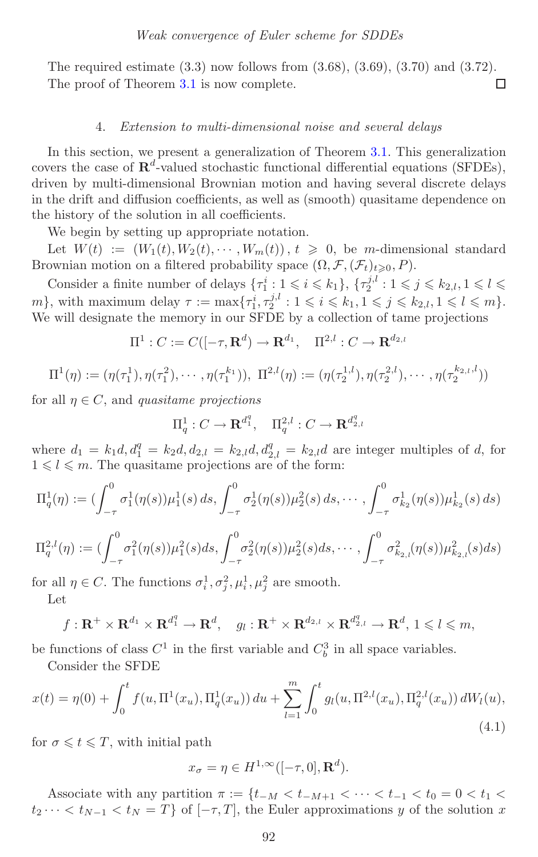The required estimate (3.3) now follows from (3.68), (3.69), (3.70) and (3.72). The proof of Theorem [3.1](#page-9-3) is now complete. П

## 4. *Extension to multi-dimensional noise and several delays*

<span id="page-32-0"></span>In this section, we present a generalization of Theorem [3.1.](#page-9-3) This generalization covers the case of  $\mathbb{R}^d$ -valued stochastic functional differential equations (SFDEs), driven by multi-dimensional Brownian motion and having several discrete delays in the drift and diffusion coefficients, as well as (smooth) quasitame dependence on the history of the solution in all coefficients.

We begin by setting up appropriate notation.

Let  $W(t) := (W_1(t), W_2(t), \dots, W_m(t)), t \geq 0$ , be m-dimensional standard Brownian motion on a filtered probability space  $(\Omega, \mathcal{F}, (\mathcal{F}_t)_{t \geqslant 0}, P)$ .

Consider a finite number of delays  $\{\tau_1^i : 1 \leq i \leq k_1\}, \{\tau_2^{j,l} : 1 \leq j \leq k_{2,l}, 1 \leq l \leq k_1\}$ m}, with maximum delay  $\tau := \max\{\tau_1^i, \tau_2^{j,l} : 1 \leq i \leq k_1, 1 \leq j \leq k_{2,l}, 1 \leq l \leq m\}.$ We will designate the memory in our SFDE by a collection of tame projections

$$
\Pi^1: C := C([-\tau, \mathbf{R}^d) \to \mathbf{R}^{d_1}, \quad \Pi^{2,l}: C \to \mathbf{R}^{d_{2,l}}
$$

$$
\Pi^{1}(\eta) := (\eta(\tau_1^1), \eta(\tau_1^2), \cdots, \eta(\tau_1^{k_1})), \ \Pi^{2,l}(\eta) := (\eta(\tau_2^{1,l}), \eta(\tau_2^{2,l}), \cdots, \eta(\tau_2^{k_{2,l},l}))
$$

for all  $\eta \in C$ , and *quasitame projections* 

$$
\Pi_q^1: C \to \mathbf{R}^{d_1^q}, \quad \Pi_q^{2,l}: C \to \mathbf{R}^{d_2^q,l}
$$

where  $d_1 = k_1 d, d_1^q = k_2 d, d_{2,l} = k_{2,l} d, d_{2,l}^q = k_{2,l} d$  are integer multiples of d, for  $1 \leq l \leq m$ . The quasitame projections are of the form:

$$
\Pi_q^1(\eta) := \left( \int_{-\tau}^0 \sigma_1^1(\eta(s)) \mu_1^1(s) \, ds, \int_{-\tau}^0 \sigma_2^1(\eta(s)) \mu_2^2(s) \, ds, \cdots, \int_{-\tau}^0 \sigma_{k_2}^1(\eta(s)) \mu_{k_2}^1(s) \, ds \right)
$$
  

$$
\Pi_q^{2,l}(\eta) := \left( \int_{-\tau}^0 \sigma_1^2(\eta(s)) \mu_1^2(s) \, ds, \int_{-\tau}^0 \sigma_2^2(\eta(s)) \mu_2^2(s) \, ds, \cdots, \int_{-\tau}^0 \sigma_{k_{2,l}}^2(\eta(s)) \mu_{k_{2,l}}^2(s) \, ds \right)
$$

for all  $\eta \in C$ . The functions  $\sigma_i^1, \sigma_i^2, \mu_i^1, \mu_i^2$  are smooth. Let

$$
f: \mathbf{R}^+ \times \mathbf{R}^{d_1} \times \mathbf{R}^{d_1^q} \to \mathbf{R}^d, \quad g_l: \mathbf{R}^+ \times \mathbf{R}^{d_{2,l}} \times \mathbf{R}^{d_{2,l}^q} \to \mathbf{R}^d, 1 \leqslant l \leqslant m,
$$

be functions of class  $C^1$  in the first variable and  $C_b^3$  in all space variables.

<span id="page-32-1"></span>Consider the SFDE

$$
x(t) = \eta(0) + \int_0^t f(u, \Pi^1(x_u), \Pi^1_q(x_u)) du + \sum_{l=1}^m \int_0^t g_l(u, \Pi^{2,l}(x_u), \Pi^{2,l}_q(x_u)) dW_l(u),
$$
\n(4.1)

for  $\sigma \leq t \leq T$ , with initial path

$$
x_{\sigma} = \eta \in H^{1,\infty}([-\tau,0],\mathbf{R}^d).
$$

Associate with any partition  $\pi := \{t_{-M} < t_{-M+1} < \cdots < t_{-1} < t_0 = 0 < t_1 <$  $t_2 \cdots < t_{N-1} < t_N = T$  of  $[-\tau, T]$ , the Euler approximations y of the solution x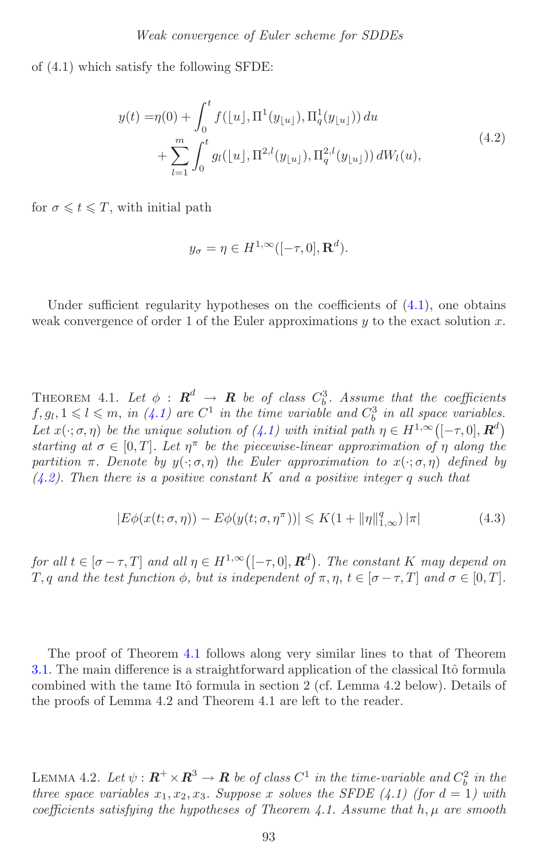of (4.1) which satisfy the following SFDE:

<span id="page-33-0"></span>
$$
y(t) = \eta(0) + \int_0^t f([u], \Pi^1(y_{\lfloor u \rfloor}), \Pi^1_q(y_{\lfloor u \rfloor})) du + \sum_{l=1}^m \int_0^t g_l([u], \Pi^{2,l}(y_{\lfloor u \rfloor}), \Pi^{2,l}_q(y_{\lfloor u \rfloor})) dW_l(u),
$$
(4.2)

for  $\sigma \leqslant t \leqslant T$ , with initial path

$$
y_{\sigma} = \eta \in H^{1,\infty}([-\tau,0],\mathbf{R}^d).
$$

<span id="page-33-1"></span>Under sufficient regularity hypotheses on the coefficients of  $(4.1)$ , one obtains weak convergence of order 1 of the Euler approximations  $y$  to the exact solution  $x$ .

THEOREM 4.1. Let  $\phi$  :  $\mathbf{R}^d$   $\rightarrow$   $\mathbf{R}$  *be of class*  $C_b^3$ . Assume that the coefficients  $f, g_l, 1 \leq l \leq m$ , *in* [\(4.1\)](#page-32-1) are  $C^1$  *in the time variable and*  $C_b^3$  *in all space variables. Let*  $x(\cdot; \sigma, \eta)$  *be the unique solution of* [\(4.1\)](#page-32-1) *with initial path*  $\eta \in H^{1,\infty}([-\tau,0], \mathbb{R}^d)$ *starting at*  $\sigma \in [0, T]$ *. Let*  $\eta^{\pi}$  *be the piecewise-linear approximation of*  $\eta$  *along the partition*  $\pi$ *. Denote by*  $y(\cdot; \sigma, \eta)$  *the Euler approximation to*  $x(\cdot; \sigma, \eta)$  *defined by [\(4.2\)](#page-33-0). Then there is a positive constant* K *and a positive integer* q *such that*

$$
|E\phi(x(t;\sigma,\eta)) - E\phi(y(t;\sigma,\eta^{\pi}))| \le K(1 + \|\eta\|_{1,\infty}^q) |\pi|
$$
\n(4.3)

*for all*  $t \in [\sigma - \tau, T]$  *and all*  $\eta \in H^{1,\infty}([-\tau, 0], \mathbb{R}^d)$ . The constant K *may depend on* T, q and the test function  $\phi$ , but is independent of  $\pi, \eta, t \in [\sigma - \tau, T]$  and  $\sigma \in [0, T]$ .

The proof of Theorem [4.1](#page-33-1) follows along very similar lines to that of Theorem [3.1.](#page-9-3) The main difference is a straightforward application of the classical Itô formula combined with the tame Itô formula in section 2 (cf. Lemma 4.2 below). Details of the proofs of Lemma 4.2 and Theorem 4.1 are left to the reader.

LEMMA 4.2. Let  $\psi$  :  $\mathbb{R}^+ \times \mathbb{R}^3 \to \mathbb{R}$  be of class  $C^1$  in the time-variable and  $C_b^2$  in the *three space variables*  $x_1, x_2, x_3$ *. Suppose* x *solves the SFDE* (4.1) (for  $d = 1$ ) with *coefficients satisfying the hypotheses of Theorem 4.1. Assume that* h, μ *are smooth*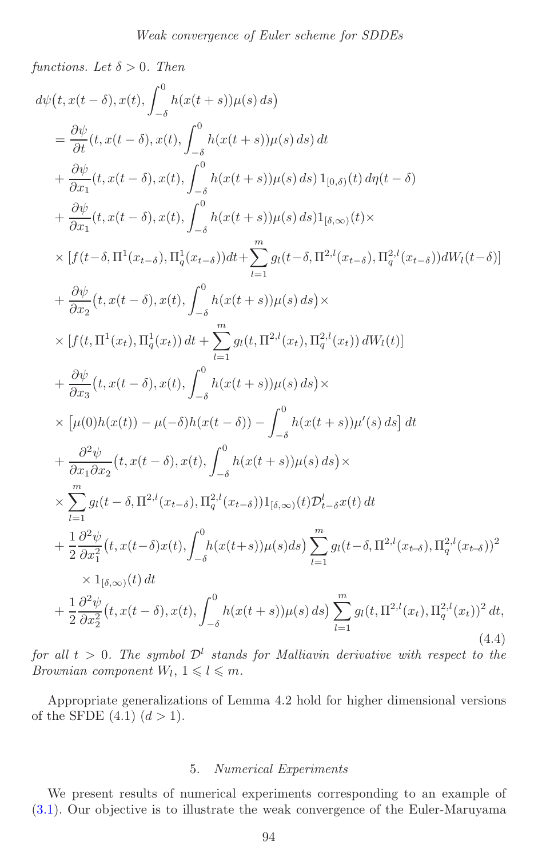*functions. Let*  $\delta > 0$ *. Then* 

$$
d\psi(t, x(t - \delta), x(t), \int_{-\delta}^{0} h(x(t + s))\mu(s) ds)
$$
\n
$$
= \frac{\partial \psi}{\partial t}(t, x(t - \delta), x(t), \int_{-\delta}^{0} h(x(t + s))\mu(s) ds) dt
$$
\n
$$
+ \frac{\partial \psi}{\partial x_{1}}(t, x(t - \delta), x(t), \int_{-\delta}^{0} h(x(t + s))\mu(s) ds) 1_{[0, \delta)}(t) d\eta(t - \delta)
$$
\n
$$
+ \frac{\partial \psi}{\partial x_{1}}(t, x(t - \delta), x(t), \int_{-\delta}^{0} h(x(t + s))\mu(s) ds) 1_{[\delta, \infty)}(t) \times
$$
\n
$$
\times [f(t - \delta, \Pi^{1}(x_{t - \delta}), \Pi_{q}^{1}(x_{t - \delta})) dt + \sum_{l = 1}^{m} g_{l}(t - \delta, \Pi^{2,l}(x_{t - \delta}), \Pi_{q}^{2,l}(x_{t - \delta})) dW_{l}(t - \delta)]
$$
\n
$$
+ \frac{\partial \psi}{\partial x_{2}}(t, x(t - \delta), x(t), \int_{-\delta}^{0} h(x(t + s))\mu(s) ds) \times
$$
\n
$$
\times [f(t, \Pi^{1}(x_{t}), \Pi_{q}^{1}(x_{t})) dt + \sum_{l = 1}^{m} g_{l}(t, \Pi^{2,l}(x_{t}), \Pi_{q}^{2,l}(x_{t})) dW_{l}(t)]
$$
\n
$$
+ \frac{\partial \psi}{\partial x_{3}}(t, x(t - \delta), x(t), \int_{-\delta}^{0} h(x(t + s))\mu(s) ds) \times
$$
\n
$$
\times [\mu(0)h(x(t)) - \mu(-\delta)h(x(t - \delta)) - \int_{-\delta}^{0} h(x(t + s))\mu'(s) ds] dt
$$
\n
$$
+ \frac{\partial^{2} \psi}{\partial x_{1} \partial x_{2}}(t, x(t - \delta), x(t), \int_{-\delta}^{0} h(x(t + s))\mu(s) ds) \times
$$
\n
$$
\times \sum_{l = 1}^{m} g_{l}(t - \delta, \Pi^{2,l}(x_{t - \delta}), \Pi_{q}^{2,l}(x_{t - \delta}))1_{[\delta, \infty)}(t) \mathcal{D}_{l - \delta}^{l} x
$$

*for all*  $t > 0$ *. The symbol*  $\mathcal{D}^l$  *stands for Malliavin derivative with respect to the Brownian component*  $W_l$ ,  $1 \leq l \leq m$ *.* 

Appropriate generalizations of Lemma 4.2 hold for higher dimensional versions of the SFDE  $(4.1)$   $(d > 1)$ .

# 5. *Numerical Experiments*

<span id="page-34-0"></span>We present results of numerical experiments corresponding to an example of [\(3.1\)](#page-9-1). Our objective is to illustrate the weak convergence of the Euler-Maruyama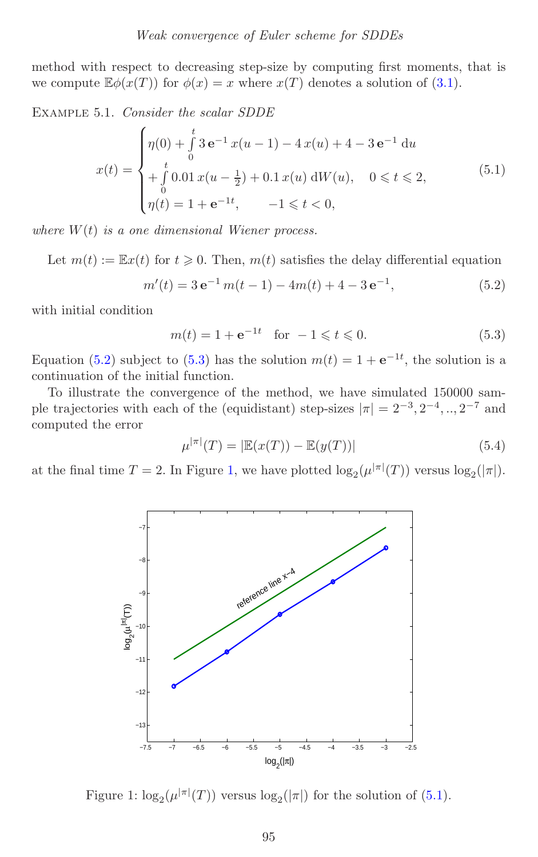method with respect to decreasing step-size by computing first moments, that is we compute  $\mathbb{E}\phi(x(T))$  for  $\phi(x) = x$  where  $x(T)$  denotes a solution of [\(3.1\)](#page-9-1).

Example 5.1. *Consider the scalar SDDE*

<span id="page-35-3"></span>
$$
x(t) = \begin{cases} \eta(0) + \int_{0}^{t} 3 e^{-1} x(u-1) - 4 x(u) + 4 - 3 e^{-1} du \\ + \int_{0}^{t} 0.01 x(u - \frac{1}{2}) + 0.1 x(u) dW(u), \quad 0 \le t \le 2, \\ \eta(t) = 1 + e^{-1t}, \quad -1 \le t < 0, \end{cases}
$$
(5.1)

*where* W(t) *is a one dimensional Wiener process.*

Let  $m(t) := \mathbb{E}x(t)$  for  $t \geq 0$ . Then,  $m(t)$  satisfies the delay differential equation

$$
m'(t) = 3 e^{-1} m(t-1) - 4m(t) + 4 - 3 e^{-1},
$$
\n(5.2)

<span id="page-35-1"></span>with initial condition

<span id="page-35-0"></span>
$$
m(t) = 1 + e^{-1t}
$$
 for  $-1 \le t \le 0$ . (5.3)

Equation [\(5.2\)](#page-35-0) subject to [\(5.3\)](#page-35-1) has the solution  $m(t)=1+ e^{-1t}$ , the solution is a continuation of the initial function.

To illustrate the convergence of the method, we have simulated 150000 sample trajectories with each of the (equidistant) step-sizes  $|\pi| = 2^{-3}, 2^{-4}, ..., 2^{-7}$  and computed the error

$$
\mu^{|\pi|}(T) = |\mathbb{E}(x(T)) - \mathbb{E}(y(T))|
$$
\n(5.4)

at the final time  $T = 2$ . In Figure [1,](#page-35-2) we have plotted  $\log_2(\mu^{|\pi|}(T))$  versus  $\log_2(|\pi|)$ .



<span id="page-35-2"></span>Figure 1:  $\log_2(\mu^{|\pi|}(T))$  versus  $\log_2(|\pi|)$  for the solution of [\(5.1\)](#page-35-3).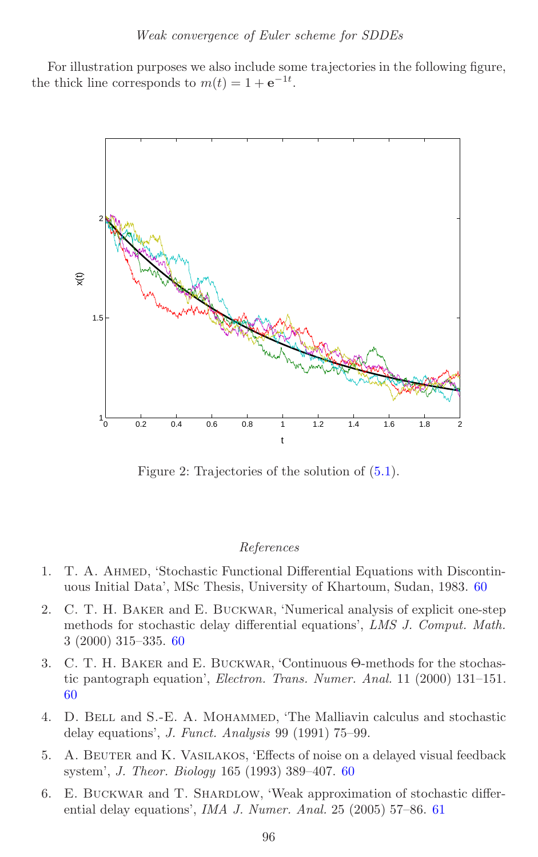For illustration purposes we also include some trajectories in the following figure, the thick line corresponds to  $m(t) = 1 + e^{-1t}$ .



Figure 2: Trajectories of the solution of [\(5.1\)](#page-35-3).

#### *References*

- <span id="page-36-1"></span>1. T. A. Ahmed, 'Stochastic Functional Differential Equations with Discontinuous Initial Data', MSc Thesis, University of Khartoum, Sudan, 1983. [60](#page-0-0)
- <span id="page-36-2"></span>2. C. T. H. Baker and E. Buckwar, 'Numerical analysis of explicit one-step methods for stochastic delay differential equations', *LMS J. Comput. Math.* 3 (2000) 315–335. [60](#page-0-0)
- <span id="page-36-3"></span>3. C. T. H. Baker and E. Buckwar, 'Continuous Θ-methods for the stochastic pantograph equation', *Electron. Trans. Numer. Anal.* 11 (2000) 131–151. [60](#page-0-0)
- 4. D. Bell and S.-E. A. Mohammed, 'The Malliavin calculus and stochastic delay equations', *J. Funct. Analysis* 99 (1991) 75–99.
- <span id="page-36-0"></span>5. A. Beuter and K. Vasilakos, 'Effects of noise on a delayed visual feedback system', *J. Theor. Biology* 165 (1993) 389–407. [60](#page-0-0)
- <span id="page-36-4"></span>6. E. Buckwar and T. Shardlow, 'Weak approximation of stochastic differential delay equations', *IMA J. Numer. Anal.* 25 (2005) 57–86. [61](#page-1-1)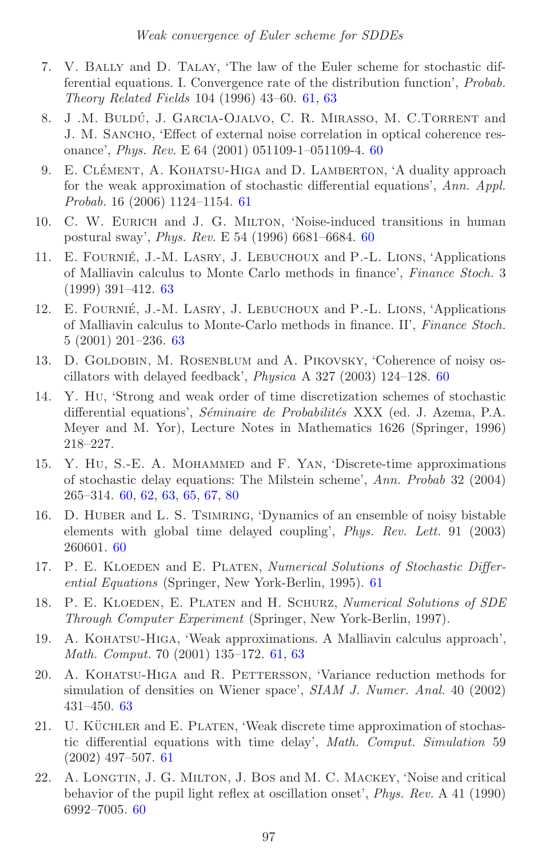- <span id="page-37-6"></span>7. V. Bally and D. Talay, 'The law of the Euler scheme for stochastic differential equations. I. Convergence rate of the distribution function', *Probab. Theory Related Fields* 104 (1996) 43–60. [61,](#page-1-1) [63](#page-3-2)
- <span id="page-37-0"></span>8. J.M. BULDÚ, J. GARCIA-OJALVO, C.R. MIRASSO, M. C.TORRENT and J. M. Sancho, 'Effect of external noise correlation in optical coherence resonance', *Phys. Rev.* E 64 (2001) 051109-1–051109-4. [60](#page-0-0)
- <span id="page-37-10"></span>9. E. CLÉMENT, A. KOHATSU-HIGA and D. LAMBERTON, 'A duality approach for the weak approximation of stochastic differential equations', *Ann. Appl. Probab.* 16 (2006) 1124–1154. [61](#page-1-1)
- <span id="page-37-4"></span>10. C. W. Eurich and J. G. Milton, 'Noise-induced transitions in human postural sway', *Phys. Rev.* E 54 (1996) 6681–6684. [60](#page-0-0)
- <span id="page-37-12"></span>11. E. FOURNIÉ, J.-M. LASRY, J. LEBUCHOUX and P.-L. LIONS, 'Applications of Malliavin calculus to Monte Carlo methods in finance', *Finance Stoch.* 3 (1999) 391–412. [63](#page-3-2)
- <span id="page-37-13"></span>12. E. FOURNIÉ, J.-M. LASRY, J. LEBUCHOUX and P.-L. LIONS, 'Applications of Malliavin calculus to Monte-Carlo methods in finance. II', *Finance Stoch.* 5 (2001) 201–236. [63](#page-3-2)
- <span id="page-37-1"></span>13. D. Goldobin, M. Rosenblum and A. Pikovsky, 'Coherence of noisy oscillators with delayed feedback', *Physica* A 327 (2003) 124–128. [60](#page-0-0)
- 14. Y. Hu, 'Strong and weak order of time discretization schemes of stochastic differential equations', *S´eminaire de Probabilit´es* XXX (ed. J. Azema, P.A. Meyer and M. Yor), Lecture Notes in Mathematics 1626 (Springer, 1996) 218–227.
- <span id="page-37-5"></span>15. Y. Hu, S.-E. A. Mohammed and F. Yan, 'Discrete-time approximations of stochastic delay equations: The Milstein scheme', *Ann. Probab* 32 (2004) 265–314. [60,](#page-0-0) [62,](#page-2-1) [63,](#page-3-2) [65,](#page-5-1) [67,](#page-7-2) [80](#page-20-2)
- <span id="page-37-2"></span>16. D. Huber and L. S. Tsimring, 'Dynamics of an ensemble of noisy bistable elements with global time delayed coupling', *Phys. Rev. Lett.* 91 (2003) 260601. [60](#page-0-0)
- <span id="page-37-7"></span>17. P. E. Kloeden and E. Platen, *Numerical Solutions of Stochastic Differential Equations* (Springer, New York-Berlin, 1995). [61](#page-1-1)
- 18. P. E. Kloeden, E. Platen and H. Schurz, *Numerical Solutions of SDE Through Computer Experiment* (Springer, New York-Berlin, 1997).
- <span id="page-37-8"></span>19. A. Kohatsu-Higa, 'Weak approximations. A Malliavin calculus approach', *Math. Comput.* 70 (2001) 135–172. [61,](#page-1-1) [63](#page-3-2)
- <span id="page-37-11"></span>20. A. Kohatsu-Higa and R. Pettersson, 'Variance reduction methods for simulation of densities on Wiener space', *SIAM J. Numer. Anal.* 40 (2002) 431–450. [63](#page-3-2)
- <span id="page-37-9"></span>21. U. KÜCHLER and E. PLATEN, 'Weak discrete time approximation of stochastic differential equations with time delay', *Math. Comput. Simulation* 59 (2002) 497–507. [61](#page-1-1)
- <span id="page-37-3"></span>22. A. Longtin, J. G. Milton, J. Bos and M. C. Mackey, 'Noise and critical behavior of the pupil light reflex at oscillation onset', *Phys. Rev.* A 41 (1990) 6992–7005. [60](#page-0-0)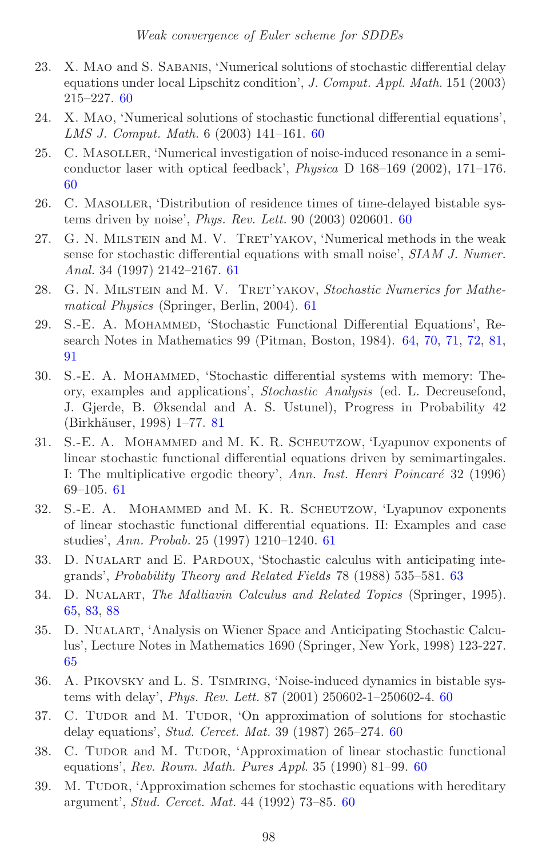- <span id="page-38-6"></span>23. X. Mao and S. Sabanis, 'Numerical solutions of stochastic differential delay equations under local Lipschitz condition', *J. Comput. Appl. Math.* 151 (2003) 215–227. [60](#page-0-0)
- <span id="page-38-7"></span>24. X. Mao, 'Numerical solutions of stochastic functional differential equations', *LMS J. Comput. Math.* 6 (2003) 141–161. [60](#page-0-0)
- <span id="page-38-0"></span>25. C. Masoller, 'Numerical investigation of noise-induced resonance in a semiconductor laser with optical feedback', *Physica* D 168–169 (2002), 171–176. [60](#page-0-0)
- <span id="page-38-1"></span>26. C. Masoller, 'Distribution of residence times of time-delayed bistable systems driven by noise', *Phys. Rev. Lett.* 90 (2003) 020601. [60](#page-0-0)
- <span id="page-38-8"></span>27. G. N. MILSTEIN and M. V. TRET'YAKOV, 'Numerical methods in the weak sense for stochastic differential equations with small noise', *SIAM J. Numer. Anal.* 34 (1997) 2142–2167. [61](#page-1-1)
- <span id="page-38-11"></span>28. G. N. MILSTEIN and M. V. TRET'YAKOV, *Stochastic Numerics for Mathematical Physics* (Springer, Berlin, 2004). [61](#page-1-1)
- <span id="page-38-13"></span>29. S.-E. A. Mohammed, 'Stochastic Functional Differential Equations', Research Notes in Mathematics 99 (Pitman, Boston, 1984). [64,](#page-4-0) [70,](#page-10-0) [71,](#page-11-0) [72,](#page-12-2) [81,](#page-21-1) [91](#page-31-2)
- <span id="page-38-16"></span>30. S.-E. A. Mohammed, 'Stochastic differential systems with memory: Theory, examples and applications', *Stochastic Analysis* (ed. L. Decreusefond, J. Gjerde, B. Øksendal and A. S. Ustunel), Progress in Probability 42 (Birkhäuser, 1998) 1–77. [81](#page-21-1)
- <span id="page-38-9"></span>31. S.-E. A. Mohammed and M. K. R. Scheutzow, 'Lyapunov exponents of linear stochastic functional differential equations driven by semimartingales. I: The multiplicative ergodic theory', *Ann. Inst. Henri Poincaré* 32 (1996) 69–105. [61](#page-1-1)
- <span id="page-38-10"></span>32. S.-E. A. Mohammed and M. K. R. Scheutzow, 'Lyapunov exponents of linear stochastic functional differential equations. II: Examples and case studies', *Ann. Probab.* 25 (1997) 1210–1240. [61](#page-1-1)
- <span id="page-38-12"></span>33. D. Nualart and E. Pardoux, 'Stochastic calculus with anticipating integrands', *Probability Theory and Related Fields* 78 (1988) 535–581. [63](#page-3-2)
- <span id="page-38-14"></span>34. D. Nualart, *The Malliavin Calculus and Related Topics* (Springer, 1995). [65,](#page-5-1) [83,](#page-23-0) [88](#page-28-3)
- <span id="page-38-15"></span>35. D. Nualart, 'Analysis on Wiener Space and Anticipating Stochastic Calculus', Lecture Notes in Mathematics 1690 (Springer, New York, 1998) 123-227. [65](#page-5-1)
- <span id="page-38-2"></span>36. A. Pikovsky and L. S. Tsimring, 'Noise-induced dynamics in bistable systems with delay', *Phys. Rev. Lett.* 87 (2001) 250602-1–250602-4. [60](#page-0-0)
- <span id="page-38-3"></span>37. C. TUDOR and M. TUDOR, 'On approximation of solutions for stochastic delay equations', *Stud. Cercet. Mat.* 39 (1987) 265–274. [60](#page-0-0)
- <span id="page-38-4"></span>38. C. TUDOR and M. TUDOR, 'Approximation of linear stochastic functional equations', *Rev. Roum. Math. Pures Appl.* 35 (1990) 81–99. [60](#page-0-0)
- <span id="page-38-5"></span>39. M. Tudor, 'Approximation schemes for stochastic equations with hereditary argument', *Stud. Cercet. Mat.* 44 (1992) 73–85. [60](#page-0-0)